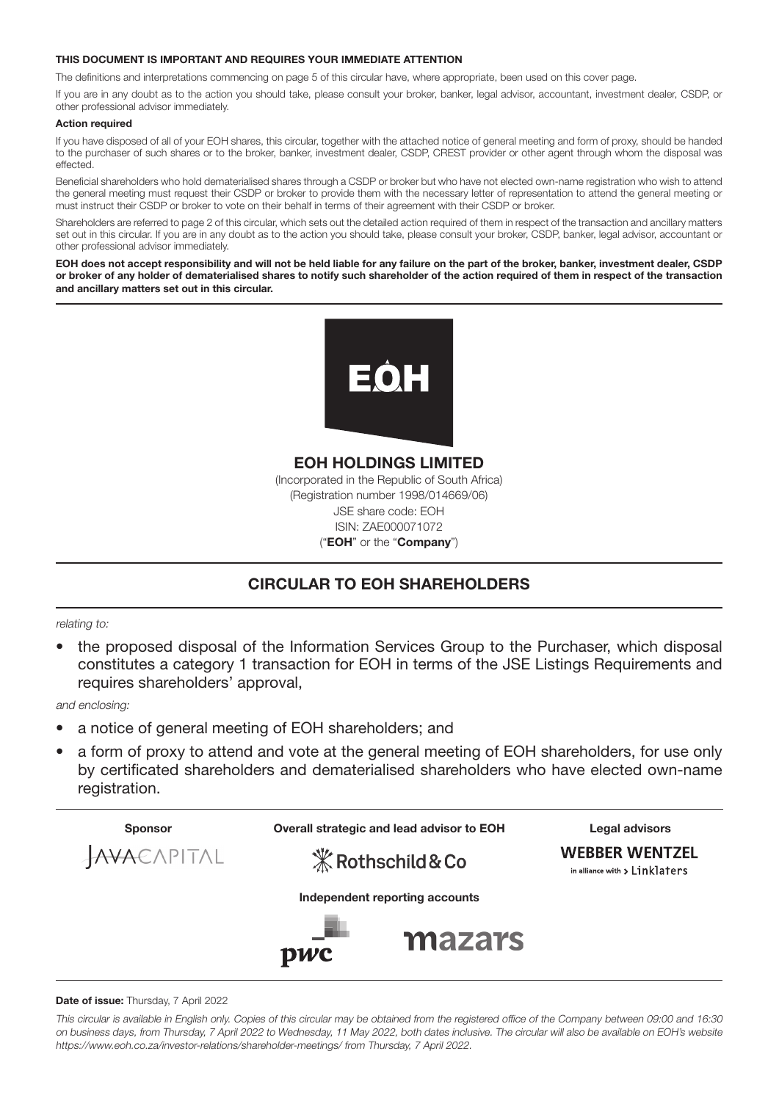#### THIS DOCUMENT IS IMPORTANT AND REQUIRES YOUR IMMEDIATE ATTENTION

The definitions and interpretations commencing on page 5 of this circular have, where appropriate, been used on this cover page.

If you are in any doubt as to the action you should take, please consult your broker, banker, legal advisor, accountant, investment dealer, CSDP, or other professional advisor immediately.

#### Action required

If you have disposed of all of your EOH shares, this circular, together with the attached notice of general meeting and form of proxy, should be handed to the purchaser of such shares or to the broker, banker, investment dealer, CSDP, CREST provider or other agent through whom the disposal was effected.

Beneficial shareholders who hold dematerialised shares through a CSDP or broker but who have not elected own-name registration who wish to attend the general meeting must request their CSDP or broker to provide them with the necessary letter of representation to attend the general meeting or must instruct their CSDP or broker to vote on their behalf in terms of their agreement with their CSDP or broker.

Shareholders are referred to page 2 of this circular, which sets out the detailed action required of them in respect of the transaction and ancillary matters set out in this circular. If you are in any doubt as to the action you should take, please consult your broker, CSDP, banker, legal advisor, accountant or other professional advisor immediately.

EOH does not accept responsibility and will not be held liable for any failure on the part of the broker, banker, investment dealer, CSDP or broker of any holder of dematerialised shares to notify such shareholder of the action required of them in respect of the transaction and ancillary matters set out in this circular.



EOH HOLDINGS LIMITED (Incorporated in the Republic of South Africa) (Registration number 1998/014669/06) JSE share code: EOH ISIN: ZAE000071072 ("EOH" or the "Company")

## CIRCULAR TO EOH SHAREHOLDERS

relating to:

• the proposed disposal of the Information Services Group to the Purchaser, which disposal constitutes a category 1 transaction for EOH in terms of the JSE Listings Requirements and requires shareholders' approval,

and enclosing:

- a notice of general meeting of EOH shareholders; and
- a form of proxy to attend and vote at the general meeting of EOH shareholders, for use only by certificated shareholders and dematerialised shareholders who have elected own-name registration.



#### Date of issue: Thursday, 7 April 2022

This circular is available in English only. Copies of this circular may be obtained from the registered office of the Company between 09:00 and 16:30 on business days, from Thursday, 7 April 2022 to Wednesday, 11 May 2022, both dates inclusive. The circular will also be available on EOH's website https://www.eoh.co.za/investor-relations/shareholder-meetings/ from Thursday, 7 April 2022.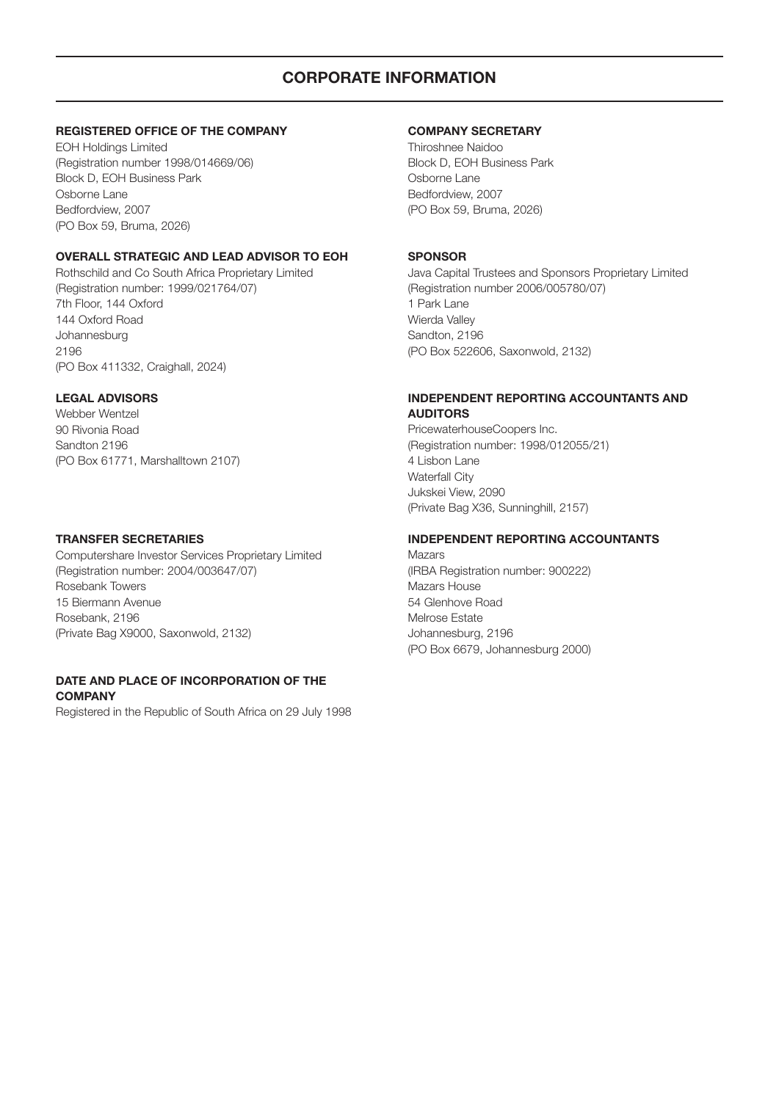## CORPORATE INFORMATION

#### REGISTERED OFFICE OF THE COMPANY

EOH Holdings Limited (Registration number 1998/014669/06) Block D, EOH Business Park Osborne Lane Bedfordview, 2007 (PO Box 59, Bruma, 2026)

#### OVERALL STRATEGIC AND LEAD ADVISOR TO EOH

Rothschild and Co South Africa Proprietary Limited (Registration number: 1999/021764/07) 7th Floor, 144 Oxford 144 Oxford Road Johannesburg 2196 (PO Box 411332, Craighall, 2024)

#### LEGAL ADVISORS

Webber Wentzel 90 Rivonia Road Sandton 2196 (PO Box 61771, Marshalltown 2107)

#### TRANSFER SECRETARIES

Computershare Investor Services Proprietary Limited (Registration number: 2004/003647/07) Rosebank Towers 15 Biermann Avenue Rosebank, 2196 (Private Bag X9000, Saxonwold, 2132)

#### DATE AND PLACE OF INCORPORATION OF THE **COMPANY**

Registered in the Republic of South Africa on 29 July 1998

#### COMPANY SECRETARY

Thiroshnee Naidoo Block D, EOH Business Park Osborne Lane Bedfordview, 2007 (PO Box 59, Bruma, 2026)

#### SPONSOR

Java Capital Trustees and Sponsors Proprietary Limited (Registration number 2006/005780/07) 1 Park Lane Wierda Valley Sandton, 2196 (PO Box 522606, Saxonwold, 2132)

#### INDEPENDENT REPORTING ACCOUNTANTS AND AUDITORS

PricewaterhouseCoopers Inc. (Registration number: 1998/012055/21) 4 Lisbon Lane Waterfall City Jukskei View, 2090 (Private Bag X36, Sunninghill, 2157)

#### INDEPENDENT REPORTING ACCOUNTANTS

Mazars (IRBA Registration number: 900222) Mazars House 54 Glenhove Road Melrose Estate Johannesburg, 2196 (PO Box 6679, Johannesburg 2000)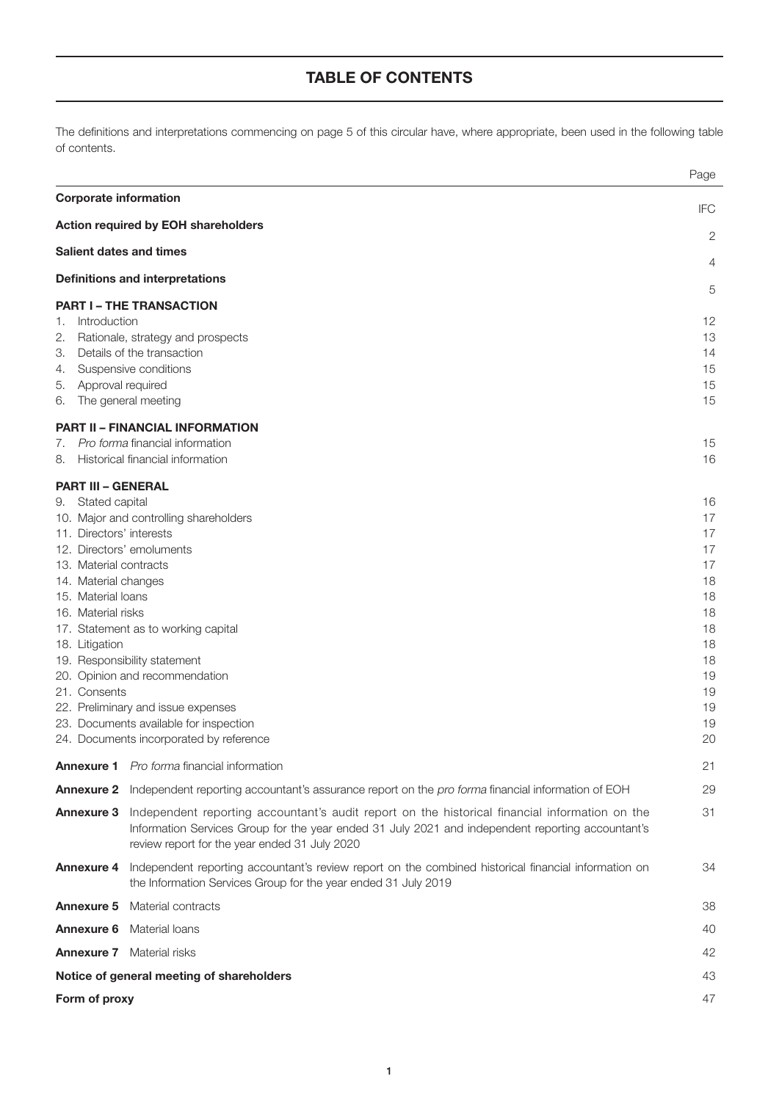## TABLE OF CONTENTS

The definitions and interpretations commencing on page 5 of this circular have, where appropriate, been used in the following table of contents.

|                                                                                                                                                                                                    |                                                                                                                                                                                                                                                                                                                                                                                                                                                                   | Page                                                                                                     |
|----------------------------------------------------------------------------------------------------------------------------------------------------------------------------------------------------|-------------------------------------------------------------------------------------------------------------------------------------------------------------------------------------------------------------------------------------------------------------------------------------------------------------------------------------------------------------------------------------------------------------------------------------------------------------------|----------------------------------------------------------------------------------------------------------|
| <b>Corporate information</b>                                                                                                                                                                       |                                                                                                                                                                                                                                                                                                                                                                                                                                                                   | <b>IFC</b>                                                                                               |
|                                                                                                                                                                                                    | <b>Action required by EOH shareholders</b>                                                                                                                                                                                                                                                                                                                                                                                                                        | 2                                                                                                        |
| <b>Salient dates and times</b>                                                                                                                                                                     |                                                                                                                                                                                                                                                                                                                                                                                                                                                                   |                                                                                                          |
|                                                                                                                                                                                                    | <b>Definitions and interpretations</b>                                                                                                                                                                                                                                                                                                                                                                                                                            | 4                                                                                                        |
|                                                                                                                                                                                                    | <b>PART I - THE TRANSACTION</b>                                                                                                                                                                                                                                                                                                                                                                                                                                   | 5                                                                                                        |
| Introduction<br>1.<br>2.<br>З.<br>4.<br>Approval required<br>5.<br>6.                                                                                                                              | Rationale, strategy and prospects<br>Details of the transaction<br>Suspensive conditions<br>The general meeting                                                                                                                                                                                                                                                                                                                                                   | 12<br>13<br>14<br>15<br>15<br>15                                                                         |
|                                                                                                                                                                                                    | <b>PART II - FINANCIAL INFORMATION</b>                                                                                                                                                                                                                                                                                                                                                                                                                            |                                                                                                          |
| 7.<br>8.                                                                                                                                                                                           | Pro forma financial information<br>Historical financial information                                                                                                                                                                                                                                                                                                                                                                                               | 15<br>16                                                                                                 |
| <b>PART III - GENERAL</b>                                                                                                                                                                          |                                                                                                                                                                                                                                                                                                                                                                                                                                                                   |                                                                                                          |
| 9. Stated capital<br>11. Directors' interests<br>13. Material contracts<br>14. Material changes<br>15. Material loans<br>16. Material risks<br>18. Litigation<br>21. Consents<br><b>Annexure 2</b> | 10. Major and controlling shareholders<br>12. Directors' emoluments<br>17. Statement as to working capital<br>19. Responsibility statement<br>20. Opinion and recommendation<br>22. Preliminary and issue expenses<br>23. Documents available for inspection<br>24. Documents incorporated by reference<br><b>Annexure 1</b> Pro forma financial information<br>Independent reporting accountant's assurance report on the pro forma financial information of EOH | 16<br>17<br>17<br>17<br>17<br>18<br>18<br>18<br>18<br>18<br>18<br>19<br>19<br>19<br>19<br>20<br>21<br>29 |
| Annexure 3                                                                                                                                                                                         | Independent reporting accountant's audit report on the historical financial information on the<br>Information Services Group for the year ended 31 July 2021 and independent reporting accountant's<br>review report for the year ended 31 July 2020                                                                                                                                                                                                              | 31                                                                                                       |
|                                                                                                                                                                                                    | Annexure 4 Independent reporting accountant's review report on the combined historical financial information on<br>the Information Services Group for the year ended 31 July 2019                                                                                                                                                                                                                                                                                 | 34                                                                                                       |
| <b>Annexure 5</b>                                                                                                                                                                                  | Material contracts                                                                                                                                                                                                                                                                                                                                                                                                                                                | 38                                                                                                       |
| <b>Annexure 6</b>                                                                                                                                                                                  | Material loans                                                                                                                                                                                                                                                                                                                                                                                                                                                    | 40                                                                                                       |
|                                                                                                                                                                                                    | <b>Annexure 7</b> Material risks                                                                                                                                                                                                                                                                                                                                                                                                                                  | 42                                                                                                       |
|                                                                                                                                                                                                    | Notice of general meeting of shareholders                                                                                                                                                                                                                                                                                                                                                                                                                         | 43                                                                                                       |
| Form of proxy                                                                                                                                                                                      |                                                                                                                                                                                                                                                                                                                                                                                                                                                                   | 47                                                                                                       |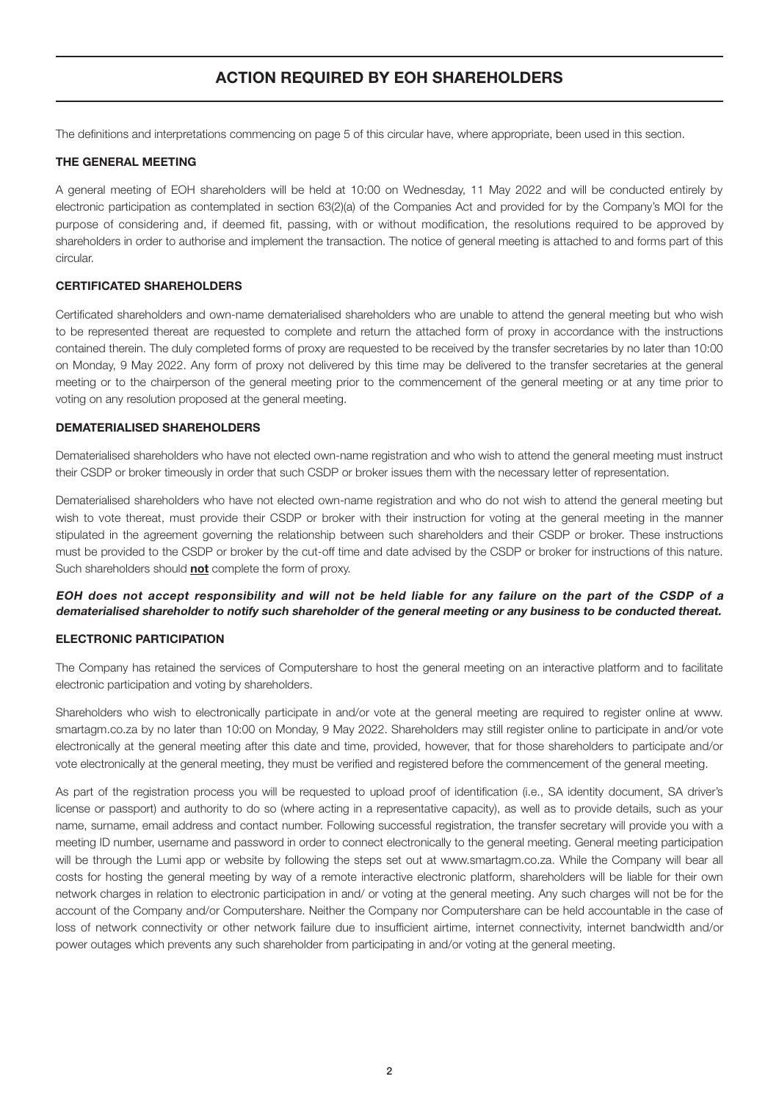## ACTION REQUIRED BY EOH SHAREHOLDERS

The definitions and interpretations commencing on page 5 of this circular have, where appropriate, been used in this section.

#### THE GENERAL MEETING

A general meeting of EOH shareholders will be held at 10:00 on Wednesday, 11 May 2022 and will be conducted entirely by electronic participation as contemplated in section 63(2)(a) of the Companies Act and provided for by the Company's MOI for the purpose of considering and, if deemed fit, passing, with or without modification, the resolutions required to be approved by shareholders in order to authorise and implement the transaction. The notice of general meeting is attached to and forms part of this circular.

#### CERTIFICATED SHAREHOLDERS

Certificated shareholders and own-name dematerialised shareholders who are unable to attend the general meeting but who wish to be represented thereat are requested to complete and return the attached form of proxy in accordance with the instructions contained therein. The duly completed forms of proxy are requested to be received by the transfer secretaries by no later than 10:00 on Monday, 9 May 2022. Any form of proxy not delivered by this time may be delivered to the transfer secretaries at the general meeting or to the chairperson of the general meeting prior to the commencement of the general meeting or at any time prior to voting on any resolution proposed at the general meeting.

#### DEMATERIALISED SHAREHOLDERS

Dematerialised shareholders who have not elected own-name registration and who wish to attend the general meeting must instruct their CSDP or broker timeously in order that such CSDP or broker issues them with the necessary letter of representation.

Dematerialised shareholders who have not elected own-name registration and who do not wish to attend the general meeting but wish to vote thereat, must provide their CSDP or broker with their instruction for voting at the general meeting in the manner stipulated in the agreement governing the relationship between such shareholders and their CSDP or broker. These instructions must be provided to the CSDP or broker by the cut-off time and date advised by the CSDP or broker for instructions of this nature. Such shareholders should **not** complete the form of proxy.

#### EOH does not accept responsibility and will not be held liable for any failure on the part of the CSDP of a dematerialised shareholder to notify such shareholder of the general meeting or any business to be conducted thereat.

#### ELECTRONIC PARTICIPATION

The Company has retained the services of Computershare to host the general meeting on an interactive platform and to facilitate electronic participation and voting by shareholders.

Shareholders who wish to electronically participate in and/or vote at the general meeting are required to register online at www. smartagm.co.za by no later than 10:00 on Monday, 9 May 2022. Shareholders may still register online to participate in and/or vote electronically at the general meeting after this date and time, provided, however, that for those shareholders to participate and/or vote electronically at the general meeting, they must be verified and registered before the commencement of the general meeting.

As part of the registration process you will be requested to upload proof of identification (i.e., SA identity document, SA driver's license or passport) and authority to do so (where acting in a representative capacity), as well as to provide details, such as your name, surname, email address and contact number. Following successful registration, the transfer secretary will provide you with a meeting ID number, username and password in order to connect electronically to the general meeting. General meeting participation will be through the Lumi app or website by following the steps set out at www.smartagm.co.za. While the Company will bear all costs for hosting the general meeting by way of a remote interactive electronic platform, shareholders will be liable for their own network charges in relation to electronic participation in and/ or voting at the general meeting. Any such charges will not be for the account of the Company and/or Computershare. Neither the Company nor Computershare can be held accountable in the case of loss of network connectivity or other network failure due to insufficient airtime, internet connectivity, internet bandwidth and/or power outages which prevents any such shareholder from participating in and/or voting at the general meeting.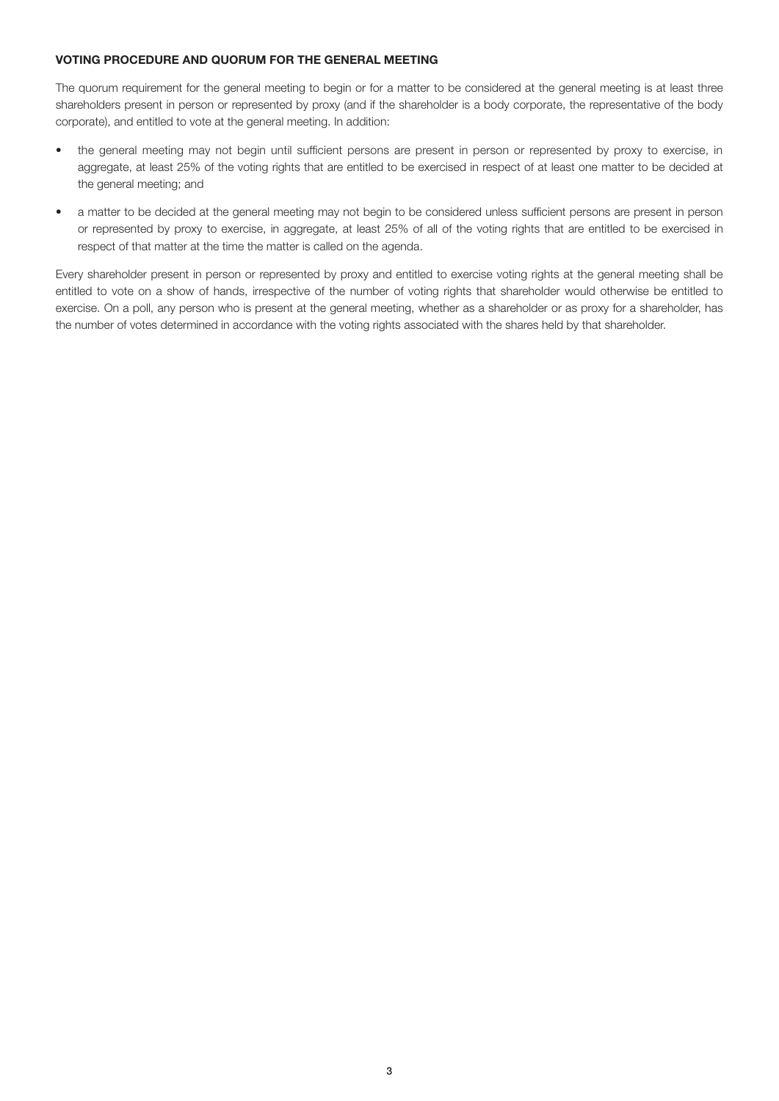#### VOTING PROCEDURE AND QUORUM FOR THE GENERAL MEETING

The quorum requirement for the general meeting to begin or for a matter to be considered at the general meeting is at least three shareholders present in person or represented by proxy (and if the shareholder is a body corporate, the representative of the body corporate), and entitled to vote at the general meeting. In addition:

- the general meeting may not begin until sufficient persons are present in person or represented by proxy to exercise, in aggregate, at least 25% of the voting rights that are entitled to be exercised in respect of at least one matter to be decided at the general meeting; and
- a matter to be decided at the general meeting may not begin to be considered unless sufficient persons are present in person or represented by proxy to exercise, in aggregate, at least 25% of all of the voting rights that are entitled to be exercised in respect of that matter at the time the matter is called on the agenda.

Every shareholder present in person or represented by proxy and entitled to exercise voting rights at the general meeting shall be entitled to vote on a show of hands, irrespective of the number of voting rights that shareholder would otherwise be entitled to exercise. On a poll, any person who is present at the general meeting, whether as a shareholder or as proxy for a shareholder, has the number of votes determined in accordance with the voting rights associated with the shares held by that shareholder.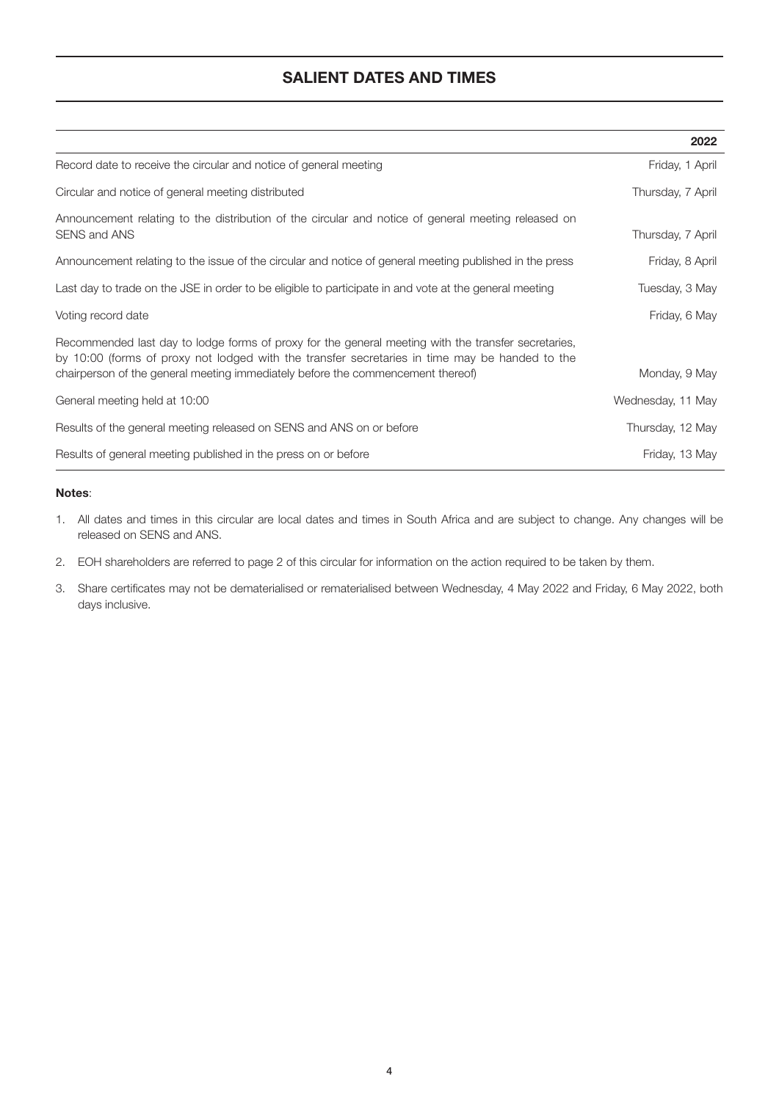## SALIENT DATES AND TIMES

|                                                                                                                                                                                                                                                                                          | 2022              |
|------------------------------------------------------------------------------------------------------------------------------------------------------------------------------------------------------------------------------------------------------------------------------------------|-------------------|
| Record date to receive the circular and notice of general meeting                                                                                                                                                                                                                        | Friday, 1 April   |
| Circular and notice of general meeting distributed                                                                                                                                                                                                                                       | Thursday, 7 April |
| Announcement relating to the distribution of the circular and notice of general meeting released on<br><b>SENS and ANS</b>                                                                                                                                                               | Thursday, 7 April |
| Announcement relating to the issue of the circular and notice of general meeting published in the press                                                                                                                                                                                  | Friday, 8 April   |
| Last day to trade on the JSE in order to be eligible to participate in and vote at the general meeting                                                                                                                                                                                   | Tuesday, 3 May    |
| Voting record date                                                                                                                                                                                                                                                                       | Friday, 6 May     |
| Recommended last day to lodge forms of proxy for the general meeting with the transfer secretaries,<br>by 10:00 (forms of proxy not lodged with the transfer secretaries in time may be handed to the<br>chairperson of the general meeting immediately before the commencement thereof) | Monday, 9 May     |
| General meeting held at 10:00                                                                                                                                                                                                                                                            | Wednesday, 11 May |
| Results of the general meeting released on SENS and ANS on or before                                                                                                                                                                                                                     | Thursday, 12 May  |
| Results of general meeting published in the press on or before                                                                                                                                                                                                                           | Friday, 13 May    |

#### Notes:

- 1. All dates and times in this circular are local dates and times in South Africa and are subject to change. Any changes will be released on SENS and ANS.
- 2. EOH shareholders are referred to page 2 of this circular for information on the action required to be taken by them.
- 3. Share certificates may not be dematerialised or rematerialised between Wednesday, 4 May 2022 and Friday, 6 May 2022, both days inclusive.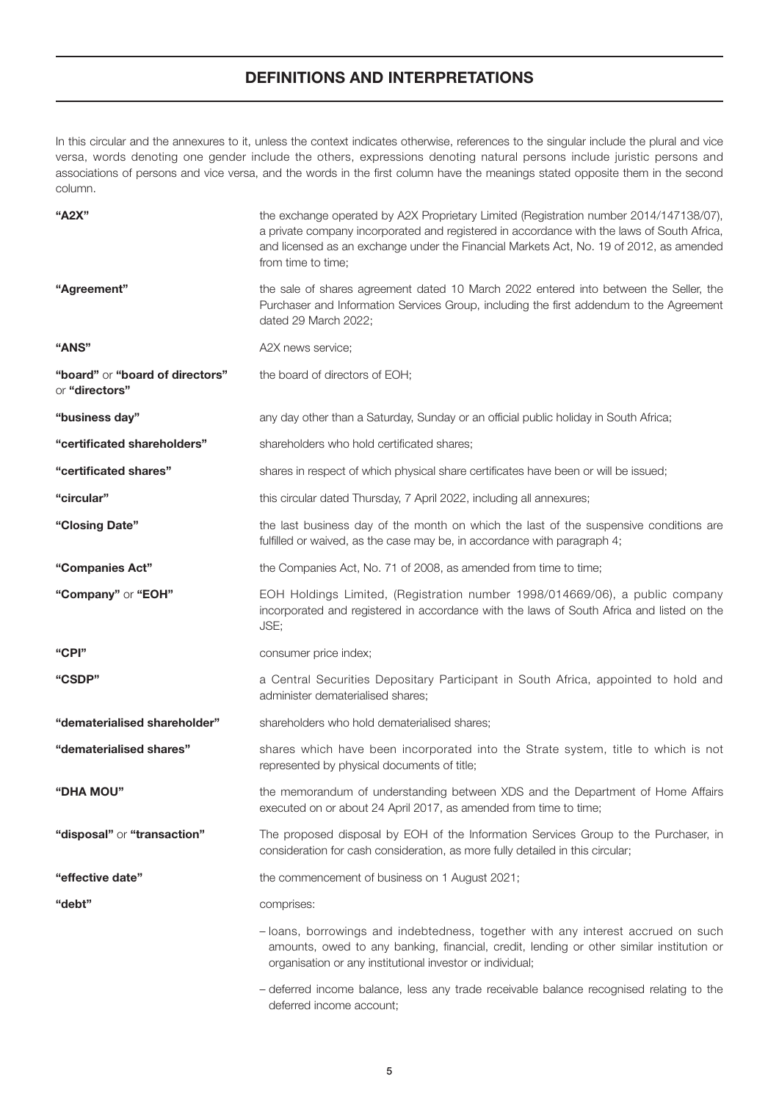## DEFINITIONS AND INTERPRETATIONS

In this circular and the annexures to it, unless the context indicates otherwise, references to the singular include the plural and vice versa, words denoting one gender include the others, expressions denoting natural persons include juristic persons and associations of persons and vice versa, and the words in the first column have the meanings stated opposite them in the second column.

| "A2X"                                             | the exchange operated by A2X Proprietary Limited (Registration number 2014/147138/07),<br>a private company incorporated and registered in accordance with the laws of South Africa,<br>and licensed as an exchange under the Financial Markets Act, No. 19 of 2012, as amended<br>from time to time; |
|---------------------------------------------------|-------------------------------------------------------------------------------------------------------------------------------------------------------------------------------------------------------------------------------------------------------------------------------------------------------|
| "Agreement"                                       | the sale of shares agreement dated 10 March 2022 entered into between the Seller, the<br>Purchaser and Information Services Group, including the first addendum to the Agreement<br>dated 29 March 2022;                                                                                              |
| "ANS"                                             | A2X news service;                                                                                                                                                                                                                                                                                     |
| "board" or "board of directors"<br>or "directors" | the board of directors of EOH;                                                                                                                                                                                                                                                                        |
| "business day"                                    | any day other than a Saturday, Sunday or an official public holiday in South Africa;                                                                                                                                                                                                                  |
| "certificated shareholders"                       | shareholders who hold certificated shares;                                                                                                                                                                                                                                                            |
| "certificated shares"                             | shares in respect of which physical share certificates have been or will be issued;                                                                                                                                                                                                                   |
| "circular"                                        | this circular dated Thursday, 7 April 2022, including all annexures;                                                                                                                                                                                                                                  |
| "Closing Date"                                    | the last business day of the month on which the last of the suspensive conditions are<br>fulfilled or waived, as the case may be, in accordance with paragraph 4;                                                                                                                                     |
| "Companies Act"                                   | the Companies Act, No. 71 of 2008, as amended from time to time;                                                                                                                                                                                                                                      |
| "Company" or "EOH"                                | EOH Holdings Limited, (Registration number 1998/014669/06), a public company<br>incorporated and registered in accordance with the laws of South Africa and listed on the<br>JSE;                                                                                                                     |
| "CPI"                                             | consumer price index;                                                                                                                                                                                                                                                                                 |
| "CSDP"                                            | a Central Securities Depositary Participant in South Africa, appointed to hold and<br>administer dematerialised shares;                                                                                                                                                                               |
| "dematerialised shareholder"                      | shareholders who hold dematerialised shares;                                                                                                                                                                                                                                                          |
| "dematerialised shares"                           | shares which have been incorporated into the Strate system, title to which is not<br>represented by physical documents of title;                                                                                                                                                                      |
| <b>"DHA MOU"</b>                                  | the memorandum of understanding between XDS and the Department of Home Affairs<br>executed on or about 24 April 2017, as amended from time to time;                                                                                                                                                   |
| "disposal" or "transaction"                       | The proposed disposal by EOH of the Information Services Group to the Purchaser, in<br>consideration for cash consideration, as more fully detailed in this circular;                                                                                                                                 |
| "effective date"                                  | the commencement of business on 1 August 2021;                                                                                                                                                                                                                                                        |
| "debt"                                            | comprises:                                                                                                                                                                                                                                                                                            |
|                                                   | - loans, borrowings and indebtedness, together with any interest accrued on such<br>amounts, owed to any banking, financial, credit, lending or other similar institution or<br>organisation or any institutional investor or individual;                                                             |
|                                                   | - deferred income balance, less any trade receivable balance recognised relating to the                                                                                                                                                                                                               |

deferred income account;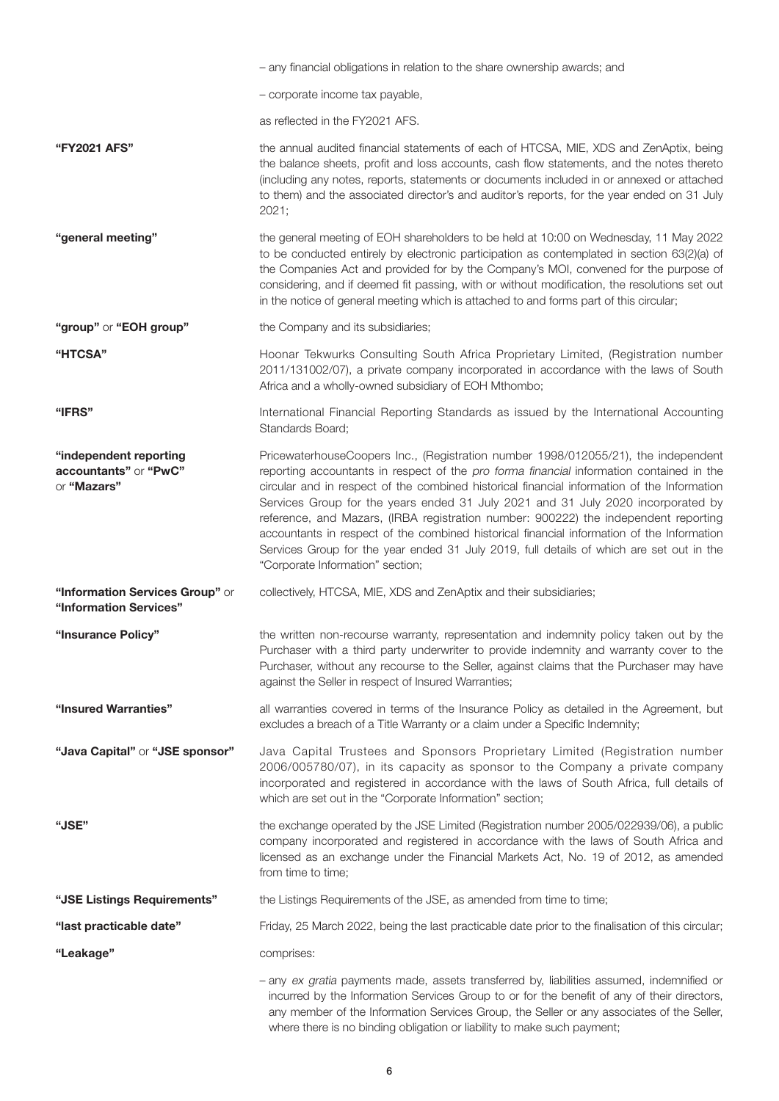|                                                                | - any financial obligations in relation to the share ownership awards; and                                                                                                                                                                                                                                                                                                                                                                                                                                                                                                                                                                                                             |
|----------------------------------------------------------------|----------------------------------------------------------------------------------------------------------------------------------------------------------------------------------------------------------------------------------------------------------------------------------------------------------------------------------------------------------------------------------------------------------------------------------------------------------------------------------------------------------------------------------------------------------------------------------------------------------------------------------------------------------------------------------------|
|                                                                | - corporate income tax payable,                                                                                                                                                                                                                                                                                                                                                                                                                                                                                                                                                                                                                                                        |
|                                                                | as reflected in the FY2021 AFS.                                                                                                                                                                                                                                                                                                                                                                                                                                                                                                                                                                                                                                                        |
| "FY2021 AFS"                                                   | the annual audited financial statements of each of HTCSA, MIE, XDS and ZenAptix, being<br>the balance sheets, profit and loss accounts, cash flow statements, and the notes thereto<br>(including any notes, reports, statements or documents included in or annexed or attached<br>to them) and the associated director's and auditor's reports, for the year ended on 31 July<br>2021;                                                                                                                                                                                                                                                                                               |
| "general meeting"                                              | the general meeting of EOH shareholders to be held at 10:00 on Wednesday, 11 May 2022<br>to be conducted entirely by electronic participation as contemplated in section 63(2)(a) of<br>the Companies Act and provided for by the Company's MOI, convened for the purpose of<br>considering, and if deemed fit passing, with or without modification, the resolutions set out<br>in the notice of general meeting which is attached to and forms part of this circular;                                                                                                                                                                                                                |
| "group" or "EOH group"                                         | the Company and its subsidiaries;                                                                                                                                                                                                                                                                                                                                                                                                                                                                                                                                                                                                                                                      |
| "HTCSA"                                                        | Hoonar Tekwurks Consulting South Africa Proprietary Limited, (Registration number<br>2011/131002/07), a private company incorporated in accordance with the laws of South<br>Africa and a wholly-owned subsidiary of EOH Mthombo;                                                                                                                                                                                                                                                                                                                                                                                                                                                      |
| "IFRS"                                                         | International Financial Reporting Standards as issued by the International Accounting<br>Standards Board;                                                                                                                                                                                                                                                                                                                                                                                                                                                                                                                                                                              |
| "independent reporting<br>accountants" or "PwC"<br>or "Mazars" | PricewaterhouseCoopers Inc., (Registration number 1998/012055/21), the independent<br>reporting accountants in respect of the pro forma financial information contained in the<br>circular and in respect of the combined historical financial information of the Information<br>Services Group for the years ended 31 July 2021 and 31 July 2020 incorporated by<br>reference, and Mazars, (IRBA registration number: 900222) the independent reporting<br>accountants in respect of the combined historical financial information of the Information<br>Services Group for the year ended 31 July 2019, full details of which are set out in the<br>"Corporate Information" section; |
| "Information Services Group" or<br>"Information Services"      | collectively, HTCSA, MIE, XDS and ZenAptix and their subsidiaries;                                                                                                                                                                                                                                                                                                                                                                                                                                                                                                                                                                                                                     |
| "Insurance Policy"                                             | the written non-recourse warranty, representation and indemnity policy taken out by the<br>Purchaser with a third party underwriter to provide indemnity and warranty cover to the<br>Purchaser, without any recourse to the Seller, against claims that the Purchaser may have<br>against the Seller in respect of Insured Warranties;                                                                                                                                                                                                                                                                                                                                                |
| "Insured Warranties"                                           | all warranties covered in terms of the Insurance Policy as detailed in the Agreement, but<br>excludes a breach of a Title Warranty or a claim under a Specific Indemnity;                                                                                                                                                                                                                                                                                                                                                                                                                                                                                                              |
| "Java Capital" or "JSE sponsor"                                | Java Capital Trustees and Sponsors Proprietary Limited (Registration number<br>2006/005780/07), in its capacity as sponsor to the Company a private company<br>incorporated and registered in accordance with the laws of South Africa, full details of<br>which are set out in the "Corporate Information" section;                                                                                                                                                                                                                                                                                                                                                                   |
| "JSE"                                                          | the exchange operated by the JSE Limited (Registration number 2005/022939/06), a public<br>company incorporated and registered in accordance with the laws of South Africa and<br>licensed as an exchange under the Financial Markets Act, No. 19 of 2012, as amended<br>from time to time;                                                                                                                                                                                                                                                                                                                                                                                            |
| "JSE Listings Requirements"                                    | the Listings Requirements of the JSE, as amended from time to time;                                                                                                                                                                                                                                                                                                                                                                                                                                                                                                                                                                                                                    |
| "last practicable date"                                        | Friday, 25 March 2022, being the last practicable date prior to the finalisation of this circular;                                                                                                                                                                                                                                                                                                                                                                                                                                                                                                                                                                                     |
| "Leakage"                                                      | comprises:                                                                                                                                                                                                                                                                                                                                                                                                                                                                                                                                                                                                                                                                             |
|                                                                | - any ex gratia payments made, assets transferred by, liabilities assumed, indemnified or<br>incurred by the Information Services Group to or for the benefit of any of their directors,<br>any member of the Information Services Group, the Seller or any associates of the Seller,<br>where there is no binding obligation or liability to make such payment;                                                                                                                                                                                                                                                                                                                       |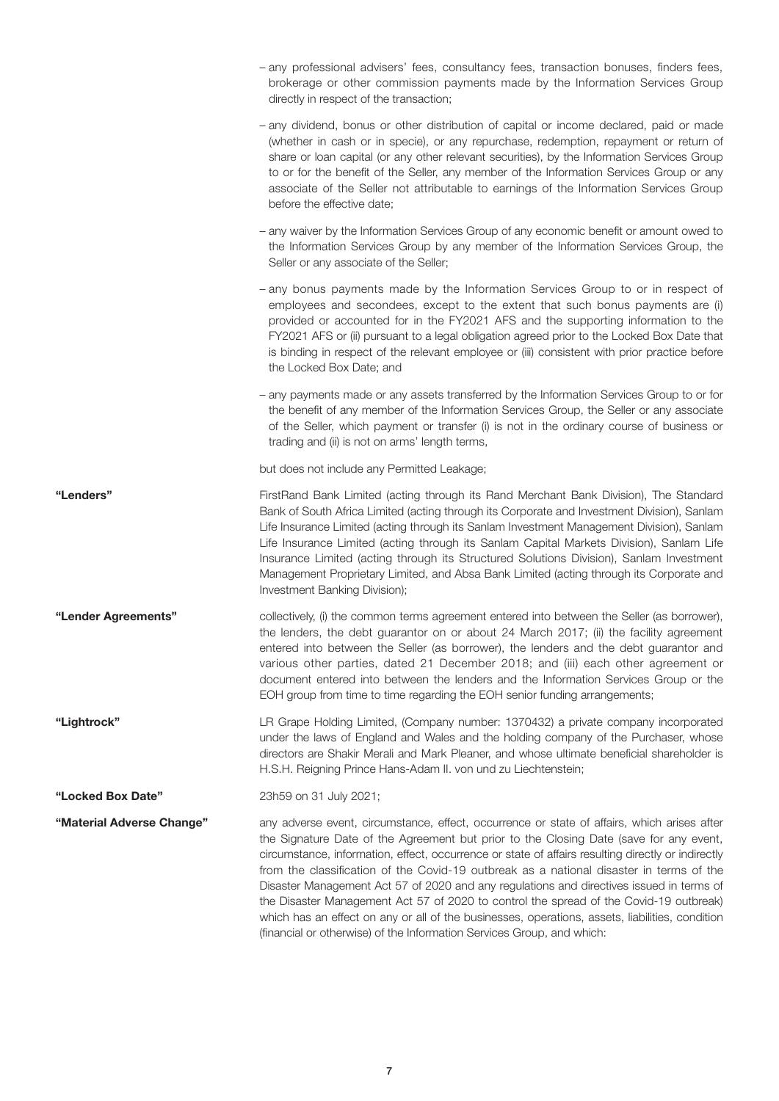|                           | - any professional advisers' fees, consultancy fees, transaction bonuses, finders fees,<br>brokerage or other commission payments made by the Information Services Group<br>directly in respect of the transaction;                                                                                                                                                                                                                                                                                                                                                                                                                                                                                                                                       |
|---------------------------|-----------------------------------------------------------------------------------------------------------------------------------------------------------------------------------------------------------------------------------------------------------------------------------------------------------------------------------------------------------------------------------------------------------------------------------------------------------------------------------------------------------------------------------------------------------------------------------------------------------------------------------------------------------------------------------------------------------------------------------------------------------|
|                           | - any dividend, bonus or other distribution of capital or income declared, paid or made<br>(whether in cash or in specie), or any repurchase, redemption, repayment or return of<br>share or loan capital (or any other relevant securities), by the Information Services Group<br>to or for the benefit of the Seller, any member of the Information Services Group or any<br>associate of the Seller not attributable to earnings of the Information Services Group<br>before the effective date;                                                                                                                                                                                                                                                       |
|                           | - any waiver by the Information Services Group of any economic benefit or amount owed to<br>the Information Services Group by any member of the Information Services Group, the<br>Seller or any associate of the Seller;                                                                                                                                                                                                                                                                                                                                                                                                                                                                                                                                 |
|                           | - any bonus payments made by the Information Services Group to or in respect of<br>employees and secondees, except to the extent that such bonus payments are (i)<br>provided or accounted for in the FY2021 AFS and the supporting information to the<br>FY2021 AFS or (ii) pursuant to a legal obligation agreed prior to the Locked Box Date that<br>is binding in respect of the relevant employee or (iii) consistent with prior practice before<br>the Locked Box Date; and                                                                                                                                                                                                                                                                         |
|                           | - any payments made or any assets transferred by the Information Services Group to or for<br>the benefit of any member of the Information Services Group, the Seller or any associate<br>of the Seller, which payment or transfer (i) is not in the ordinary course of business or<br>trading and (ii) is not on arms' length terms,                                                                                                                                                                                                                                                                                                                                                                                                                      |
|                           | but does not include any Permitted Leakage;                                                                                                                                                                                                                                                                                                                                                                                                                                                                                                                                                                                                                                                                                                               |
| "Lenders"                 | FirstRand Bank Limited (acting through its Rand Merchant Bank Division), The Standard<br>Bank of South Africa Limited (acting through its Corporate and Investment Division), Sanlam<br>Life Insurance Limited (acting through its Sanlam Investment Management Division), Sanlam<br>Life Insurance Limited (acting through its Sanlam Capital Markets Division), Sanlam Life<br>Insurance Limited (acting through its Structured Solutions Division), Sanlam Investment<br>Management Proprietary Limited, and Absa Bank Limited (acting through its Corporate and<br>Investment Banking Division);                                                                                                                                                      |
| "Lender Agreements"       | collectively, (i) the common terms agreement entered into between the Seller (as borrower),<br>the lenders, the debt guarantor on or about 24 March 2017; (ii) the facility agreement<br>entered into between the Seller (as borrower), the lenders and the debt guarantor and<br>various other parties, dated 21 December 2018; and (iii) each other agreement or<br>document entered into between the lenders and the Information Services Group or the<br>EOH group from time to time regarding the EOH senior funding arrangements;                                                                                                                                                                                                                   |
| "Lightrock"               | LR Grape Holding Limited, (Company number: 1370432) a private company incorporated<br>under the laws of England and Wales and the holding company of the Purchaser, whose<br>directors are Shakir Merali and Mark Pleaner, and whose ultimate beneficial shareholder is<br>H.S.H. Reigning Prince Hans-Adam II. von und zu Liechtenstein;                                                                                                                                                                                                                                                                                                                                                                                                                 |
| "Locked Box Date"         | 23h59 on 31 July 2021;                                                                                                                                                                                                                                                                                                                                                                                                                                                                                                                                                                                                                                                                                                                                    |
| "Material Adverse Change" | any adverse event, circumstance, effect, occurrence or state of affairs, which arises after<br>the Signature Date of the Agreement but prior to the Closing Date (save for any event,<br>circumstance, information, effect, occurrence or state of affairs resulting directly or indirectly<br>from the classification of the Covid-19 outbreak as a national disaster in terms of the<br>Disaster Management Act 57 of 2020 and any regulations and directives issued in terms of<br>the Disaster Management Act 57 of 2020 to control the spread of the Covid-19 outbreak)<br>which has an effect on any or all of the businesses, operations, assets, liabilities, condition<br>(financial or otherwise) of the Information Services Group, and which: |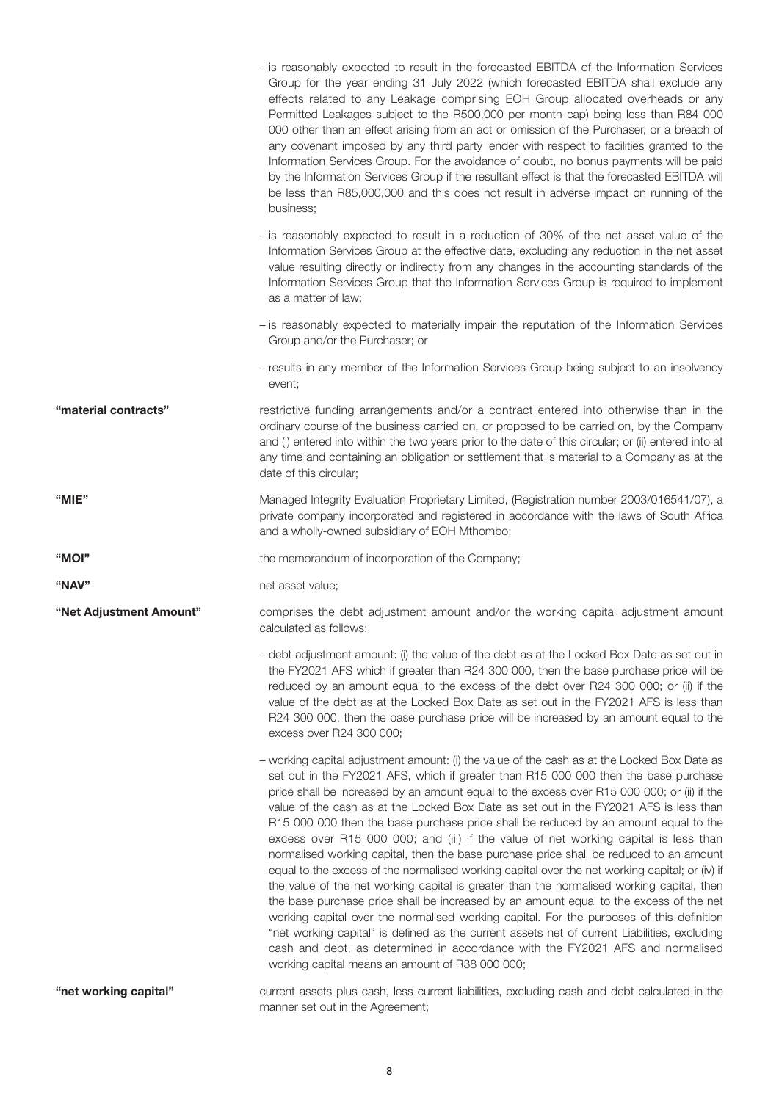|                         | - is reasonably expected to result in the forecasted EBITDA of the Information Services<br>Group for the year ending 31 July 2022 (which forecasted EBITDA shall exclude any<br>effects related to any Leakage comprising EOH Group allocated overheads or any<br>Permitted Leakages subject to the R500,000 per month cap) being less than R84 000<br>000 other than an effect arising from an act or omission of the Purchaser, or a breach of<br>any covenant imposed by any third party lender with respect to facilities granted to the<br>Information Services Group. For the avoidance of doubt, no bonus payments will be paid<br>by the Information Services Group if the resultant effect is that the forecasted EBITDA will<br>be less than R85,000,000 and this does not result in adverse impact on running of the<br>business;                                                                                                                                                                                                                                                                                                                                                                                                                               |
|-------------------------|----------------------------------------------------------------------------------------------------------------------------------------------------------------------------------------------------------------------------------------------------------------------------------------------------------------------------------------------------------------------------------------------------------------------------------------------------------------------------------------------------------------------------------------------------------------------------------------------------------------------------------------------------------------------------------------------------------------------------------------------------------------------------------------------------------------------------------------------------------------------------------------------------------------------------------------------------------------------------------------------------------------------------------------------------------------------------------------------------------------------------------------------------------------------------------------------------------------------------------------------------------------------------|
|                         | - is reasonably expected to result in a reduction of 30% of the net asset value of the<br>Information Services Group at the effective date, excluding any reduction in the net asset<br>value resulting directly or indirectly from any changes in the accounting standards of the<br>Information Services Group that the Information Services Group is required to implement<br>as a matter of law;                                                                                                                                                                                                                                                                                                                                                                                                                                                                                                                                                                                                                                                                                                                                                                                                                                                                       |
|                         | - is reasonably expected to materially impair the reputation of the Information Services<br>Group and/or the Purchaser; or                                                                                                                                                                                                                                                                                                                                                                                                                                                                                                                                                                                                                                                                                                                                                                                                                                                                                                                                                                                                                                                                                                                                                 |
|                         | - results in any member of the Information Services Group being subject to an insolvency<br>event;                                                                                                                                                                                                                                                                                                                                                                                                                                                                                                                                                                                                                                                                                                                                                                                                                                                                                                                                                                                                                                                                                                                                                                         |
| "material contracts"    | restrictive funding arrangements and/or a contract entered into otherwise than in the<br>ordinary course of the business carried on, or proposed to be carried on, by the Company<br>and (i) entered into within the two years prior to the date of this circular; or (ii) entered into at<br>any time and containing an obligation or settlement that is material to a Company as at the<br>date of this circular;                                                                                                                                                                                                                                                                                                                                                                                                                                                                                                                                                                                                                                                                                                                                                                                                                                                        |
| "MIE"                   | Managed Integrity Evaluation Proprietary Limited, (Registration number 2003/016541/07), a<br>private company incorporated and registered in accordance with the laws of South Africa<br>and a wholly-owned subsidiary of EOH Mthombo;                                                                                                                                                                                                                                                                                                                                                                                                                                                                                                                                                                                                                                                                                                                                                                                                                                                                                                                                                                                                                                      |
| "MOI"                   | the memorandum of incorporation of the Company;                                                                                                                                                                                                                                                                                                                                                                                                                                                                                                                                                                                                                                                                                                                                                                                                                                                                                                                                                                                                                                                                                                                                                                                                                            |
| "NAV"                   | net asset value;                                                                                                                                                                                                                                                                                                                                                                                                                                                                                                                                                                                                                                                                                                                                                                                                                                                                                                                                                                                                                                                                                                                                                                                                                                                           |
| "Net Adjustment Amount" | comprises the debt adjustment amount and/or the working capital adjustment amount<br>calculated as follows:                                                                                                                                                                                                                                                                                                                                                                                                                                                                                                                                                                                                                                                                                                                                                                                                                                                                                                                                                                                                                                                                                                                                                                |
|                         | - debt adjustment amount: (i) the value of the debt as at the Locked Box Date as set out in<br>the FY2021 AFS which if greater than R24 300 000, then the base purchase price will be<br>reduced by an amount equal to the excess of the debt over R24 300 000; or (ii) if the<br>value of the debt as at the Locked Box Date as set out in the FY2021 AFS is less than<br>R24 300 000, then the base purchase price will be increased by an amount equal to the<br>excess over R24 300 000;                                                                                                                                                                                                                                                                                                                                                                                                                                                                                                                                                                                                                                                                                                                                                                               |
|                         | - working capital adjustment amount: (i) the value of the cash as at the Locked Box Date as<br>set out in the FY2021 AFS, which if greater than R15 000 000 then the base purchase<br>price shall be increased by an amount equal to the excess over R15 000 000; or (ii) if the<br>value of the cash as at the Locked Box Date as set out in the FY2021 AFS is less than<br>R15 000 000 then the base purchase price shall be reduced by an amount equal to the<br>excess over R15 000 000; and (iii) if the value of net working capital is less than<br>normalised working capital, then the base purchase price shall be reduced to an amount<br>equal to the excess of the normalised working capital over the net working capital; or (iv) if<br>the value of the net working capital is greater than the normalised working capital, then<br>the base purchase price shall be increased by an amount equal to the excess of the net<br>working capital over the normalised working capital. For the purposes of this definition<br>"net working capital" is defined as the current assets net of current Liabilities, excluding<br>cash and debt, as determined in accordance with the FY2021 AFS and normalised<br>working capital means an amount of R38 000 000; |
| "net working capital"   | current assets plus cash, less current liabilities, excluding cash and debt calculated in the<br>manner set out in the Agreement;                                                                                                                                                                                                                                                                                                                                                                                                                                                                                                                                                                                                                                                                                                                                                                                                                                                                                                                                                                                                                                                                                                                                          |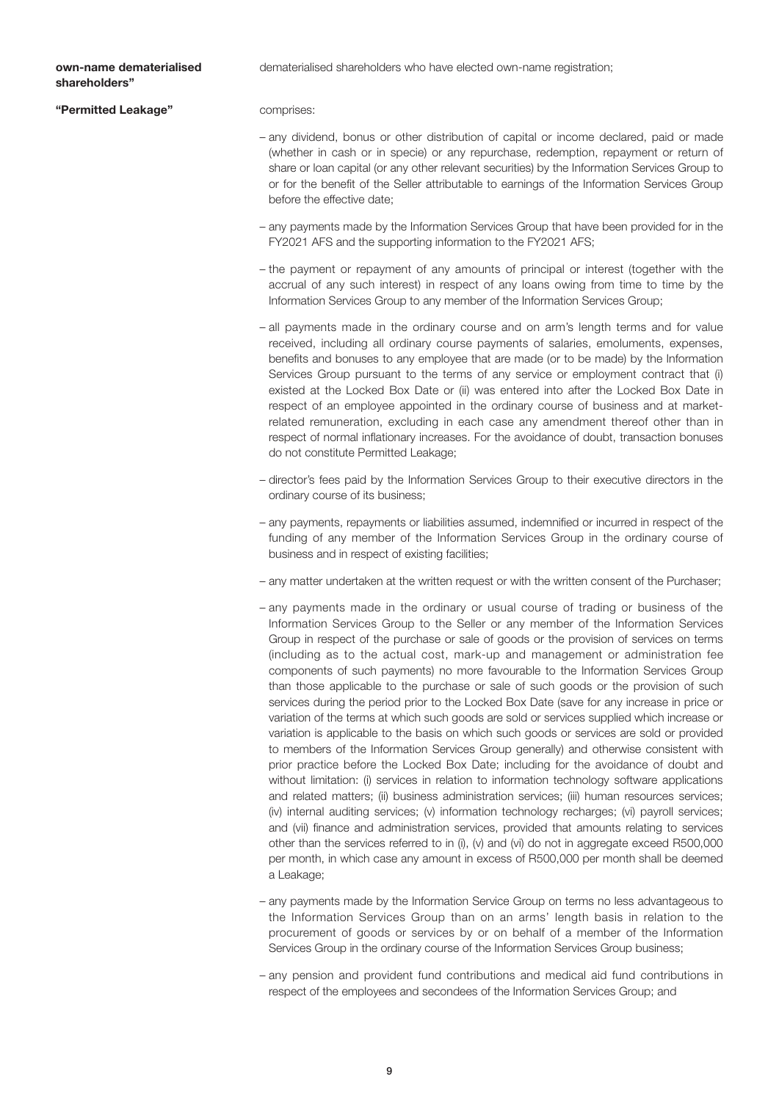#### own-name dematerialised shareholders"

dematerialised shareholders who have elected own-name registration;

"Permitted Leakage" **comprises**:

- any dividend, bonus or other distribution of capital or income declared, paid or made (whether in cash or in specie) or any repurchase, redemption, repayment or return of share or loan capital (or any other relevant securities) by the Information Services Group to or for the benefit of the Seller attributable to earnings of the Information Services Group before the effective date;
- any payments made by the Information Services Group that have been provided for in the FY2021 AFS and the supporting information to the FY2021 AFS;
- the payment or repayment of any amounts of principal or interest (together with the accrual of any such interest) in respect of any loans owing from time to time by the Information Services Group to any member of the Information Services Group;
- all payments made in the ordinary course and on arm's length terms and for value received, including all ordinary course payments of salaries, emoluments, expenses, benefits and bonuses to any employee that are made (or to be made) by the Information Services Group pursuant to the terms of any service or employment contract that (i) existed at the Locked Box Date or (ii) was entered into after the Locked Box Date in respect of an employee appointed in the ordinary course of business and at marketrelated remuneration, excluding in each case any amendment thereof other than in respect of normal inflationary increases. For the avoidance of doubt, transaction bonuses do not constitute Permitted Leakage;
- director's fees paid by the Information Services Group to their executive directors in the ordinary course of its business;
- any payments, repayments or liabilities assumed, indemnified or incurred in respect of the funding of any member of the Information Services Group in the ordinary course of business and in respect of existing facilities;
- any matter undertaken at the written request or with the written consent of the Purchaser;
- any payments made in the ordinary or usual course of trading or business of the Information Services Group to the Seller or any member of the Information Services Group in respect of the purchase or sale of goods or the provision of services on terms (including as to the actual cost, mark-up and management or administration fee components of such payments) no more favourable to the Information Services Group than those applicable to the purchase or sale of such goods or the provision of such services during the period prior to the Locked Box Date (save for any increase in price or variation of the terms at which such goods are sold or services supplied which increase or variation is applicable to the basis on which such goods or services are sold or provided to members of the Information Services Group generally) and otherwise consistent with prior practice before the Locked Box Date; including for the avoidance of doubt and without limitation: (i) services in relation to information technology software applications and related matters; (ii) business administration services; (iii) human resources services; (iv) internal auditing services; (v) information technology recharges; (vi) payroll services; and (vii) finance and administration services, provided that amounts relating to services other than the services referred to in (i), (v) and (vi) do not in aggregate exceed R500,000 per month, in which case any amount in excess of R500,000 per month shall be deemed a Leakage;
- any payments made by the Information Service Group on terms no less advantageous to the Information Services Group than on an arms' length basis in relation to the procurement of goods or services by or on behalf of a member of the Information Services Group in the ordinary course of the Information Services Group business;
- any pension and provident fund contributions and medical aid fund contributions in respect of the employees and secondees of the Information Services Group; and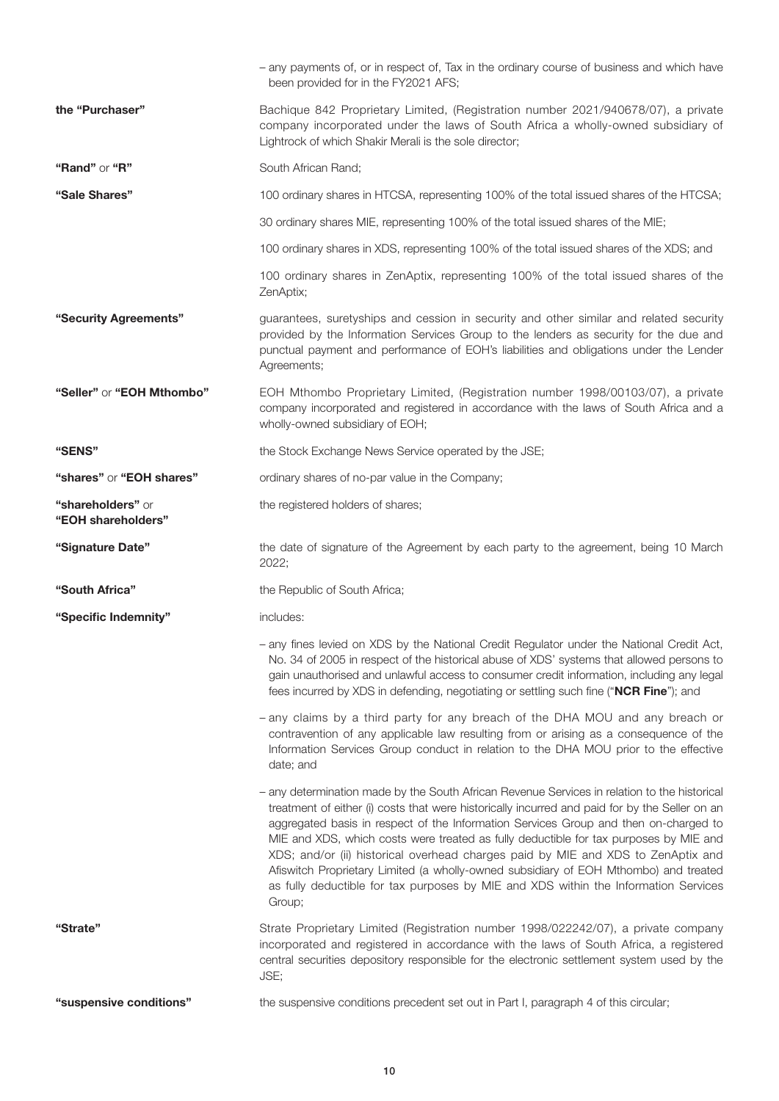| "Strate"                                | Information Services Group conduct in relation to the DHA MOU prior to the effective<br>date; and<br>- any determination made by the South African Revenue Services in relation to the historical<br>treatment of either (i) costs that were historically incurred and paid for by the Seller on an<br>aggregated basis in respect of the Information Services Group and then on-charged to<br>MIE and XDS, which costs were treated as fully deductible for tax purposes by MIE and<br>XDS; and/or (ii) historical overhead charges paid by MIE and XDS to ZenAptix and<br>Afiswitch Proprietary Limited (a wholly-owned subsidiary of EOH Mthombo) and treated<br>as fully deductible for tax purposes by MIE and XDS within the Information Services<br>Group;<br>Strate Proprietary Limited (Registration number 1998/022242/07), a private company<br>incorporated and registered in accordance with the laws of South Africa, a registered<br>central securities depository responsible for the electronic settlement system used by the<br>JSE; |
|-----------------------------------------|--------------------------------------------------------------------------------------------------------------------------------------------------------------------------------------------------------------------------------------------------------------------------------------------------------------------------------------------------------------------------------------------------------------------------------------------------------------------------------------------------------------------------------------------------------------------------------------------------------------------------------------------------------------------------------------------------------------------------------------------------------------------------------------------------------------------------------------------------------------------------------------------------------------------------------------------------------------------------------------------------------------------------------------------------------|
|                                         |                                                                                                                                                                                                                                                                                                                                                                                                                                                                                                                                                                                                                                                                                                                                                                                                                                                                                                                                                                                                                                                        |
|                                         |                                                                                                                                                                                                                                                                                                                                                                                                                                                                                                                                                                                                                                                                                                                                                                                                                                                                                                                                                                                                                                                        |
|                                         | - any claims by a third party for any breach of the DHA MOU and any breach or<br>contravention of any applicable law resulting from or arising as a consequence of the                                                                                                                                                                                                                                                                                                                                                                                                                                                                                                                                                                                                                                                                                                                                                                                                                                                                                 |
|                                         | - any fines levied on XDS by the National Credit Regulator under the National Credit Act,<br>No. 34 of 2005 in respect of the historical abuse of XDS' systems that allowed persons to<br>gain unauthorised and unlawful access to consumer credit information, including any legal<br>fees incurred by XDS in defending, negotiating or settling such fine ("NCR Fine"); and                                                                                                                                                                                                                                                                                                                                                                                                                                                                                                                                                                                                                                                                          |
| "Specific Indemnity"                    | includes:                                                                                                                                                                                                                                                                                                                                                                                                                                                                                                                                                                                                                                                                                                                                                                                                                                                                                                                                                                                                                                              |
| "South Africa"                          | the Republic of South Africa;                                                                                                                                                                                                                                                                                                                                                                                                                                                                                                                                                                                                                                                                                                                                                                                                                                                                                                                                                                                                                          |
| "Signature Date"                        | the date of signature of the Agreement by each party to the agreement, being 10 March<br>2022;                                                                                                                                                                                                                                                                                                                                                                                                                                                                                                                                                                                                                                                                                                                                                                                                                                                                                                                                                         |
| "shareholders" or<br>"EOH shareholders" | the registered holders of shares;                                                                                                                                                                                                                                                                                                                                                                                                                                                                                                                                                                                                                                                                                                                                                                                                                                                                                                                                                                                                                      |
| "shares" or "EOH shares"                | ordinary shares of no-par value in the Company;                                                                                                                                                                                                                                                                                                                                                                                                                                                                                                                                                                                                                                                                                                                                                                                                                                                                                                                                                                                                        |
| "SENS"                                  | the Stock Exchange News Service operated by the JSE;                                                                                                                                                                                                                                                                                                                                                                                                                                                                                                                                                                                                                                                                                                                                                                                                                                                                                                                                                                                                   |
| "Seller" or "EOH Mthombo"               | EOH Mthombo Proprietary Limited, (Registration number 1998/00103/07), a private<br>company incorporated and registered in accordance with the laws of South Africa and a<br>wholly-owned subsidiary of EOH;                                                                                                                                                                                                                                                                                                                                                                                                                                                                                                                                                                                                                                                                                                                                                                                                                                            |
| "Security Agreements"                   | guarantees, suretyships and cession in security and other similar and related security<br>provided by the Information Services Group to the lenders as security for the due and<br>punctual payment and performance of EOH's liabilities and obligations under the Lender<br>Agreements;                                                                                                                                                                                                                                                                                                                                                                                                                                                                                                                                                                                                                                                                                                                                                               |
|                                         | 100 ordinary shares in ZenAptix, representing 100% of the total issued shares of the<br>ZenAptix;                                                                                                                                                                                                                                                                                                                                                                                                                                                                                                                                                                                                                                                                                                                                                                                                                                                                                                                                                      |
|                                         | 100 ordinary shares in XDS, representing 100% of the total issued shares of the XDS; and                                                                                                                                                                                                                                                                                                                                                                                                                                                                                                                                                                                                                                                                                                                                                                                                                                                                                                                                                               |
|                                         | 30 ordinary shares MIE, representing 100% of the total issued shares of the MIE;                                                                                                                                                                                                                                                                                                                                                                                                                                                                                                                                                                                                                                                                                                                                                                                                                                                                                                                                                                       |
| "Sale Shares"                           | 100 ordinary shares in HTCSA, representing 100% of the total issued shares of the HTCSA;                                                                                                                                                                                                                                                                                                                                                                                                                                                                                                                                                                                                                                                                                                                                                                                                                                                                                                                                                               |
| "Rand" or "R"                           | South African Rand;                                                                                                                                                                                                                                                                                                                                                                                                                                                                                                                                                                                                                                                                                                                                                                                                                                                                                                                                                                                                                                    |
|                                         | Bachique 842 Proprietary Limited, (Registration number 2021/940678/07), a private<br>company incorporated under the laws of South Africa a wholly-owned subsidiary of<br>Lightrock of which Shakir Merali is the sole director;                                                                                                                                                                                                                                                                                                                                                                                                                                                                                                                                                                                                                                                                                                                                                                                                                        |
| the "Purchaser"                         |                                                                                                                                                                                                                                                                                                                                                                                                                                                                                                                                                                                                                                                                                                                                                                                                                                                                                                                                                                                                                                                        |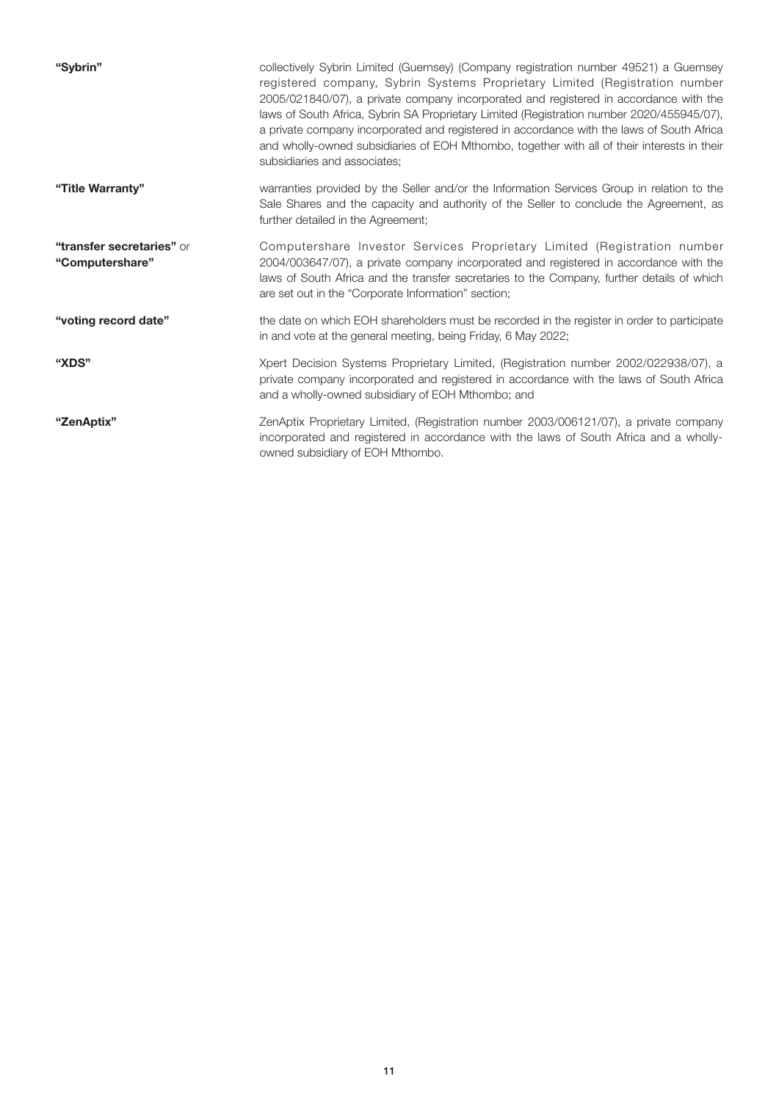| "Sybrin"                                     | collectively Sybrin Limited (Guernsey) (Company registration number 49521) a Guernsey<br>registered company, Sybrin Systems Proprietary Limited (Registration number<br>2005/021840/07), a private company incorporated and registered in accordance with the<br>laws of South Africa, Sybrin SA Proprietary Limited (Registration number 2020/455945/07),<br>a private company incorporated and registered in accordance with the laws of South Africa<br>and wholly-owned subsidiaries of EOH Mthombo, together with all of their interests in their<br>subsidiaries and associates; |
|----------------------------------------------|----------------------------------------------------------------------------------------------------------------------------------------------------------------------------------------------------------------------------------------------------------------------------------------------------------------------------------------------------------------------------------------------------------------------------------------------------------------------------------------------------------------------------------------------------------------------------------------|
| "Title Warranty"                             | warranties provided by the Seller and/or the Information Services Group in relation to the<br>Sale Shares and the capacity and authority of the Seller to conclude the Agreement, as<br>further detailed in the Agreement;                                                                                                                                                                                                                                                                                                                                                             |
| "transfer secretaries" or<br>"Computershare" | Computershare Investor Services Proprietary Limited (Registration number<br>2004/003647/07), a private company incorporated and registered in accordance with the<br>laws of South Africa and the transfer secretaries to the Company, further details of which<br>are set out in the "Corporate Information" section;                                                                                                                                                                                                                                                                 |
| "voting record date"                         | the date on which EOH shareholders must be recorded in the register in order to participate<br>in and vote at the general meeting, being Friday, 6 May 2022;                                                                                                                                                                                                                                                                                                                                                                                                                           |
| "XDS"                                        | Xpert Decision Systems Proprietary Limited, (Registration number 2002/022938/07), a<br>private company incorporated and registered in accordance with the laws of South Africa<br>and a wholly-owned subsidiary of EOH Mthombo; and                                                                                                                                                                                                                                                                                                                                                    |
| "ZenAptix"                                   | ZenAptix Proprietary Limited, (Registration number 2003/006121/07), a private company<br>incorporated and registered in accordance with the laws of South Africa and a wholly-<br>owned subsidiary of EOH Mthombo.                                                                                                                                                                                                                                                                                                                                                                     |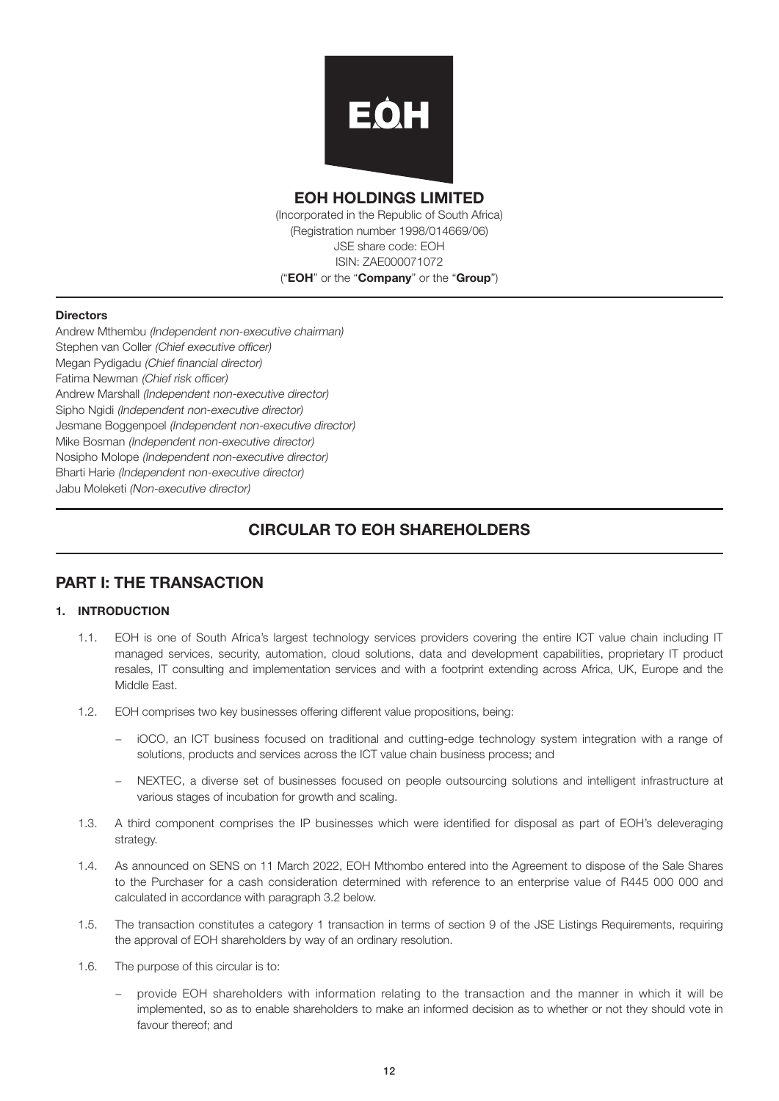

## EOH HOLDINGS LIMITED

(Incorporated in the Republic of South Africa) (Registration number 1998/014669/06) JSE share code: EOH ISIN: ZAE000071072 ("EOH" or the "Company" or the "Group")

#### **Directors**

Andrew Mthembu (Independent non-executive chairman) Stephen van Coller (Chief executive officer) Megan Pydigadu (Chief financial director) Fatima Newman (Chief risk officer) Andrew Marshall (Independent non-executive director) Sipho Naidi *(Independent non-executive director)* Jesmane Boggenpoel (Independent non-executive director) Mike Bosman (Independent non-executive director) Nosipho Molope (Independent non-executive director) Bharti Harie (Independent non-executive director) Jabu Moleketi (Non-executive director)

## CIRCULAR TO EOH SHAREHOLDERS

## PART I: THE TRANSACTION

#### 1. INTRODUCTION

- 1.1. EOH is one of South Africa's largest technology services providers covering the entire ICT value chain including IT managed services, security, automation, cloud solutions, data and development capabilities, proprietary IT product resales, IT consulting and implementation services and with a footprint extending across Africa, UK, Europe and the Middle East.
- 1.2. EOH comprises two key businesses offering different value propositions, being:
	- − iOCO, an ICT business focused on traditional and cutting-edge technology system integration with a range of solutions, products and services across the ICT value chain business process; and
	- − NEXTEC, a diverse set of businesses focused on people outsourcing solutions and intelligent infrastructure at various stages of incubation for growth and scaling.
- 1.3. A third component comprises the IP businesses which were identified for disposal as part of EOH's deleveraging strategy.
- 1.4. As announced on SENS on 11 March 2022, EOH Mthombo entered into the Agreement to dispose of the Sale Shares to the Purchaser for a cash consideration determined with reference to an enterprise value of R445 000 000 and calculated in accordance with paragraph 3.2 below.
- 1.5. The transaction constitutes a category 1 transaction in terms of section 9 of the JSE Listings Requirements, requiring the approval of EOH shareholders by way of an ordinary resolution.
- 1.6. The purpose of this circular is to:
	- provide EOH shareholders with information relating to the transaction and the manner in which it will be implemented, so as to enable shareholders to make an informed decision as to whether or not they should vote in favour thereof; and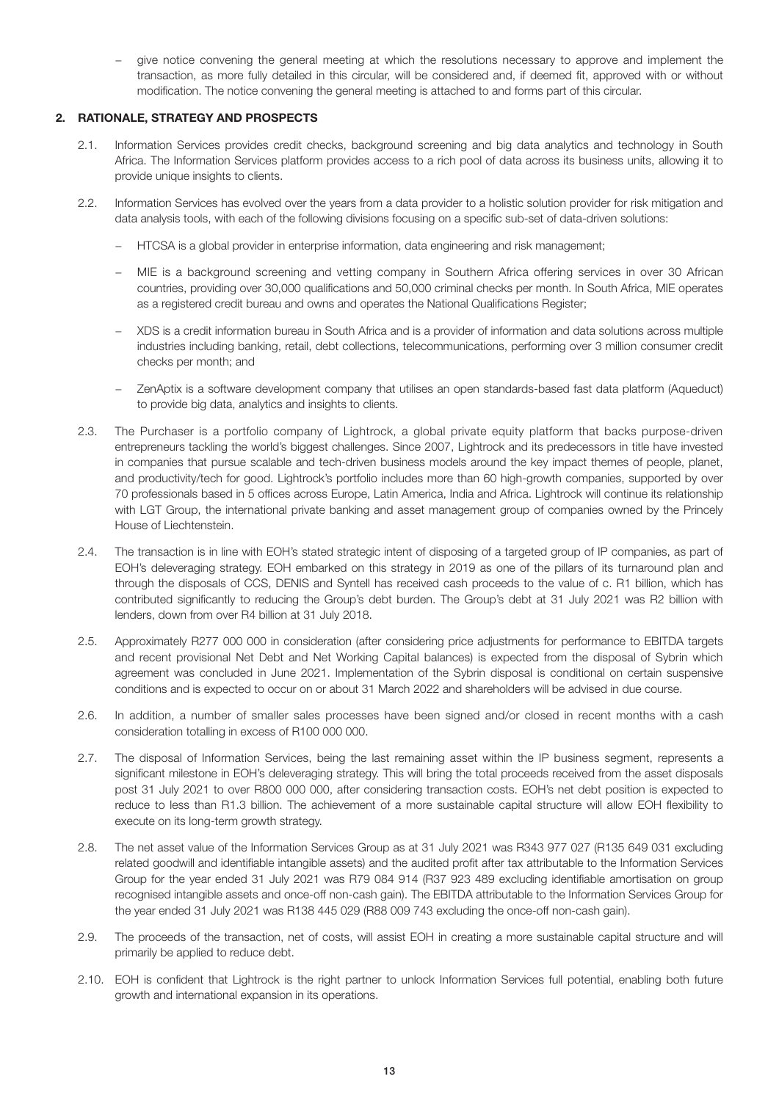− give notice convening the general meeting at which the resolutions necessary to approve and implement the transaction, as more fully detailed in this circular, will be considered and, if deemed fit, approved with or without modification. The notice convening the general meeting is attached to and forms part of this circular.

#### 2. RATIONALE, STRATEGY AND PROSPECTS

- 2.1. Information Services provides credit checks, background screening and big data analytics and technology in South Africa. The Information Services platform provides access to a rich pool of data across its business units, allowing it to provide unique insights to clients.
- 2.2. Information Services has evolved over the years from a data provider to a holistic solution provider for risk mitigation and data analysis tools, with each of the following divisions focusing on a specific sub-set of data-driven solutions:
	- − HTCSA is a global provider in enterprise information, data engineering and risk management;
	- − MIE is a background screening and vetting company in Southern Africa offering services in over 30 African countries, providing over 30,000 qualifications and 50,000 criminal checks per month. In South Africa, MIE operates as a registered credit bureau and owns and operates the National Qualifications Register;
	- − XDS is a credit information bureau in South Africa and is a provider of information and data solutions across multiple industries including banking, retail, debt collections, telecommunications, performing over 3 million consumer credit checks per month; and
	- − ZenAptix is a software development company that utilises an open standards-based fast data platform (Aqueduct) to provide big data, analytics and insights to clients.
- 2.3. The Purchaser is a portfolio company of Lightrock, a global private equity platform that backs purpose-driven entrepreneurs tackling the world's biggest challenges. Since 2007, Lightrock and its predecessors in title have invested in companies that pursue scalable and tech-driven business models around the key impact themes of people, planet, and productivity/tech for good. Lightrock's portfolio includes more than 60 high-growth companies, supported by over 70 professionals based in 5 offices across Europe, Latin America, India and Africa. Lightrock will continue its relationship with LGT Group, the international private banking and asset management group of companies owned by the Princely House of Liechtenstein.
- 2.4. The transaction is in line with EOH's stated strategic intent of disposing of a targeted group of IP companies, as part of EOH's deleveraging strategy. EOH embarked on this strategy in 2019 as one of the pillars of its turnaround plan and through the disposals of CCS, DENIS and Syntell has received cash proceeds to the value of c. R1 billion, which has contributed significantly to reducing the Group's debt burden. The Group's debt at 31 July 2021 was R2 billion with lenders, down from over R4 billion at 31 July 2018.
- 2.5. Approximately R277 000 000 in consideration (after considering price adjustments for performance to EBITDA targets and recent provisional Net Debt and Net Working Capital balances) is expected from the disposal of Sybrin which agreement was concluded in June 2021. Implementation of the Sybrin disposal is conditional on certain suspensive conditions and is expected to occur on or about 31 March 2022 and shareholders will be advised in due course.
- 2.6. In addition, a number of smaller sales processes have been signed and/or closed in recent months with a cash consideration totalling in excess of R100 000 000.
- 2.7. The disposal of Information Services, being the last remaining asset within the IP business segment, represents a significant milestone in EOH's deleveraging strategy. This will bring the total proceeds received from the asset disposals post 31 July 2021 to over R800 000 000, after considering transaction costs. EOH's net debt position is expected to reduce to less than R1.3 billion. The achievement of a more sustainable capital structure will allow EOH flexibility to execute on its long-term growth strategy.
- 2.8. The net asset value of the Information Services Group as at 31 July 2021 was R343 977 027 (R135 649 031 excluding related goodwill and identifiable intangible assets) and the audited profit after tax attributable to the Information Services Group for the year ended 31 July 2021 was R79 084 914 (R37 923 489 excluding identifiable amortisation on group recognised intangible assets and once-off non-cash gain). The EBITDA attributable to the Information Services Group for the year ended 31 July 2021 was R138 445 029 (R88 009 743 excluding the once-off non-cash gain).
- 2.9. The proceeds of the transaction, net of costs, will assist EOH in creating a more sustainable capital structure and will primarily be applied to reduce debt.
- 2.10. EOH is confident that Lightrock is the right partner to unlock Information Services full potential, enabling both future growth and international expansion in its operations.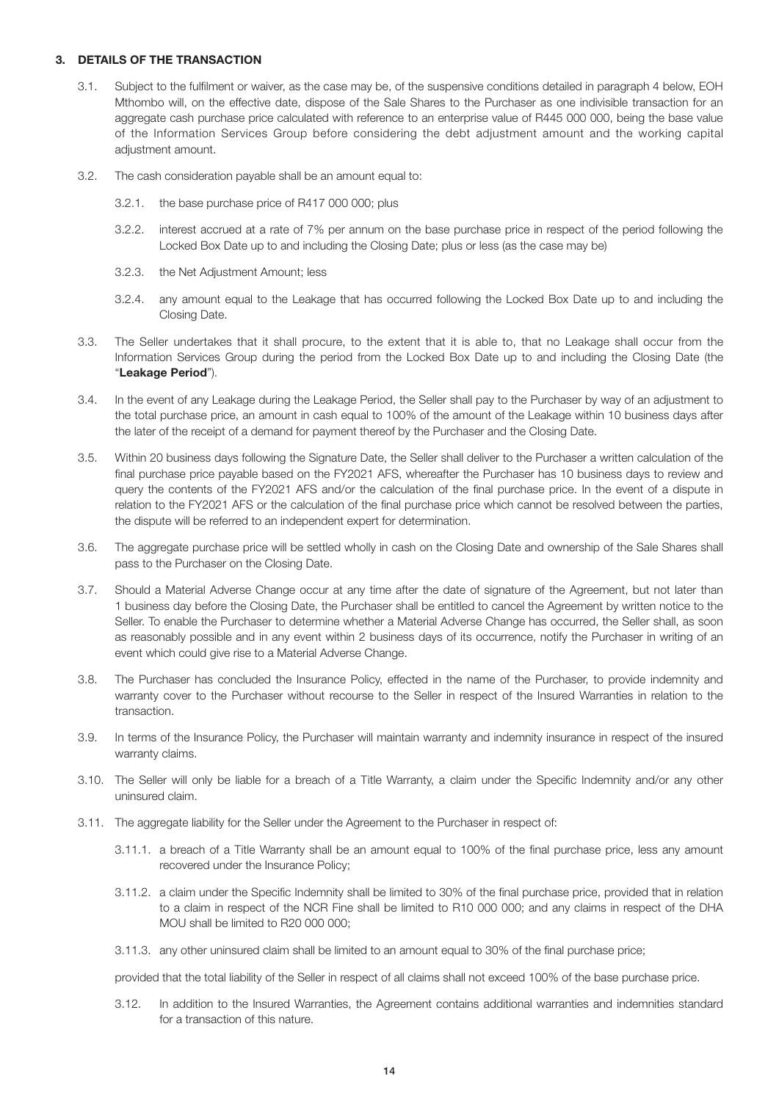#### 3. DETAILS OF THE TRANSACTION

- 3.1. Subject to the fulfilment or waiver, as the case may be, of the suspensive conditions detailed in paragraph 4 below, EOH Mthombo will, on the effective date, dispose of the Sale Shares to the Purchaser as one indivisible transaction for an aggregate cash purchase price calculated with reference to an enterprise value of R445 000 000, being the base value of the Information Services Group before considering the debt adjustment amount and the working capital adjustment amount.
- 3.2. The cash consideration payable shall be an amount equal to:
	- 3.2.1. the base purchase price of R417 000 000; plus
	- 3.2.2. interest accrued at a rate of 7% per annum on the base purchase price in respect of the period following the Locked Box Date up to and including the Closing Date; plus or less (as the case may be)
	- 3.2.3. the Net Adjustment Amount; less
	- 3.2.4. any amount equal to the Leakage that has occurred following the Locked Box Date up to and including the Closing Date.
- 3.3. The Seller undertakes that it shall procure, to the extent that it is able to, that no Leakage shall occur from the Information Services Group during the period from the Locked Box Date up to and including the Closing Date (the "Leakage Period").
- 3.4. In the event of any Leakage during the Leakage Period, the Seller shall pay to the Purchaser by way of an adjustment to the total purchase price, an amount in cash equal to 100% of the amount of the Leakage within 10 business days after the later of the receipt of a demand for payment thereof by the Purchaser and the Closing Date.
- 3.5. Within 20 business days following the Signature Date, the Seller shall deliver to the Purchaser a written calculation of the final purchase price payable based on the FY2021 AFS, whereafter the Purchaser has 10 business days to review and query the contents of the FY2021 AFS and/or the calculation of the final purchase price. In the event of a dispute in relation to the FY2021 AFS or the calculation of the final purchase price which cannot be resolved between the parties, the dispute will be referred to an independent expert for determination.
- 3.6. The aggregate purchase price will be settled wholly in cash on the Closing Date and ownership of the Sale Shares shall pass to the Purchaser on the Closing Date.
- 3.7. Should a Material Adverse Change occur at any time after the date of signature of the Agreement, but not later than 1 business day before the Closing Date, the Purchaser shall be entitled to cancel the Agreement by written notice to the Seller. To enable the Purchaser to determine whether a Material Adverse Change has occurred, the Seller shall, as soon as reasonably possible and in any event within 2 business days of its occurrence, notify the Purchaser in writing of an event which could give rise to a Material Adverse Change.
- 3.8. The Purchaser has concluded the Insurance Policy, effected in the name of the Purchaser, to provide indemnity and warranty cover to the Purchaser without recourse to the Seller in respect of the Insured Warranties in relation to the transaction.
- 3.9. In terms of the Insurance Policy, the Purchaser will maintain warranty and indemnity insurance in respect of the insured warranty claims.
- 3.10. The Seller will only be liable for a breach of a Title Warranty, a claim under the Specific Indemnity and/or any other uninsured claim.
- 3.11. The aggregate liability for the Seller under the Agreement to the Purchaser in respect of:
	- 3.11.1. a breach of a Title Warranty shall be an amount equal to 100% of the final purchase price, less any amount recovered under the Insurance Policy;
	- 3.11.2. a claim under the Specific Indemnity shall be limited to 30% of the final purchase price, provided that in relation to a claim in respect of the NCR Fine shall be limited to R10 000 000; and any claims in respect of the DHA MOU shall be limited to R20 000 000;
	- 3.11.3. any other uninsured claim shall be limited to an amount equal to 30% of the final purchase price;

provided that the total liability of the Seller in respect of all claims shall not exceed 100% of the base purchase price.

 3.12. In addition to the Insured Warranties, the Agreement contains additional warranties and indemnities standard for a transaction of this nature.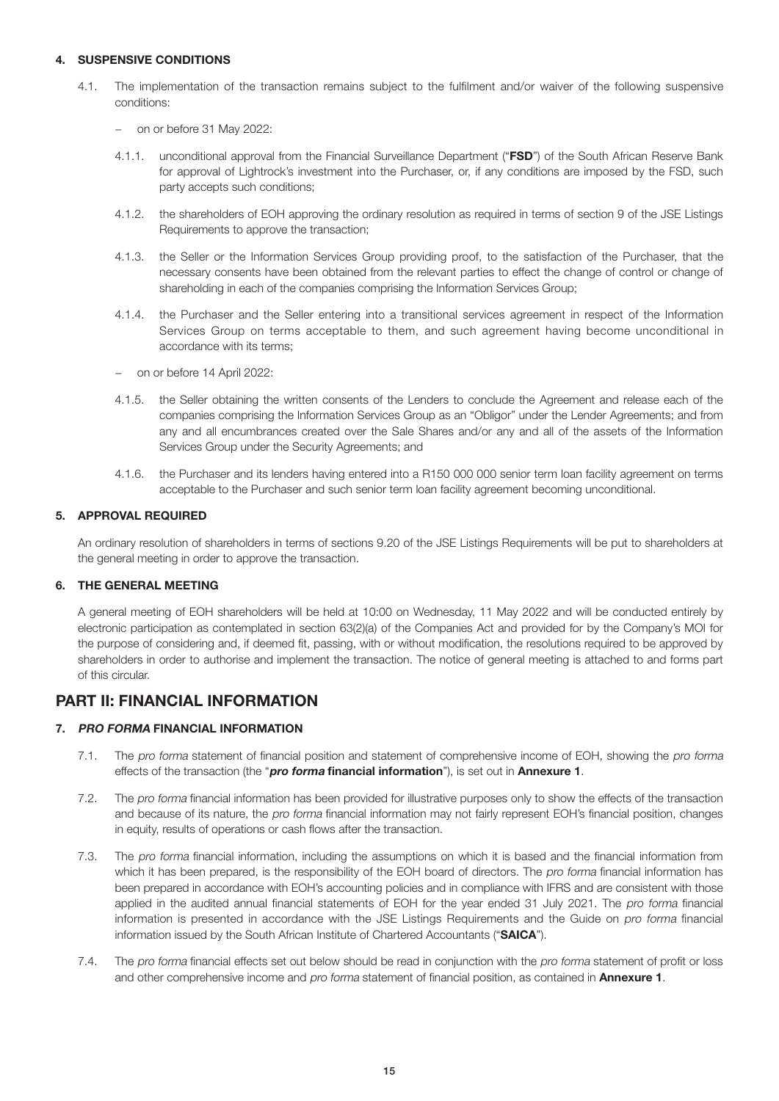#### 4. SUSPENSIVE CONDITIONS

- 4.1. The implementation of the transaction remains subject to the fulfilment and/or waiver of the following suspensive conditions:
	- − on or before 31 May 2022:
	- 4.1.1. unconditional approval from the Financial Surveillance Department ("FSD") of the South African Reserve Bank for approval of Lightrock's investment into the Purchaser, or, if any conditions are imposed by the FSD, such party accepts such conditions;
	- 4.1.2. the shareholders of EOH approving the ordinary resolution as required in terms of section 9 of the JSE Listings Requirements to approve the transaction;
	- 4.1.3. the Seller or the Information Services Group providing proof, to the satisfaction of the Purchaser, that the necessary consents have been obtained from the relevant parties to effect the change of control or change of shareholding in each of the companies comprising the Information Services Group;
	- 4.1.4. the Purchaser and the Seller entering into a transitional services agreement in respect of the Information Services Group on terms acceptable to them, and such agreement having become unconditional in accordance with its terms;
	- − on or before 14 April 2022:
	- 4.1.5. the Seller obtaining the written consents of the Lenders to conclude the Agreement and release each of the companies comprising the Information Services Group as an "Obligor" under the Lender Agreements; and from any and all encumbrances created over the Sale Shares and/or any and all of the assets of the Information Services Group under the Security Agreements; and
	- 4.1.6. the Purchaser and its lenders having entered into a R150 000 000 senior term loan facility agreement on terms acceptable to the Purchaser and such senior term loan facility agreement becoming unconditional.

#### 5. APPROVAL REQUIRED

 An ordinary resolution of shareholders in terms of sections 9.20 of the JSE Listings Requirements will be put to shareholders at the general meeting in order to approve the transaction.

#### 6. THE GENERAL MEETING

 A general meeting of EOH shareholders will be held at 10:00 on Wednesday, 11 May 2022 and will be conducted entirely by electronic participation as contemplated in section 63(2)(a) of the Companies Act and provided for by the Company's MOI for the purpose of considering and, if deemed fit, passing, with or without modification, the resolutions required to be approved by shareholders in order to authorise and implement the transaction. The notice of general meeting is attached to and forms part of this circular.

## PART II: FINANCIAL INFORMATION

#### 7. PRO FORMA FINANCIAL INFORMATION

- 7.1. The pro forma statement of financial position and statement of comprehensive income of EOH, showing the pro forma effects of the transaction (the "pro forma financial information"), is set out in Annexure 1.
- 7.2. The pro forma financial information has been provided for illustrative purposes only to show the effects of the transaction and because of its nature, the pro forma financial information may not fairly represent EOH's financial position, changes in equity, results of operations or cash flows after the transaction.
- 7.3. The pro forma financial information, including the assumptions on which it is based and the financial information from which it has been prepared, is the responsibility of the EOH board of directors. The pro forma financial information has been prepared in accordance with EOH's accounting policies and in compliance with IFRS and are consistent with those applied in the audited annual financial statements of EOH for the year ended 31 July 2021. The pro forma financial information is presented in accordance with the JSE Listings Requirements and the Guide on pro forma financial information issued by the South African Institute of Chartered Accountants ("SAICA").
- 7.4. The pro forma financial effects set out below should be read in conjunction with the pro forma statement of profit or loss and other comprehensive income and pro forma statement of financial position, as contained in Annexure 1.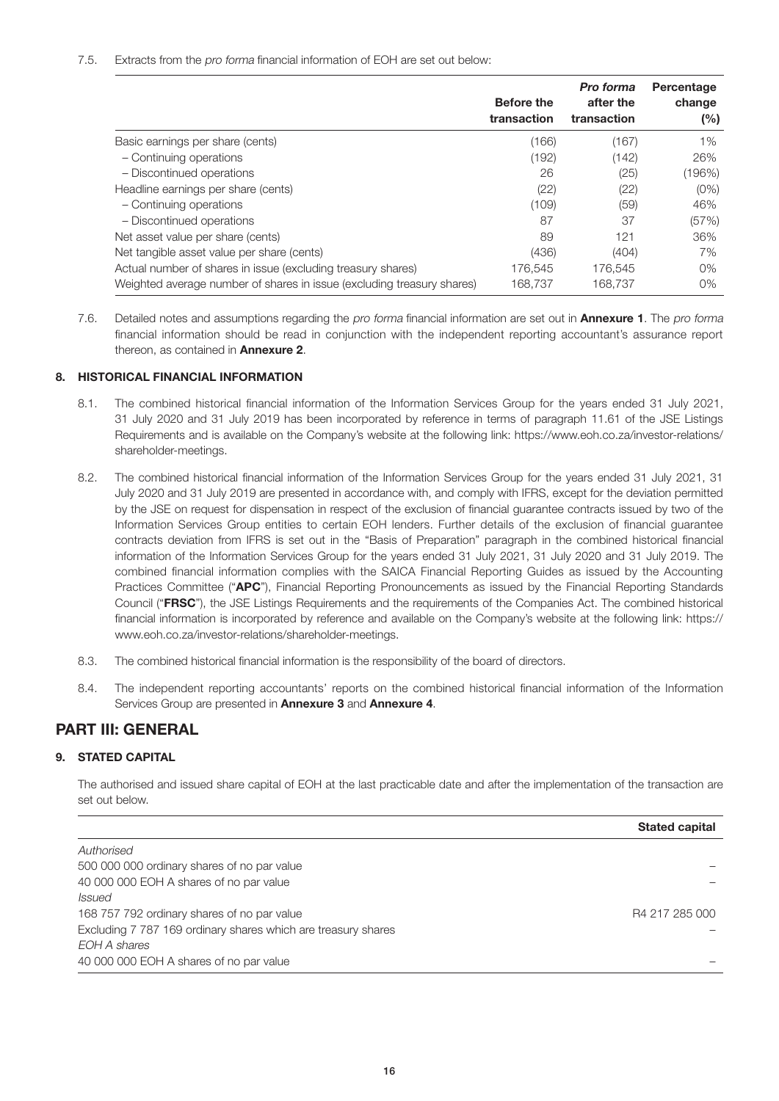#### 7.5. Extracts from the pro forma financial information of EOH are set out below:

|                                                                        | <b>Before the</b><br>transaction | Pro forma<br>after the<br>transaction | Percentage<br>change<br>(%) |
|------------------------------------------------------------------------|----------------------------------|---------------------------------------|-----------------------------|
| Basic earnings per share (cents)                                       | (166)                            | (167)                                 | $1\%$                       |
| - Continuing operations                                                | (192)                            | (142)                                 | 26%                         |
| - Discontinued operations                                              | 26                               | (25)                                  | (196%)                      |
| Headline earnings per share (cents)                                    | (22)                             | (22)                                  | $(0\%)$                     |
| - Continuing operations                                                | (109)                            | (59)                                  | 46%                         |
| - Discontinued operations                                              | 87                               | 37                                    | (57%)                       |
| Net asset value per share (cents)                                      | 89                               | 121                                   | 36%                         |
| Net tangible asset value per share (cents)                             | (436)                            | (404)                                 | 7%                          |
| Actual number of shares in issue (excluding treasury shares)           | 176.545                          | 176.545                               | $0\%$                       |
| Weighted average number of shares in issue (excluding treasury shares) | 168.737                          | 168.737                               | $0\%$                       |

7.6. Detailed notes and assumptions regarding the pro forma financial information are set out in **Annexure 1**. The pro forma financial information should be read in conjunction with the independent reporting accountant's assurance report thereon, as contained in Annexure 2.

#### 8. HISTORICAL FINANCIAL INFORMATION

- 8.1. The combined historical financial information of the Information Services Group for the years ended 31 July 2021, 31 July 2020 and 31 July 2019 has been incorporated by reference in terms of paragraph 11.61 of the JSE Listings Requirements and is available on the Company's website at the following link: https://www.eoh.co.za/investor-relations/ shareholder-meetings.
- 8.2. The combined historical financial information of the Information Services Group for the years ended 31 July 2021, 31 July 2020 and 31 July 2019 are presented in accordance with, and comply with IFRS, except for the deviation permitted by the JSE on request for dispensation in respect of the exclusion of financial guarantee contracts issued by two of the Information Services Group entities to certain EOH lenders. Further details of the exclusion of financial guarantee contracts deviation from IFRS is set out in the "Basis of Preparation" paragraph in the combined historical financial information of the Information Services Group for the years ended 31 July 2021, 31 July 2020 and 31 July 2019. The combined financial information complies with the SAICA Financial Reporting Guides as issued by the Accounting Practices Committee ("APC"), Financial Reporting Pronouncements as issued by the Financial Reporting Standards Council ("FRSC"), the JSE Listings Requirements and the requirements of the Companies Act. The combined historical financial information is incorporated by reference and available on the Company's website at the following link: https:// www.eoh.co.za/investor-relations/shareholder-meetings.
- 8.3. The combined historical financial information is the responsibility of the board of directors.
- 8.4. The independent reporting accountants' reports on the combined historical financial information of the Information Services Group are presented in Annexure 3 and Annexure 4.

## PART III: GENERAL

#### 9. STATED CAPITAL

 The authorised and issued share capital of EOH at the last practicable date and after the implementation of the transaction are set out below.

|                                                               | <b>Stated capital</b> |
|---------------------------------------------------------------|-----------------------|
| Authorised                                                    |                       |
| 500 000 000 ordinary shares of no par value                   |                       |
| 40 000 000 EOH A shares of no par value                       |                       |
| <i>Issued</i>                                                 |                       |
| 168 757 792 ordinary shares of no par value                   | R4 217 285 000        |
| Excluding 7 787 169 ordinary shares which are treasury shares |                       |
| EOH A shares                                                  |                       |
| 40 000 000 EOH A shares of no par value                       |                       |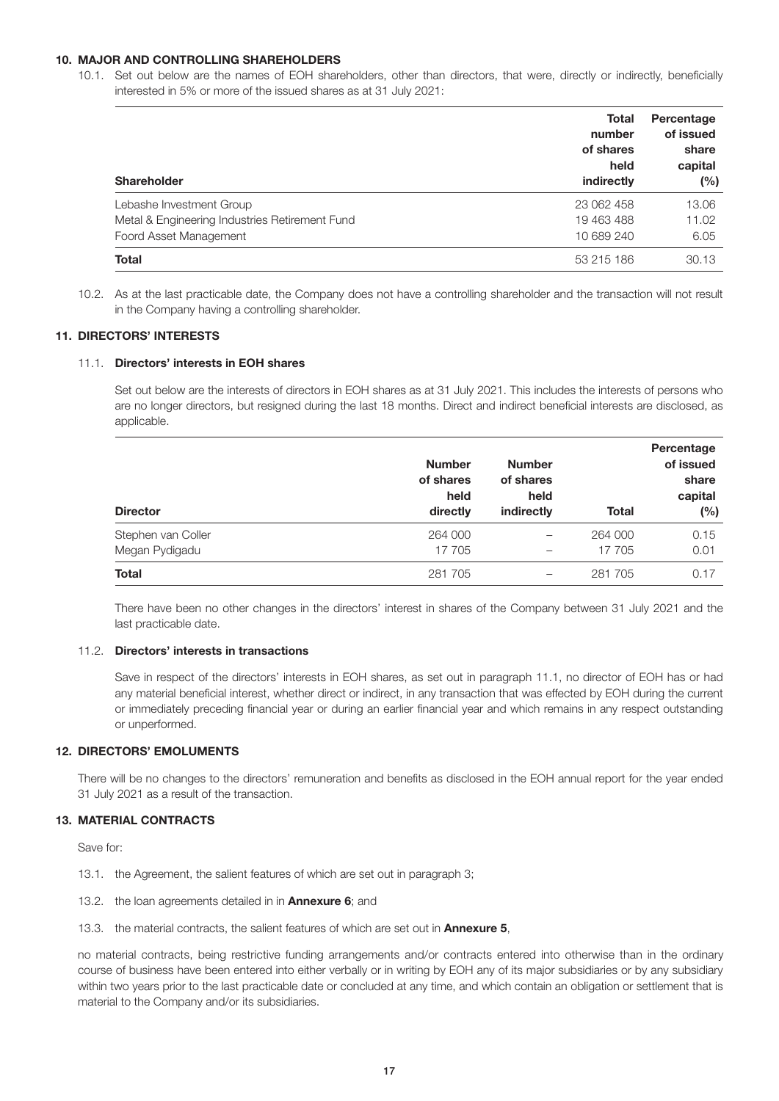#### 10. MAJOR AND CONTROLLING SHAREHOLDERS

10.1. Set out below are the names of EOH shareholders, other than directors, that were, directly or indirectly, beneficially interested in 5% or more of the issued shares as at 31 July 2021:

| <b>Shareholder</b>                             | Total<br>number<br>of shares<br>held<br>indirectly | Percentage<br>of issued<br>share<br>capital<br>$(\%)$ |
|------------------------------------------------|----------------------------------------------------|-------------------------------------------------------|
| Lebashe Investment Group                       | 23 062 458                                         | 13.06                                                 |
| Metal & Engineering Industries Retirement Fund | 19 463 488                                         | 11.02                                                 |
| Foord Asset Management                         | 10 689 240                                         | 6.05                                                  |
| <b>Total</b>                                   | 53 215 186                                         | 30.13                                                 |

10.2. As at the last practicable date, the Company does not have a controlling shareholder and the transaction will not result in the Company having a controlling shareholder.

#### 11. DIRECTORS' INTERESTS

#### 11.1. Directors' interests in EOH shares

 Set out below are the interests of directors in EOH shares as at 31 July 2021. This includes the interests of persons who are no longer directors, but resigned during the last 18 months. Direct and indirect beneficial interests are disclosed, as applicable.

|                    | <b>Number</b><br>of shares<br>held<br>directly | <b>Number</b><br>of shares<br>held<br>indirectly | Percentage<br>of issued<br>share<br>capital |      |
|--------------------|------------------------------------------------|--------------------------------------------------|---------------------------------------------|------|
| <b>Director</b>    |                                                |                                                  | <b>Total</b>                                | (%)  |
| Stephen van Coller | 264 000                                        | $\qquad \qquad$                                  | 264 000                                     | 0.15 |
| Megan Pydigadu     | 17 705                                         |                                                  | 17 705                                      | 0.01 |
| Total              | 281 705                                        | —                                                | 281 705                                     | 0.17 |

 There have been no other changes in the directors' interest in shares of the Company between 31 July 2021 and the last practicable date.

#### 11.2. Directors' interests in transactions

 Save in respect of the directors' interests in EOH shares, as set out in paragraph 11.1, no director of EOH has or had any material beneficial interest, whether direct or indirect, in any transaction that was effected by EOH during the current or immediately preceding financial year or during an earlier financial year and which remains in any respect outstanding or unperformed.

#### 12. DIRECTORS' EMOLUMENTS

 There will be no changes to the directors' remuneration and benefits as disclosed in the EOH annual report for the year ended 31 July 2021 as a result of the transaction.

#### 13. MATERIAL CONTRACTS

Save for:

- 13.1. the Agreement, the salient features of which are set out in paragraph 3;
- 13.2. the loan agreements detailed in in **Annexure 6**; and
- 13.3. the material contracts, the salient features of which are set out in **Annexure 5.**

 no material contracts, being restrictive funding arrangements and/or contracts entered into otherwise than in the ordinary course of business have been entered into either verbally or in writing by EOH any of its major subsidiaries or by any subsidiary within two years prior to the last practicable date or concluded at any time, and which contain an obligation or settlement that is material to the Company and/or its subsidiaries.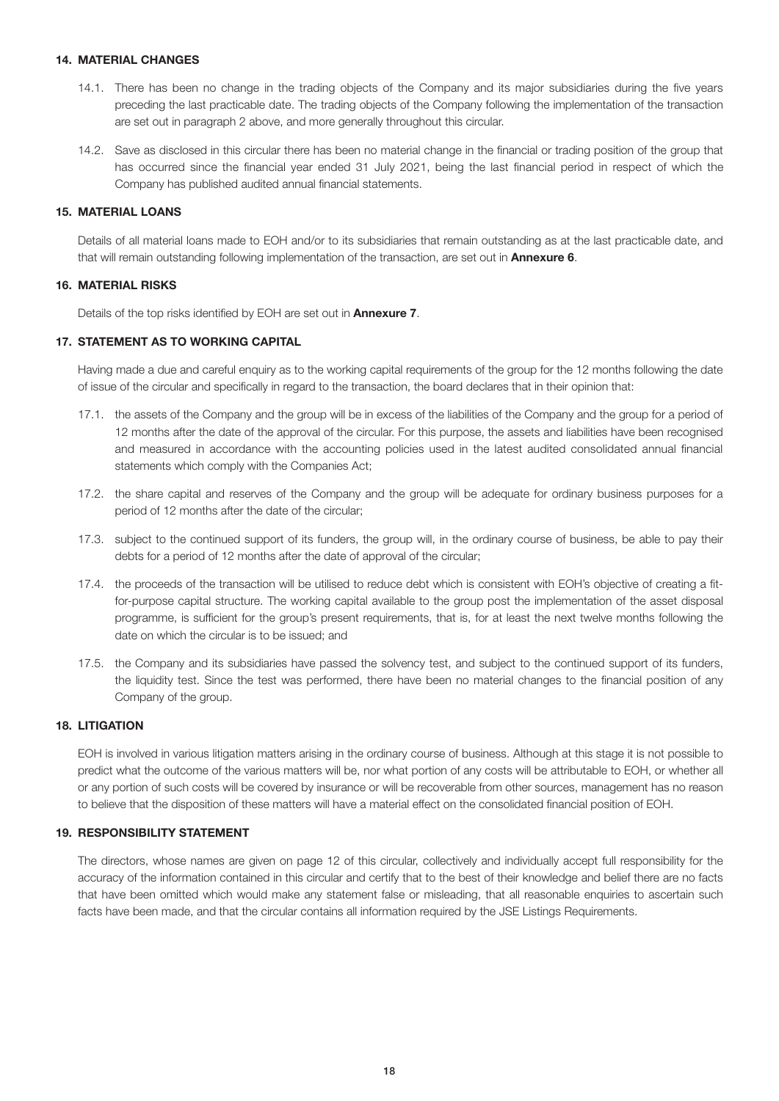#### 14. MATERIAL CHANGES

- 14.1. There has been no change in the trading objects of the Company and its major subsidiaries during the five years preceding the last practicable date. The trading objects of the Company following the implementation of the transaction are set out in paragraph 2 above, and more generally throughout this circular.
- 14.2. Save as disclosed in this circular there has been no material change in the financial or trading position of the group that has occurred since the financial year ended 31 July 2021, being the last financial period in respect of which the Company has published audited annual financial statements.

#### 15. MATERIAL LOANS

 Details of all material loans made to EOH and/or to its subsidiaries that remain outstanding as at the last practicable date, and that will remain outstanding following implementation of the transaction, are set out in **Annexure 6.** 

#### 16. MATERIAL RISKS

Details of the top risks identified by EOH are set out in **Annexure 7**.

#### 17. STATEMENT AS TO WORKING CAPITAL

 Having made a due and careful enquiry as to the working capital requirements of the group for the 12 months following the date of issue of the circular and specifically in regard to the transaction, the board declares that in their opinion that:

- 17.1. the assets of the Company and the group will be in excess of the liabilities of the Company and the group for a period of 12 months after the date of the approval of the circular. For this purpose, the assets and liabilities have been recognised and measured in accordance with the accounting policies used in the latest audited consolidated annual financial statements which comply with the Companies Act;
- 17.2. the share capital and reserves of the Company and the group will be adequate for ordinary business purposes for a period of 12 months after the date of the circular;
- 17.3. subject to the continued support of its funders, the group will, in the ordinary course of business, be able to pay their debts for a period of 12 months after the date of approval of the circular;
- 17.4. the proceeds of the transaction will be utilised to reduce debt which is consistent with EOH's objective of creating a fitfor-purpose capital structure. The working capital available to the group post the implementation of the asset disposal programme, is sufficient for the group's present requirements, that is, for at least the next twelve months following the date on which the circular is to be issued; and
- 17.5. the Company and its subsidiaries have passed the solvency test, and subject to the continued support of its funders, the liquidity test. Since the test was performed, there have been no material changes to the financial position of any Company of the group.

#### 18. LITIGATION

 EOH is involved in various litigation matters arising in the ordinary course of business. Although at this stage it is not possible to predict what the outcome of the various matters will be, nor what portion of any costs will be attributable to EOH, or whether all or any portion of such costs will be covered by insurance or will be recoverable from other sources, management has no reason to believe that the disposition of these matters will have a material effect on the consolidated financial position of EOH.

#### 19. RESPONSIBILITY STATEMENT

 The directors, whose names are given on page 12 of this circular, collectively and individually accept full responsibility for the accuracy of the information contained in this circular and certify that to the best of their knowledge and belief there are no facts that have been omitted which would make any statement false or misleading, that all reasonable enquiries to ascertain such facts have been made, and that the circular contains all information required by the JSE Listings Requirements.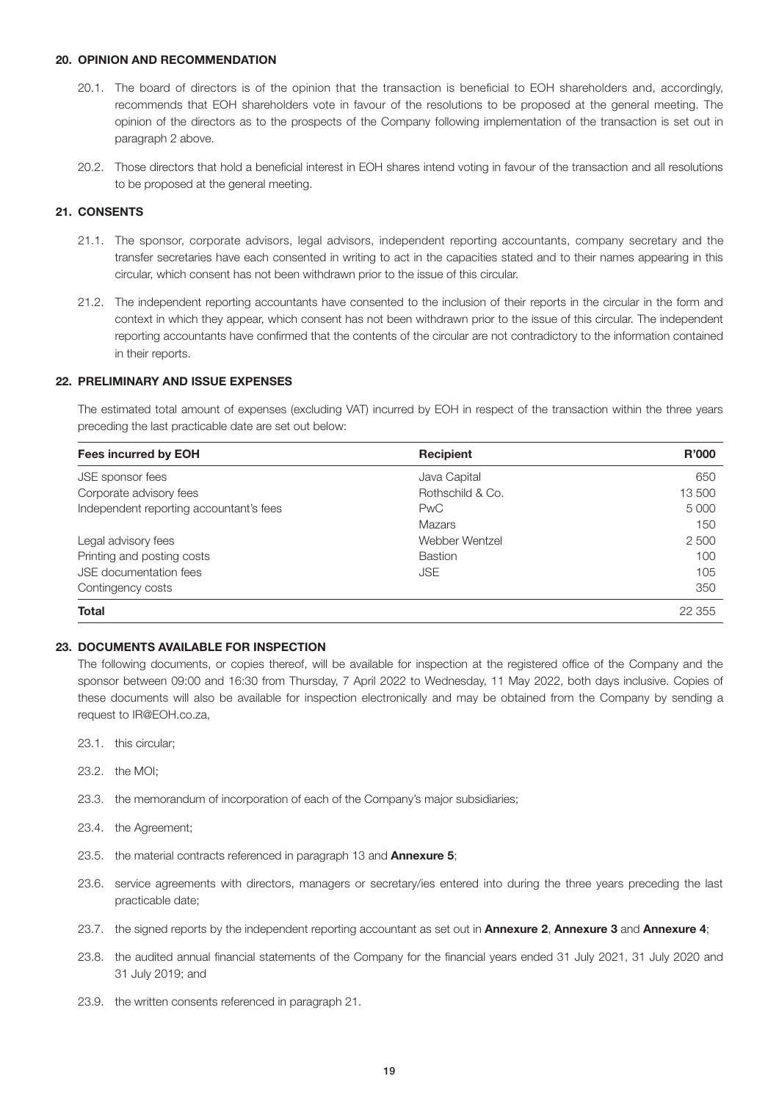#### 20. OPINION AND RECOMMENDATION

- 20.1. The board of directors is of the opinion that the transaction is beneficial to EOH shareholders and, accordingly, recommends that EOH shareholders vote in favour of the resolutions to be proposed at the general meeting. The opinion of the directors as to the prospects of the Company following implementation of the transaction is set out in paragraph 2 above.
- 20.2. Those directors that hold a beneficial interest in EOH shares intend voting in favour of the transaction and all resolutions to be proposed at the general meeting.

#### 21. CONSENTS

- 21.1. The sponsor, corporate advisors, legal advisors, independent reporting accountants, company secretary and the transfer secretaries have each consented in writing to act in the capacities stated and to their names appearing in this circular, which consent has not been withdrawn prior to the issue of this circular.
- 21.2. The independent reporting accountants have consented to the inclusion of their reports in the circular in the form and context in which they appear, which consent has not been withdrawn prior to the issue of this circular. The independent reporting accountants have confirmed that the contents of the circular are not contradictory to the information contained in their reports.

#### 22. PRELIMINARY AND ISSUE EXPENSES

 The estimated total amount of expenses (excluding VAT) incurred by EOH in respect of the transaction within the three years preceding the last practicable date are set out below:

| Fees incurred by EOH                    | <b>Recipient</b> | R'000   |
|-----------------------------------------|------------------|---------|
| JSE sponsor fees                        | Java Capital     | 650     |
| Corporate advisory fees                 | Rothschild & Co. | 13 500  |
| Independent reporting accountant's fees | <b>PwC</b>       | 5 0 0 0 |
|                                         | Mazars           | 150     |
| Legal advisory fees                     | Webber Wentzel   | 2 500   |
| Printing and posting costs              | <b>Bastion</b>   | 100     |
| <b>JSE</b> documentation fees           | <b>JSE</b>       | 105     |
| Contingency costs                       |                  | 350     |
| <b>Total</b>                            |                  | 22 355  |

#### 23. DOCUMENTS AVAILABLE FOR INSPECTION

 The following documents, or copies thereof, will be available for inspection at the registered office of the Company and the sponsor between 09:00 and 16:30 from Thursday, 7 April 2022 to Wednesday, 11 May 2022, both days inclusive. Copies of these documents will also be available for inspection electronically and may be obtained from the Company by sending a request to IR@EOH.co.za,

- 23.1. this circular;
- 23.2. the MOI;
- 23.3. the memorandum of incorporation of each of the Company's major subsidiaries;
- 23.4. the Agreement;
- 23.5. the material contracts referenced in paragraph 13 and **Annexure 5**;
- 23.6. service agreements with directors, managers or secretary/ies entered into during the three years preceding the last practicable date;
- 23.7. the signed reports by the independent reporting accountant as set out in Annexure 2, Annexure 3 and Annexure 4;
- 23.8. the audited annual financial statements of the Company for the financial years ended 31 July 2021, 31 July 2020 and 31 July 2019; and
- 23.9. the written consents referenced in paragraph 21.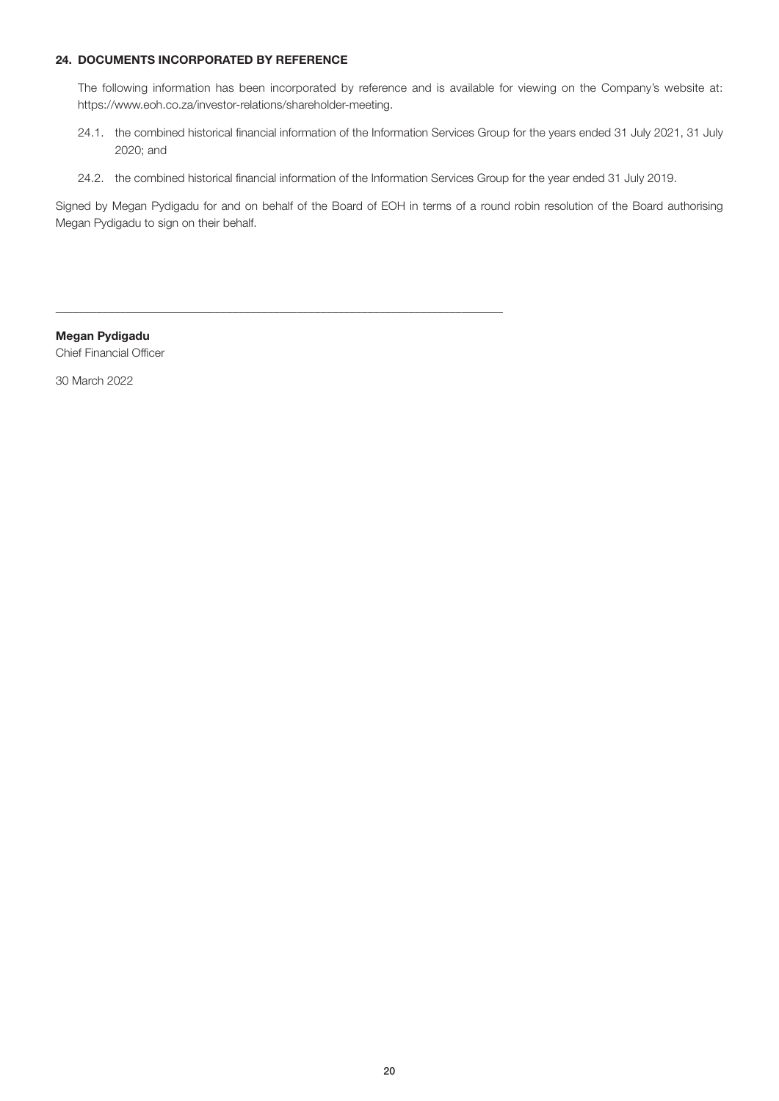#### 24. DOCUMENTS INCORPORATED BY REFERENCE

 The following information has been incorporated by reference and is available for viewing on the Company's website at: https://www.eoh.co.za/investor-relations/shareholder-meeting.

- 24.1. the combined historical financial information of the Information Services Group for the years ended 31 July 2021, 31 July 2020; and
- 24.2. the combined historical financial information of the Information Services Group for the year ended 31 July 2019.

\_\_\_\_\_\_\_\_\_\_\_\_\_\_\_\_\_\_\_\_\_\_\_\_\_\_\_\_\_\_\_\_\_\_\_\_\_\_\_\_\_\_\_\_\_\_\_\_\_\_\_\_\_\_\_\_\_\_\_\_\_\_\_\_\_\_\_\_\_\_\_\_\_\_\_\_

Signed by Megan Pydigadu for and on behalf of the Board of EOH in terms of a round robin resolution of the Board authorising Megan Pydigadu to sign on their behalf.

Megan Pydigadu Chief Financial Officer

30 March 2022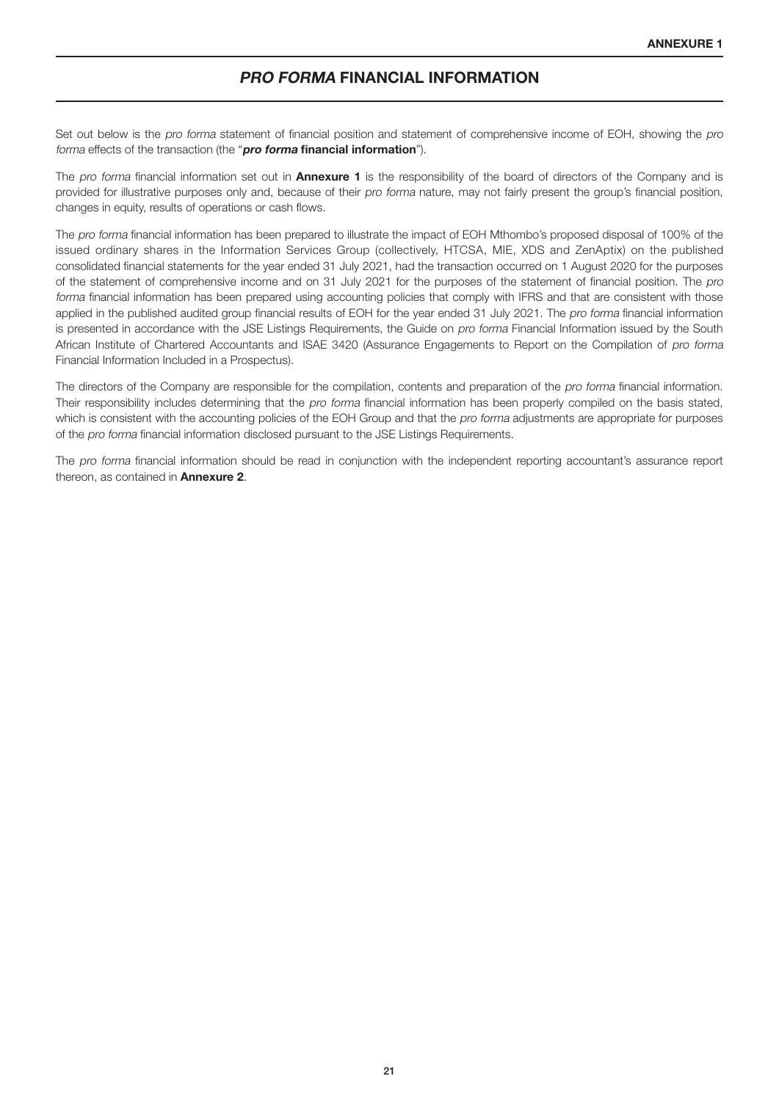### PRO FORMA FINANCIAL INFORMATION

Set out below is the pro forma statement of financial position and statement of comprehensive income of EOH, showing the pro forma effects of the transaction (the "pro forma financial information").

The pro forma financial information set out in **Annexure 1** is the responsibility of the board of directors of the Company and is provided for illustrative purposes only and, because of their pro forma nature, may not fairly present the group's financial position, changes in equity, results of operations or cash flows.

The pro forma financial information has been prepared to illustrate the impact of EOH Mthombo's proposed disposal of 100% of the issued ordinary shares in the Information Services Group (collectively, HTCSA, MIE, XDS and ZenAptix) on the published consolidated financial statements for the year ended 31 July 2021, had the transaction occurred on 1 August 2020 for the purposes of the statement of comprehensive income and on 31 July 2021 for the purposes of the statement of financial position. The pro forma financial information has been prepared using accounting policies that comply with IFRS and that are consistent with those applied in the published audited group financial results of EOH for the year ended 31 July 2021. The pro forma financial information is presented in accordance with the JSE Listings Requirements, the Guide on pro forma Financial Information issued by the South African Institute of Chartered Accountants and ISAE 3420 (Assurance Engagements to Report on the Compilation of pro forma Financial Information Included in a Prospectus).

The directors of the Company are responsible for the compilation, contents and preparation of the pro forma financial information. Their responsibility includes determining that the pro forma financial information has been properly compiled on the basis stated, which is consistent with the accounting policies of the EOH Group and that the pro forma adjustments are appropriate for purposes of the pro forma financial information disclosed pursuant to the JSE Listings Requirements.

The pro forma financial information should be read in conjunction with the independent reporting accountant's assurance report thereon, as contained in Annexure 2.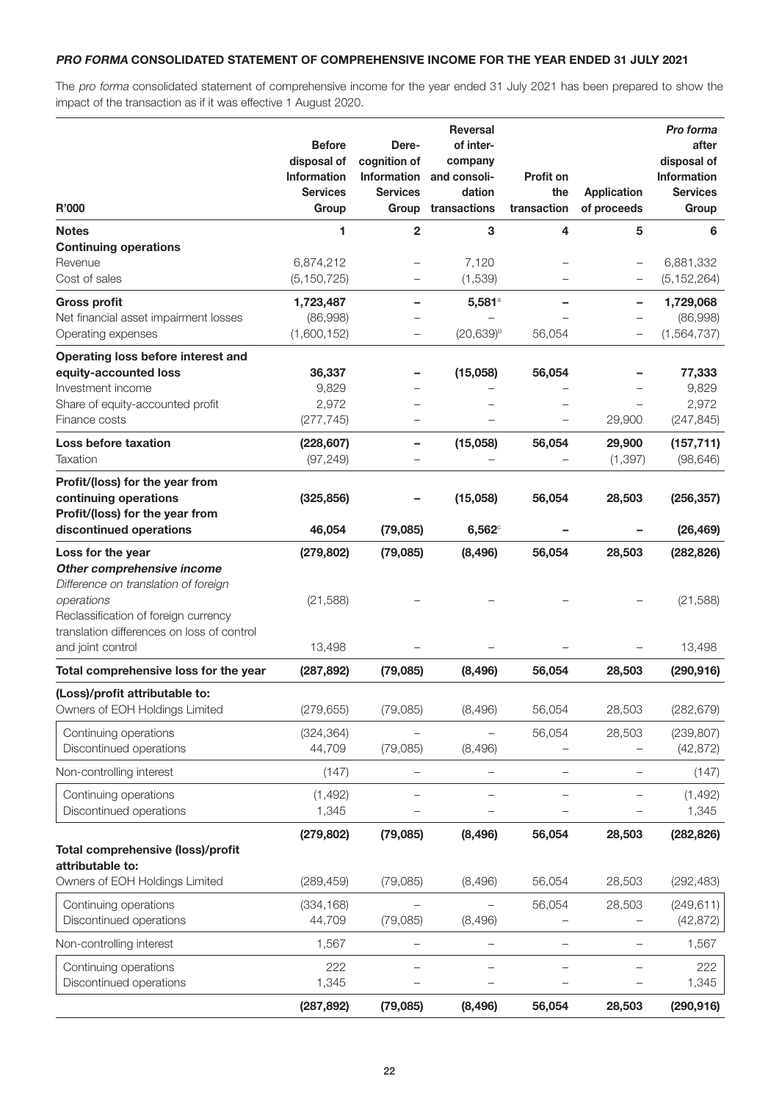#### PRO FORMA CONSOLIDATED STATEMENT OF COMPREHENSIVE INCOME FOR THE YEAR ENDED 31 JULY 2021

The pro forma consolidated statement of comprehensive income for the year ended 31 July 2021 has been prepared to show the impact of the transaction as if it was effective 1 August 2020.

| R'000                                                                                                                 | <b>Before</b><br>disposal of<br>Information<br><b>Services</b><br>Group | Dere-<br>cognition of<br>Information<br><b>Services</b><br>Group | <b>Reversal</b><br>of inter-<br>company<br>and consoli-<br>dation<br>transactions | Profit on<br>the<br>transaction | <b>Application</b><br>of proceeds | Pro forma<br>after<br>disposal of<br>Information<br><b>Services</b><br>Group |
|-----------------------------------------------------------------------------------------------------------------------|-------------------------------------------------------------------------|------------------------------------------------------------------|-----------------------------------------------------------------------------------|---------------------------------|-----------------------------------|------------------------------------------------------------------------------|
| <b>Notes</b>                                                                                                          | 1                                                                       | $\overline{2}$                                                   | 3                                                                                 | 4                               | 5                                 | 6                                                                            |
| <b>Continuing operations</b>                                                                                          |                                                                         |                                                                  |                                                                                   |                                 |                                   |                                                                              |
| Revenue                                                                                                               | 6,874,212                                                               |                                                                  | 7,120                                                                             |                                 |                                   | 6,881,332                                                                    |
| Cost of sales                                                                                                         | (5, 150, 725)                                                           | —                                                                | (1,539)                                                                           |                                 |                                   | (5, 152, 264)                                                                |
| <b>Gross profit</b>                                                                                                   | 1,723,487                                                               |                                                                  | 5,581°                                                                            |                                 |                                   | 1,729,068                                                                    |
| Net financial asset impairment losses<br>Operating expenses                                                           | (86,998)<br>(1,600,152)                                                 | -                                                                | $(20,639)^b$                                                                      | 56,054                          |                                   | (86,998)<br>(1,564,737)                                                      |
| Operating loss before interest and                                                                                    |                                                                         |                                                                  |                                                                                   |                                 |                                   |                                                                              |
| equity-accounted loss                                                                                                 | 36,337                                                                  |                                                                  | (15,058)                                                                          | 56,054                          |                                   | 77,333                                                                       |
| Investment income                                                                                                     | 9,829                                                                   |                                                                  |                                                                                   |                                 |                                   | 9,829                                                                        |
| Share of equity-accounted profit<br>Finance costs                                                                     | 2,972<br>(277, 745)                                                     |                                                                  |                                                                                   |                                 | 29,900                            | 2,972<br>(247, 845)                                                          |
| <b>Loss before taxation</b>                                                                                           | (228, 607)                                                              | -                                                                | (15,058)                                                                          | 56,054                          | 29,900                            | (157, 711)                                                                   |
| <b>Taxation</b>                                                                                                       | (97, 249)                                                               |                                                                  |                                                                                   |                                 | (1, 397)                          | (98, 646)                                                                    |
| Profit/(loss) for the year from<br>continuing operations<br>Profit/(loss) for the year from                           | (325, 856)                                                              |                                                                  | (15,058)                                                                          | 56,054                          | 28,503                            | (256, 357)                                                                   |
| discontinued operations                                                                                               | 46,054                                                                  | (79,085)                                                         | $6,562^\circ$                                                                     |                                 |                                   | (26, 469)                                                                    |
| Loss for the year<br>Other comprehensive income<br>Difference on translation of foreign                               | (279, 802)                                                              | (79,085)                                                         | (8, 496)                                                                          | 56,054                          | 28,503                            | (282, 826)                                                                   |
| operations<br>Reclassification of foreign currency<br>translation differences on loss of control<br>and joint control | (21, 588)<br>13,498                                                     |                                                                  |                                                                                   |                                 |                                   | (21, 588)<br>13,498                                                          |
| Total comprehensive loss for the year                                                                                 | (287, 892)                                                              | (79,085)                                                         | (8, 496)                                                                          | 56,054                          | 28,503                            | (290, 916)                                                                   |
|                                                                                                                       |                                                                         |                                                                  |                                                                                   |                                 |                                   |                                                                              |
| (Loss)/profit attributable to:<br>Owners of EOH Holdings Limited                                                      | (279, 655)                                                              | (79,085)                                                         | (8, 496)                                                                          | 56,054                          | 28,503                            | (282, 679)                                                                   |
| Continuing operations                                                                                                 | (324, 364)                                                              |                                                                  |                                                                                   | 56,054                          | 28,503                            | (239, 807)                                                                   |
| Discontinued operations                                                                                               | 44,709                                                                  | (79,085)                                                         | (8, 496)                                                                          |                                 |                                   | (42, 872)                                                                    |
| Non-controlling interest                                                                                              | (147)                                                                   |                                                                  |                                                                                   |                                 |                                   | (147)                                                                        |
| Continuing operations<br>Discontinued operations                                                                      | (1, 492)<br>1,345                                                       |                                                                  |                                                                                   |                                 |                                   | (1, 492)<br>1,345                                                            |
|                                                                                                                       | (279, 802)                                                              | (79,085)                                                         | (8, 496)                                                                          | 56,054                          | 28,503                            | (282, 826)                                                                   |
| Total comprehensive (loss)/profit<br>attributable to:                                                                 |                                                                         |                                                                  |                                                                                   |                                 |                                   |                                                                              |
| Owners of EOH Holdings Limited                                                                                        | (289, 459)                                                              | (79,085)                                                         | (8,496)                                                                           | 56,054                          | 28,503                            | (292, 483)                                                                   |
| Continuing operations                                                                                                 | (334, 168)                                                              |                                                                  |                                                                                   | 56,054                          | 28,503                            | (249, 611)                                                                   |
| Discontinued operations                                                                                               | 44,709                                                                  | (79,085)                                                         | (8,496)                                                                           |                                 |                                   | (42, 872)                                                                    |
| Non-controlling interest                                                                                              | 1,567                                                                   |                                                                  |                                                                                   |                                 |                                   | 1,567                                                                        |
| Continuing operations                                                                                                 | 222                                                                     |                                                                  |                                                                                   |                                 |                                   | 222                                                                          |
| Discontinued operations                                                                                               | 1,345<br>(287, 892)                                                     | (79,085)                                                         | (8, 496)                                                                          | 56,054                          | 28,503                            | 1,345<br>(290, 916)                                                          |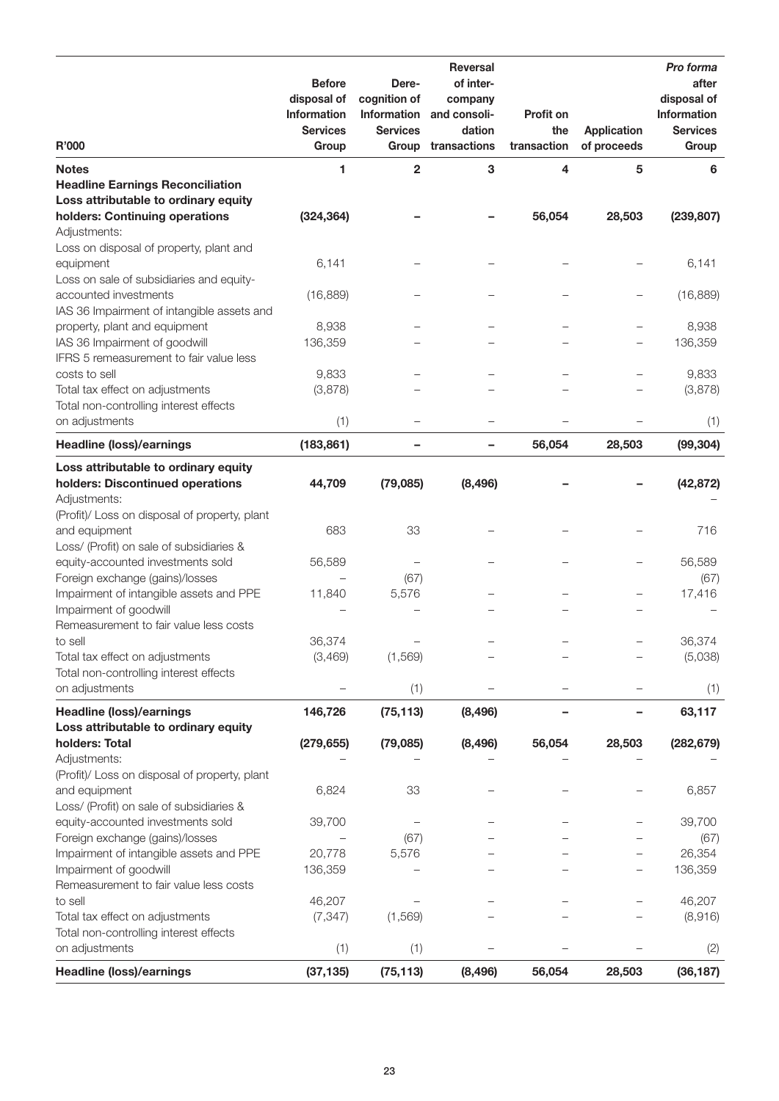| R'000                                                                      | <b>Before</b><br>disposal of<br><b>Information</b><br><b>Services</b> | Dere-<br>cognition of<br>Information<br><b>Services</b> | <b>Reversal</b><br>of inter-<br>company<br>and consoli-<br>dation<br>transactions | <b>Profit on</b><br>the | <b>Application</b>       | Pro forma<br>after<br>disposal of<br>Information<br><b>Services</b> |
|----------------------------------------------------------------------------|-----------------------------------------------------------------------|---------------------------------------------------------|-----------------------------------------------------------------------------------|-------------------------|--------------------------|---------------------------------------------------------------------|
|                                                                            | Group                                                                 | Group                                                   |                                                                                   | transaction             | of proceeds              | Group                                                               |
| <b>Notes</b><br><b>Headline Earnings Reconciliation</b>                    | 1                                                                     | $\mathbf{2}$                                            | 3                                                                                 | 4                       | 5                        | 6                                                                   |
| Loss attributable to ordinary equity                                       |                                                                       |                                                         |                                                                                   |                         |                          |                                                                     |
| holders: Continuing operations<br>Adjustments:                             | (324, 364)                                                            |                                                         |                                                                                   | 56,054                  | 28,503                   | (239, 807)                                                          |
| Loss on disposal of property, plant and<br>equipment                       | 6,141                                                                 |                                                         |                                                                                   |                         |                          | 6,141                                                               |
| Loss on sale of subsidiaries and equity-                                   |                                                                       |                                                         |                                                                                   |                         |                          |                                                                     |
| accounted investments<br>IAS 36 Impairment of intangible assets and        | (16, 889)                                                             |                                                         |                                                                                   |                         | $\overline{\phantom{0}}$ | (16, 889)                                                           |
| property, plant and equipment                                              | 8,938                                                                 |                                                         |                                                                                   |                         | —                        | 8,938                                                               |
| IAS 36 Impairment of goodwill<br>IFRS 5 remeasurement to fair value less   | 136,359                                                               |                                                         |                                                                                   |                         | $\overline{\phantom{0}}$ | 136,359                                                             |
| costs to sell                                                              | 9,833                                                                 |                                                         |                                                                                   |                         |                          | 9,833                                                               |
| Total tax effect on adjustments<br>Total non-controlling interest effects  | (3,878)                                                               |                                                         |                                                                                   |                         |                          | (3,878)                                                             |
| on adjustments                                                             | (1)                                                                   | $\overline{\phantom{0}}$                                |                                                                                   |                         |                          | (1)                                                                 |
| <b>Headline (loss)/earnings</b>                                            | (183, 861)                                                            | -                                                       |                                                                                   | 56,054                  | 28,503                   | (99, 304)                                                           |
| Loss attributable to ordinary equity<br>holders: Discontinued operations   | 44,709                                                                | (79,085)                                                | (8, 496)                                                                          |                         |                          | (42, 872)                                                           |
| Adjustments:<br>(Profit)/ Loss on disposal of property, plant              |                                                                       |                                                         |                                                                                   |                         |                          |                                                                     |
| and equipment                                                              | 683                                                                   | 33                                                      |                                                                                   |                         |                          | 716                                                                 |
| Loss/ (Profit) on sale of subsidiaries &                                   |                                                                       |                                                         |                                                                                   |                         |                          |                                                                     |
| equity-accounted investments sold                                          | 56,589                                                                |                                                         |                                                                                   |                         | $\overline{\phantom{0}}$ | 56,589                                                              |
| Foreign exchange (gains)/losses<br>Impairment of intangible assets and PPE | 11,840                                                                | (67)<br>5,576                                           |                                                                                   |                         | $\overline{\phantom{0}}$ | (67)<br>17,416                                                      |
| Impairment of goodwill                                                     |                                                                       |                                                         |                                                                                   |                         |                          |                                                                     |
| Remeasurement to fair value less costs                                     |                                                                       |                                                         |                                                                                   |                         |                          |                                                                     |
| to sell                                                                    | 36,374                                                                |                                                         |                                                                                   |                         |                          | 36,374                                                              |
| Total tax effect on adjustments                                            | (3,469)                                                               | (1, 569)                                                |                                                                                   |                         |                          | (5,038)                                                             |
| Total non-controlling interest effects                                     |                                                                       |                                                         |                                                                                   |                         |                          |                                                                     |
| on adjustments                                                             |                                                                       | (1)                                                     |                                                                                   |                         |                          | (1)                                                                 |
| <b>Headline (loss)/earnings</b><br>Loss attributable to ordinary equity    | 146,726                                                               | (75, 113)                                               | (8, 496)                                                                          |                         |                          | 63,117                                                              |
| holders: Total                                                             | (279, 655)                                                            | (79,085)                                                | (8, 496)                                                                          | 56,054                  | 28,503                   | (282, 679)                                                          |
| Adjustments:                                                               |                                                                       |                                                         |                                                                                   |                         |                          |                                                                     |
| (Profit)/ Loss on disposal of property, plant                              |                                                                       |                                                         |                                                                                   |                         |                          |                                                                     |
| and equipment                                                              | 6,824                                                                 | 33                                                      |                                                                                   |                         |                          | 6,857                                                               |
| Loss/ (Profit) on sale of subsidiaries &                                   |                                                                       |                                                         |                                                                                   |                         |                          |                                                                     |
| equity-accounted investments sold<br>Foreign exchange (gains)/losses       | 39,700                                                                | (67)                                                    |                                                                                   |                         |                          | 39,700<br>(67)                                                      |
| Impairment of intangible assets and PPE                                    | 20,778                                                                | 5,576                                                   |                                                                                   |                         |                          | 26,354                                                              |
| Impairment of goodwill                                                     | 136,359                                                               |                                                         |                                                                                   |                         |                          | 136,359                                                             |
| Remeasurement to fair value less costs                                     |                                                                       |                                                         |                                                                                   |                         |                          |                                                                     |
| to sell                                                                    | 46,207                                                                |                                                         |                                                                                   |                         |                          | 46,207                                                              |
| Total tax effect on adjustments<br>Total non-controlling interest effects  | (7, 347)                                                              | (1, 569)                                                |                                                                                   |                         |                          | (8,916)                                                             |
| on adjustments                                                             | (1)                                                                   | (1)                                                     |                                                                                   |                         |                          | (2)                                                                 |
| <b>Headline (loss)/earnings</b>                                            | (37, 135)                                                             | (75, 113)                                               | (8, 496)                                                                          | 56,054                  | 28,503                   | (36, 187)                                                           |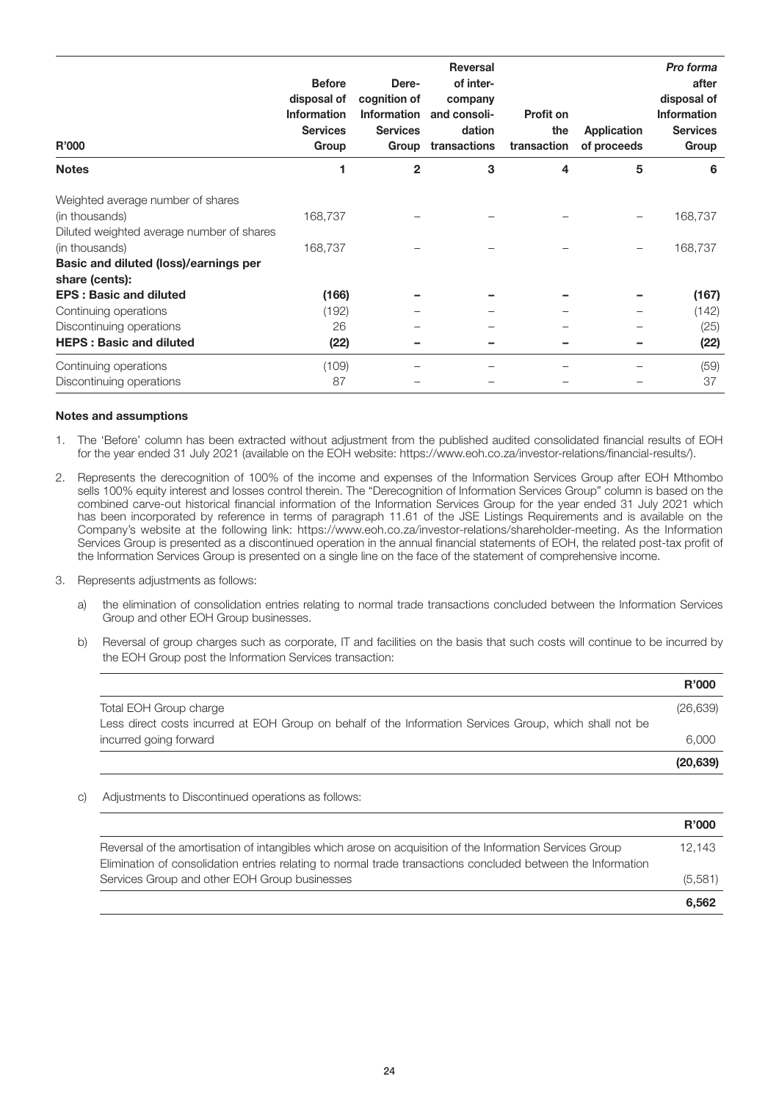| <b>R'000</b>                                            | <b>Before</b><br>disposal of<br><b>Information</b><br><b>Services</b><br>Group | Dere-<br>cognition of<br>Information<br><b>Services</b><br>Group | <b>Reversal</b><br>of inter-<br>company<br>and consoli-<br>dation<br>transactions | <b>Profit on</b><br>the<br>transaction | Application<br>of proceeds | Pro forma<br>after<br>disposal of<br><b>Information</b><br><b>Services</b><br>Group |
|---------------------------------------------------------|--------------------------------------------------------------------------------|------------------------------------------------------------------|-----------------------------------------------------------------------------------|----------------------------------------|----------------------------|-------------------------------------------------------------------------------------|
| <b>Notes</b>                                            | 1                                                                              | $\mathbf{2}$                                                     | 3                                                                                 | 4                                      | 5                          | 6                                                                                   |
| Weighted average number of shares                       |                                                                                |                                                                  |                                                                                   |                                        |                            |                                                                                     |
| (in thousands)                                          | 168,737                                                                        |                                                                  |                                                                                   |                                        |                            | 168,737                                                                             |
| Diluted weighted average number of shares               |                                                                                |                                                                  |                                                                                   |                                        |                            |                                                                                     |
| (in thousands)                                          | 168,737                                                                        |                                                                  |                                                                                   |                                        |                            | 168,737                                                                             |
| Basic and diluted (loss)/earnings per<br>share (cents): |                                                                                |                                                                  |                                                                                   |                                        |                            |                                                                                     |
| <b>EPS: Basic and diluted</b>                           | (166)                                                                          |                                                                  |                                                                                   |                                        |                            | (167)                                                                               |
| Continuing operations                                   | (192)                                                                          |                                                                  |                                                                                   |                                        |                            | (142)                                                                               |
| Discontinuing operations                                | 26                                                                             |                                                                  |                                                                                   |                                        |                            | (25)                                                                                |
| <b>HEPS: Basic and diluted</b>                          | (22)                                                                           |                                                                  |                                                                                   |                                        |                            | (22)                                                                                |
| Continuing operations                                   | (109)                                                                          |                                                                  |                                                                                   |                                        |                            | (59)                                                                                |
| Discontinuing operations                                | 87                                                                             |                                                                  |                                                                                   |                                        |                            | 37                                                                                  |

#### Notes and assumptions

- 1. The 'Before' column has been extracted without adjustment from the published audited consolidated financial results of EOH for the year ended 31 July 2021 (available on the EOH website: https://www.eoh.co.za/investor-relations/financial-results/).
- 2. Represents the derecognition of 100% of the income and expenses of the Information Services Group after EOH Mthombo sells 100% equity interest and losses control therein. The "Derecognition of Information Services Group" column is based on the combined carve-out historical financial information of the Information Services Group for the year ended 31 July 2021 which has been incorporated by reference in terms of paragraph 11.61 of the JSE Listings Requirements and is available on the Company's website at the following link: https://www.eoh.co.za/investor-relations/shareholder-meeting. As the Information Services Group is presented as a discontinued operation in the annual financial statements of EOH, the related post-tax profit of the Information Services Group is presented on a single line on the face of the statement of comprehensive income.
- 3. Represents adjustments as follows:
	- a) the elimination of consolidation entries relating to normal trade transactions concluded between the Information Services Group and other EOH Group businesses.
	- b) Reversal of group charges such as corporate, IT and facilities on the basis that such costs will continue to be incurred by the EOH Group post the Information Services transaction:

|                                                                                                         | <b>R'000</b> |
|---------------------------------------------------------------------------------------------------------|--------------|
| Total EOH Group charge                                                                                  | (26, 639)    |
| Less direct costs incurred at EOH Group on behalf of the Information Services Group, which shall not be |              |
| incurred going forward                                                                                  | 6.000        |
|                                                                                                         | (20, 639)    |

c) Adjustments to Discontinued operations as follows:

|                                                                                                                                                                                                                          | <b>R'000</b> |
|--------------------------------------------------------------------------------------------------------------------------------------------------------------------------------------------------------------------------|--------------|
| Reversal of the amortisation of intangibles which arose on acquisition of the Information Services Group<br>Elimination of consolidation entries relating to normal trade transactions concluded between the Information | 12.143       |
| Services Group and other EOH Group businesses                                                                                                                                                                            | (5,581)      |
|                                                                                                                                                                                                                          | 6.562        |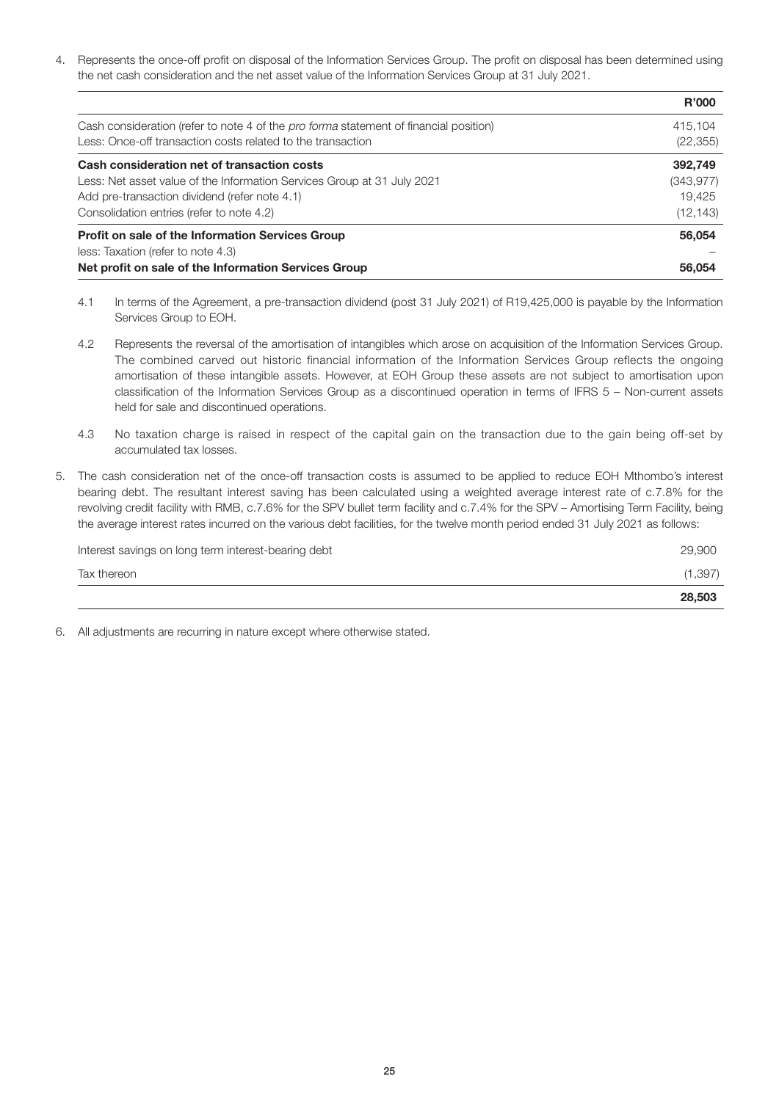4. Represents the once-off profit on disposal of the Information Services Group. The profit on disposal has been determined using the net cash consideration and the net asset value of the Information Services Group at 31 July 2021.

| less: Taxation (refer to note 4.3)<br>Net profit on sale of the Information Services Group   | 56,054       |
|----------------------------------------------------------------------------------------------|--------------|
| Profit on sale of the Information Services Group                                             | 56,054       |
| Consolidation entries (refer to note 4.2)                                                    | (12, 143)    |
| Add pre-transaction dividend (refer note 4.1)                                                | 19.425       |
| Less: Net asset value of the Information Services Group at 31 July 2021                      | (343, 977)   |
| Cash consideration net of transaction costs                                                  | 392,749      |
| Less: Once-off transaction costs related to the transaction                                  | (22, 355)    |
| Cash consideration (refer to note 4 of the <i>pro forma</i> statement of financial position) | 415.104      |
|                                                                                              | <b>R'000</b> |

- 4.1 In terms of the Agreement, a pre-transaction dividend (post 31 July 2021) of R19,425,000 is payable by the Information Services Group to EOH.
- 4.2 Represents the reversal of the amortisation of intangibles which arose on acquisition of the Information Services Group. The combined carved out historic financial information of the Information Services Group reflects the ongoing amortisation of these intangible assets. However, at EOH Group these assets are not subject to amortisation upon classification of the Information Services Group as a discontinued operation in terms of IFRS 5 – Non-current assets held for sale and discontinued operations.
- 4.3 No taxation charge is raised in respect of the capital gain on the transaction due to the gain being off-set by accumulated tax losses.
- 5. The cash consideration net of the once-off transaction costs is assumed to be applied to reduce EOH Mthombo's interest bearing debt. The resultant interest saving has been calculated using a weighted average interest rate of c.7.8% for the revolving credit facility with RMB, c.7.6% for the SPV bullet term facility and c.7.4% for the SPV – Amortising Term Facility, being the average interest rates incurred on the various debt facilities, for the twelve month period ended 31 July 2021 as follows:

|                                                     | 28,503   |
|-----------------------------------------------------|----------|
| Tax thereon                                         | (1, 397) |
| Interest savings on long term interest-bearing debt | 29,900   |

6. All adjustments are recurring in nature except where otherwise stated.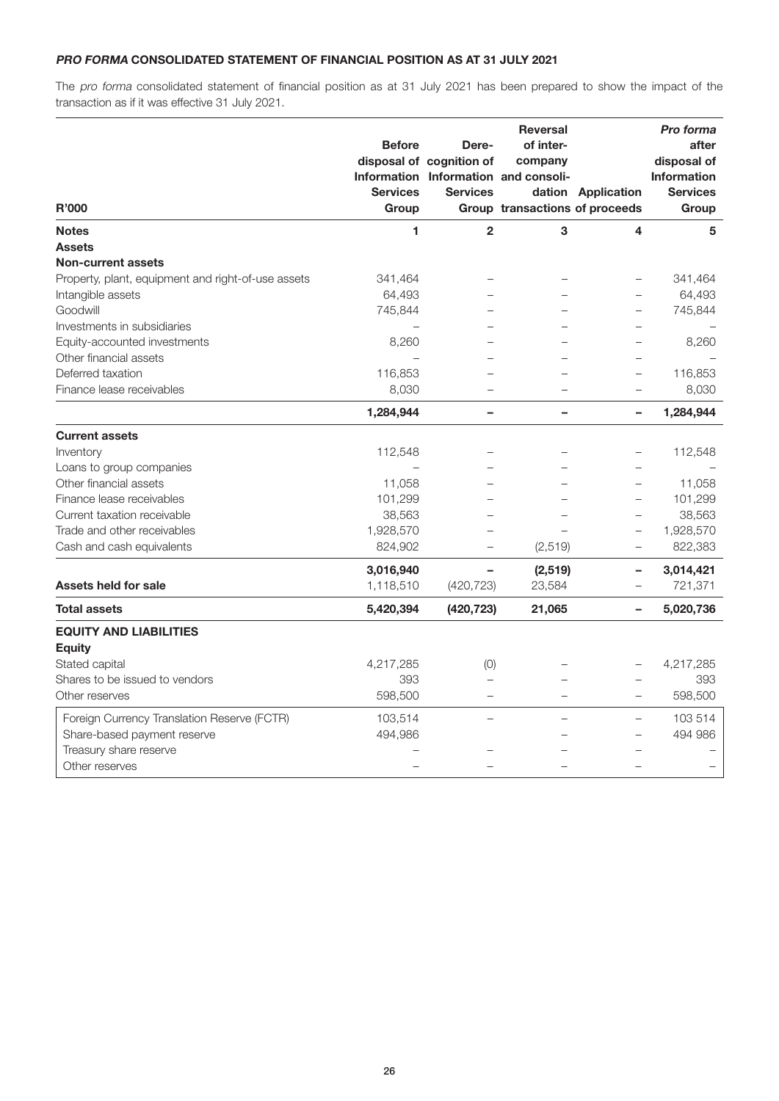#### PRO FORMA CONSOLIDATED STATEMENT OF FINANCIAL POSITION AS AT 31 JULY 2021

The pro forma consolidated statement of financial position as at 31 July 2021 has been prepared to show the impact of the transaction as if it was effective 31 July 2021.

|                                                    |                 |                          | <b>Reversal</b>                      |                          | Pro forma          |
|----------------------------------------------------|-----------------|--------------------------|--------------------------------------|--------------------------|--------------------|
|                                                    | <b>Before</b>   | Dere-                    | of inter-                            |                          | after              |
|                                                    |                 | disposal of cognition of | company                              |                          | disposal of        |
|                                                    |                 |                          | Information Information and consoli- |                          | <b>Information</b> |
|                                                    | <b>Services</b> | <b>Services</b>          |                                      | dation Application       | <b>Services</b>    |
| <b>R'000</b>                                       | Group           |                          | Group transactions of proceeds       |                          | Group              |
| <b>Notes</b>                                       | 1               | $\overline{2}$           | 3                                    | 4                        | 5                  |
| <b>Assets</b>                                      |                 |                          |                                      |                          |                    |
| <b>Non-current assets</b>                          |                 |                          |                                      |                          |                    |
| Property, plant, equipment and right-of-use assets | 341,464         |                          |                                      |                          | 341,464            |
| Intangible assets                                  | 64,493          |                          |                                      |                          | 64,493             |
| Goodwill                                           | 745,844         |                          |                                      | $\overline{\phantom{0}}$ | 745,844            |
| Investments in subsidiaries                        |                 |                          |                                      |                          |                    |
| Equity-accounted investments                       | 8,260           |                          |                                      |                          | 8,260              |
| Other financial assets                             |                 |                          |                                      |                          |                    |
| Deferred taxation                                  | 116,853         |                          |                                      | $\overline{\phantom{0}}$ | 116,853            |
| Finance lease receivables                          | 8,030           |                          |                                      | $\equiv$                 | 8,030              |
|                                                    | 1,284,944       | $\overline{\phantom{0}}$ | -                                    | $\overline{\phantom{0}}$ | 1,284,944          |
| <b>Current assets</b>                              |                 |                          |                                      |                          |                    |
| Inventory                                          | 112,548         |                          |                                      |                          | 112,548            |
| Loans to group companies                           |                 |                          |                                      | $\overline{\phantom{0}}$ |                    |
| Other financial assets                             | 11,058          |                          |                                      |                          | 11,058             |
| Finance lease receivables                          | 101,299         |                          |                                      | $\qquad \qquad -$        | 101,299            |
| Current taxation receivable                        | 38,563          |                          |                                      | $\overline{\phantom{0}}$ | 38,563             |
| Trade and other receivables                        | 1,928,570       |                          |                                      |                          | 1,928,570          |
| Cash and cash equivalents                          | 824,902         |                          | (2, 519)                             | $\overline{\phantom{0}}$ | 822,383            |
|                                                    | 3,016,940       |                          | (2,519)                              | ۰                        | 3,014,421          |
| <b>Assets held for sale</b>                        | 1,118,510       | (420, 723)               | 23,584                               | $\qquad \qquad -$        | 721,371            |
| <b>Total assets</b>                                | 5,420,394       | (420, 723)               | 21,065                               | $\equiv$                 | 5,020,736          |
| <b>EQUITY AND LIABILITIES</b>                      |                 |                          |                                      |                          |                    |
| <b>Equity</b>                                      |                 |                          |                                      |                          |                    |
| Stated capital                                     | 4,217,285       | (0)                      |                                      |                          | 4,217,285          |
| Shares to be issued to vendors                     | 393             |                          |                                      |                          | 393                |
| Other reserves                                     | 598,500         |                          |                                      |                          | 598,500            |
| Foreign Currency Translation Reserve (FCTR)        | 103,514         |                          | $\overline{\phantom{0}}$             | $\overline{\phantom{m}}$ | 103 514            |
| Share-based payment reserve                        | 494,986         |                          |                                      | $\qquad \qquad -$        | 494 986            |
| Treasury share reserve                             |                 |                          |                                      |                          |                    |
| Other reserves                                     |                 |                          |                                      |                          |                    |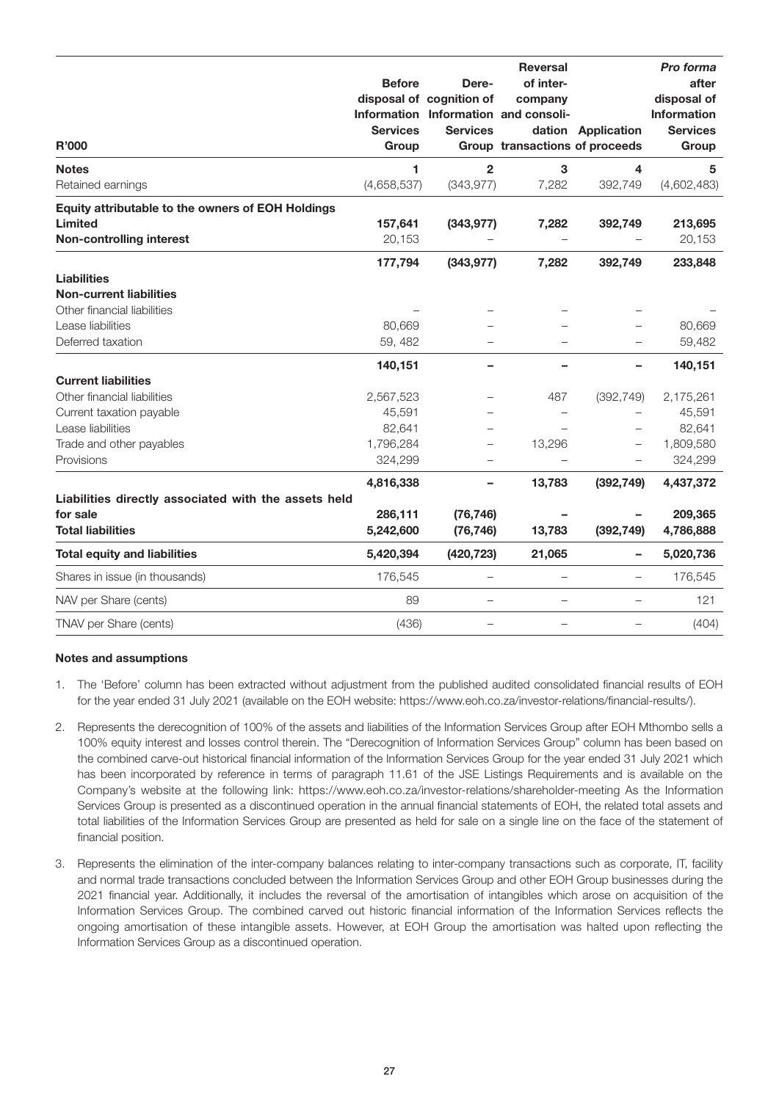| R'000                                                | <b>Before</b><br><b>Services</b><br>Group | Dere-<br>disposal of cognition of<br><b>Services</b> | <b>Reversal</b><br>of inter-<br>company<br>Information Information and consoli-<br>Group transactions of proceeds | dation Application       | Pro forma<br>after<br>disposal of<br><b>Information</b><br><b>Services</b><br>Group |
|------------------------------------------------------|-------------------------------------------|------------------------------------------------------|-------------------------------------------------------------------------------------------------------------------|--------------------------|-------------------------------------------------------------------------------------|
| <b>Notes</b>                                         | 1                                         | $\overline{2}$                                       | 3                                                                                                                 | 4                        | 5                                                                                   |
| Retained earnings                                    | (4,658,537)                               | (343, 977)                                           | 7,282                                                                                                             | 392,749                  | (4,602,483)                                                                         |
| Equity attributable to the owners of EOH Holdings    |                                           |                                                      |                                                                                                                   |                          |                                                                                     |
| Limited                                              | 157,641                                   | (343, 977)                                           | 7,282                                                                                                             | 392,749                  | 213,695                                                                             |
| <b>Non-controlling interest</b>                      | 20,153                                    |                                                      |                                                                                                                   |                          | 20,153                                                                              |
|                                                      | 177,794                                   | (343, 977)                                           | 7,282                                                                                                             | 392,749                  | 233,848                                                                             |
| <b>Liabilities</b>                                   |                                           |                                                      |                                                                                                                   |                          |                                                                                     |
| <b>Non-current liabilities</b>                       |                                           |                                                      |                                                                                                                   |                          |                                                                                     |
| Other financial liabilities                          |                                           |                                                      |                                                                                                                   |                          |                                                                                     |
| Lease liabilities                                    | 80,669                                    |                                                      |                                                                                                                   |                          | 80,669                                                                              |
| Deferred taxation                                    | 59, 482                                   |                                                      |                                                                                                                   |                          | 59,482                                                                              |
|                                                      | 140,151                                   |                                                      |                                                                                                                   |                          | 140,151                                                                             |
| <b>Current liabilities</b>                           |                                           |                                                      |                                                                                                                   |                          |                                                                                     |
| Other financial liabilities                          | 2,567,523                                 |                                                      | 487                                                                                                               | (392, 749)               | 2,175,261                                                                           |
| Current taxation payable                             | 45,591                                    |                                                      | $\overline{\phantom{0}}$                                                                                          | $\overline{\phantom{0}}$ | 45,591                                                                              |
| Lease liabilities                                    | 82,641                                    |                                                      |                                                                                                                   | $\overline{\phantom{0}}$ | 82,641                                                                              |
| Trade and other payables                             | 1,796,284                                 |                                                      | 13,296                                                                                                            | $\overline{\phantom{0}}$ | 1,809,580                                                                           |
| Provisions                                           | 324,299                                   |                                                      | $\overline{\phantom{0}}$                                                                                          | $\overline{\phantom{0}}$ | 324,299                                                                             |
|                                                      | 4,816,338                                 |                                                      | 13,783                                                                                                            | (392, 749)               | 4,437,372                                                                           |
| Liabilities directly associated with the assets held |                                           |                                                      |                                                                                                                   |                          |                                                                                     |
| for sale                                             | 286,111                                   | (76, 746)                                            |                                                                                                                   |                          | 209,365                                                                             |
| <b>Total liabilities</b>                             | 5,242,600                                 | (76, 746)                                            | 13,783                                                                                                            | (392, 749)               | 4,786,888                                                                           |
| <b>Total equity and liabilities</b>                  | 5,420,394                                 | (420, 723)                                           | 21,065                                                                                                            | -                        | 5,020,736                                                                           |
| Shares in issue (in thousands)                       | 176,545                                   |                                                      |                                                                                                                   | —                        | 176,545                                                                             |
| NAV per Share (cents)                                | 89                                        | $\overline{\phantom{0}}$                             |                                                                                                                   | $\overline{\phantom{0}}$ | 121                                                                                 |
| TNAV per Share (cents)                               | (436)                                     | -                                                    | $\overline{\phantom{0}}$                                                                                          | —                        | (404)                                                                               |

#### Notes and assumptions

- 1. The 'Before' column has been extracted without adjustment from the published audited consolidated financial results of EOH for the year ended 31 July 2021 (available on the EOH website: https://www.eoh.co.za/investor-relations/financial-results/).
- 2. Represents the derecognition of 100% of the assets and liabilities of the Information Services Group after EOH Mthombo sells a 100% equity interest and losses control therein. The "Derecognition of Information Services Group" column has been based on the combined carve-out historical financial information of the Information Services Group for the year ended 31 July 2021 which has been incorporated by reference in terms of paragraph 11.61 of the JSE Listings Requirements and is available on the Company's website at the following link: https://www.eoh.co.za/investor-relations/shareholder-meeting As the Information Services Group is presented as a discontinued operation in the annual financial statements of EOH, the related total assets and total liabilities of the Information Services Group are presented as held for sale on a single line on the face of the statement of financial position.
- 3. Represents the elimination of the inter-company balances relating to inter-company transactions such as corporate, IT, facility and normal trade transactions concluded between the Information Services Group and other EOH Group businesses during the 2021 financial year. Additionally, it includes the reversal of the amortisation of intangibles which arose on acquisition of the Information Services Group. The combined carved out historic financial information of the Information Services reflects the ongoing amortisation of these intangible assets. However, at EOH Group the amortisation was halted upon reflecting the Information Services Group as a discontinued operation.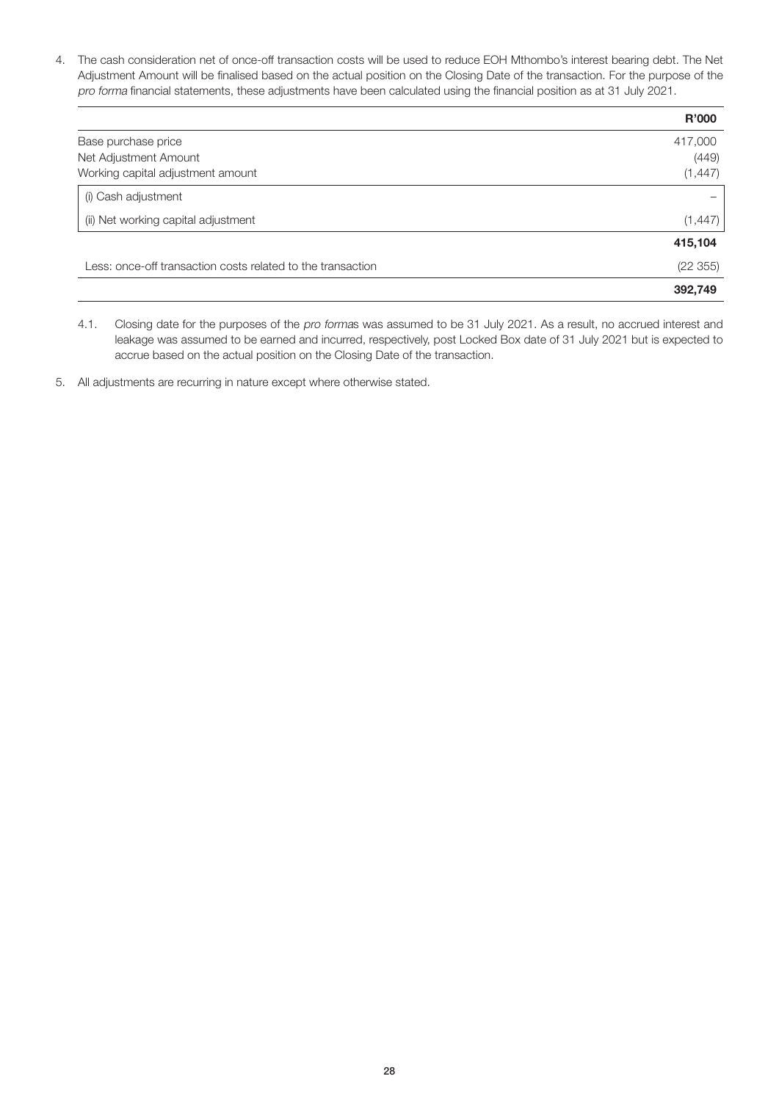4. The cash consideration net of once-off transaction costs will be used to reduce EOH Mthombo's interest bearing debt. The Net Adjustment Amount will be finalised based on the actual position on the Closing Date of the transaction. For the purpose of the pro forma financial statements, these adjustments have been calculated using the financial position as at 31 July 2021.

|                                                             | R'000    |
|-------------------------------------------------------------|----------|
| Base purchase price                                         | 417,000  |
| Net Adjustment Amount                                       | (449)    |
| Working capital adjustment amount                           | (1, 447) |
| (i) Cash adjustment                                         |          |
| (ii) Net working capital adjustment                         | (1, 447) |
|                                                             | 415,104  |
| Less: once-off transaction costs related to the transaction | (22 355) |
|                                                             | 392,749  |

- 4.1. Closing date for the purposes of the pro formas was assumed to be 31 July 2021. As a result, no accrued interest and leakage was assumed to be earned and incurred, respectively, post Locked Box date of 31 July 2021 but is expected to accrue based on the actual position on the Closing Date of the transaction.
- 5. All adjustments are recurring in nature except where otherwise stated.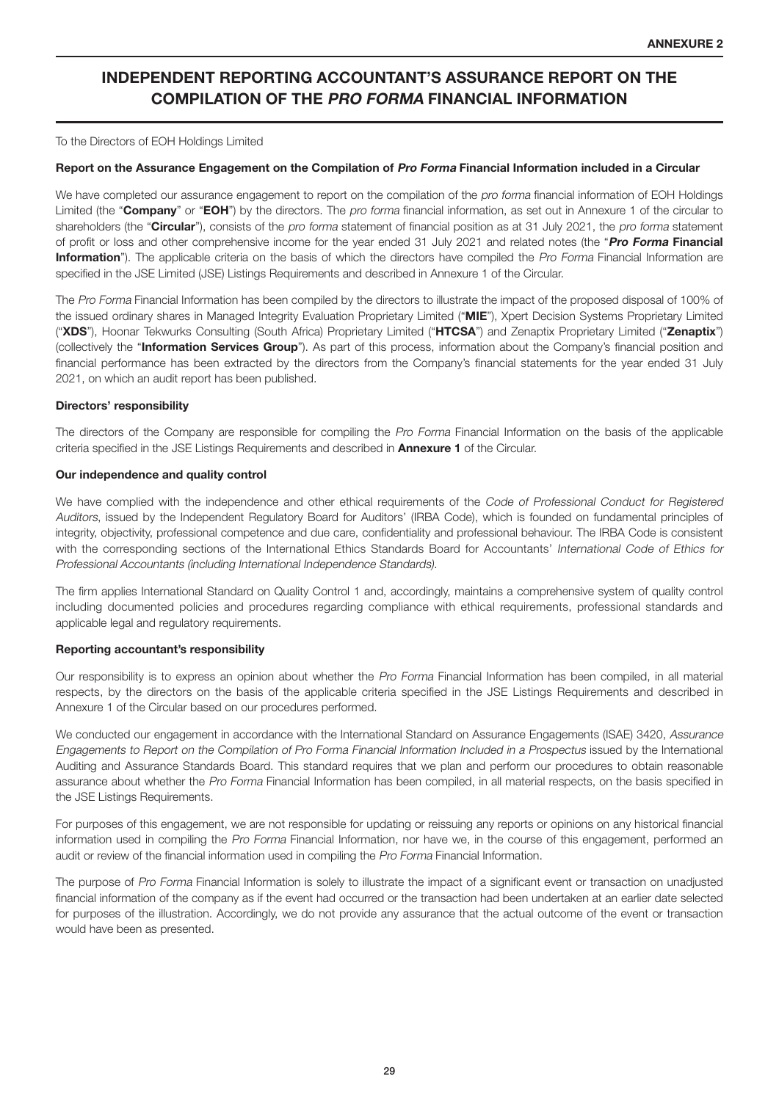## INDEPENDENT REPORTING ACCOUNTANT'S ASSURANCE REPORT ON THE COMPILATION OF THE PRO FORMA FINANCIAL INFORMATION

To the Directors of EOH Holdings Limited

#### Report on the Assurance Engagement on the Compilation of Pro Forma Financial Information included in a Circular

We have completed our assurance engagement to report on the compilation of the pro forma financial information of EOH Holdings Limited (the "Company" or "EOH") by the directors. The pro forma financial information, as set out in Annexure 1 of the circular to shareholders (the "Circular"), consists of the pro forma statement of financial position as at 31 July 2021, the pro forma statement of profit or loss and other comprehensive income for the year ended 31 July 2021 and related notes (the "Pro Forma Financial Information"). The applicable criteria on the basis of which the directors have compiled the Pro Forma Financial Information are specified in the JSE Limited (JSE) Listings Requirements and described in Annexure 1 of the Circular.

The Pro Forma Financial Information has been compiled by the directors to illustrate the impact of the proposed disposal of 100% of the issued ordinary shares in Managed Integrity Evaluation Proprietary Limited ("MIE"), Xpert Decision Systems Proprietary Limited ("XDS"), Hoonar Tekwurks Consulting (South Africa) Proprietary Limited ("HTCSA") and Zenaptix Proprietary Limited ("Zenaptix") (collectively the "Information Services Group"). As part of this process, information about the Company's financial position and financial performance has been extracted by the directors from the Company's financial statements for the year ended 31 July 2021, on which an audit report has been published.

#### Directors' responsibility

The directors of the Company are responsible for compiling the Pro Forma Financial Information on the basis of the applicable criteria specified in the JSE Listings Requirements and described in **Annexure 1** of the Circular.

#### Our independence and quality control

We have complied with the independence and other ethical requirements of the Code of Professional Conduct for Registered Auditors, issued by the Independent Regulatory Board for Auditors' (IRBA Code), which is founded on fundamental principles of integrity, objectivity, professional competence and due care, confidentiality and professional behaviour. The IRBA Code is consistent with the corresponding sections of the International Ethics Standards Board for Accountants' International Code of Ethics for Professional Accountants (including International Independence Standards).

The firm applies International Standard on Quality Control 1 and, accordingly, maintains a comprehensive system of quality control including documented policies and procedures regarding compliance with ethical requirements, professional standards and applicable legal and regulatory requirements.

#### Reporting accountant's responsibility

Our responsibility is to express an opinion about whether the Pro Forma Financial Information has been compiled, in all material respects, by the directors on the basis of the applicable criteria specified in the JSE Listings Requirements and described in Annexure 1 of the Circular based on our procedures performed.

We conducted our engagement in accordance with the International Standard on Assurance Engagements (ISAE) 3420, Assurance Engagements to Report on the Compilation of Pro Forma Financial Information Included in a Prospectus issued by the International Auditing and Assurance Standards Board. This standard requires that we plan and perform our procedures to obtain reasonable assurance about whether the Pro Forma Financial Information has been compiled, in all material respects, on the basis specified in the JSE Listings Requirements.

For purposes of this engagement, we are not responsible for updating or reissuing any reports or opinions on any historical financial information used in compiling the Pro Forma Financial Information, nor have we, in the course of this engagement, performed an audit or review of the financial information used in compiling the Pro Forma Financial Information.

The purpose of Pro Forma Financial Information is solely to illustrate the impact of a significant event or transaction on unadjusted financial information of the company as if the event had occurred or the transaction had been undertaken at an earlier date selected for purposes of the illustration. Accordingly, we do not provide any assurance that the actual outcome of the event or transaction would have been as presented.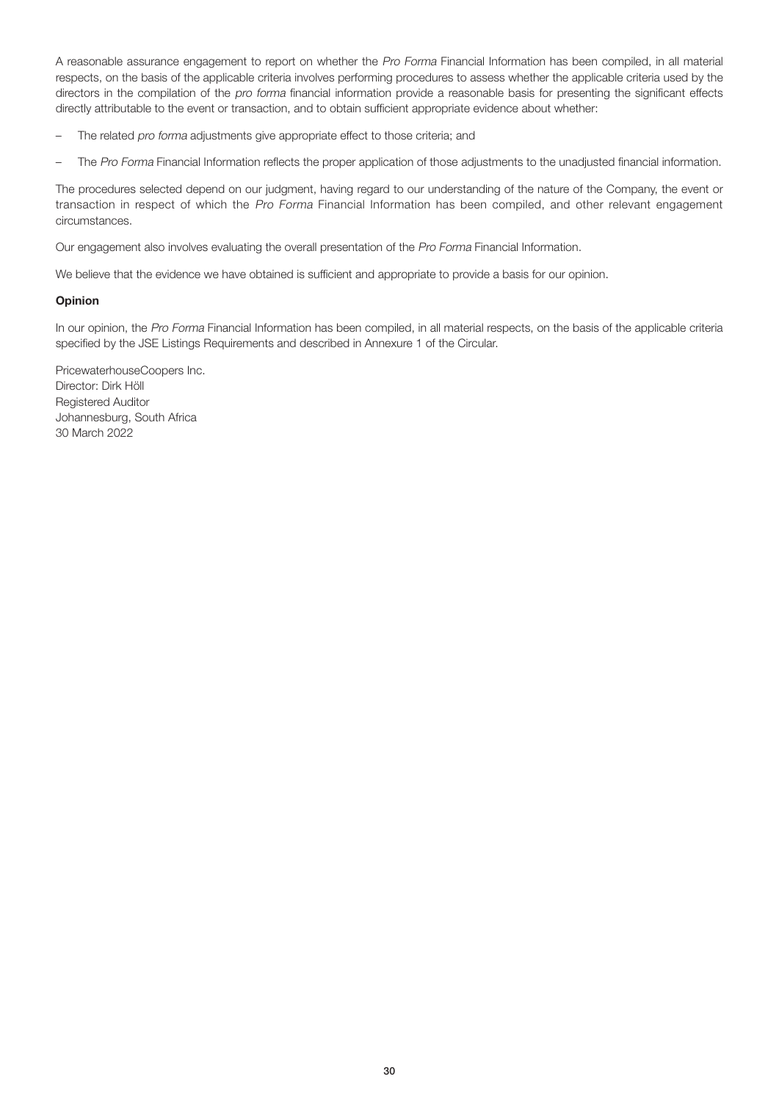A reasonable assurance engagement to report on whether the Pro Forma Financial Information has been compiled, in all material respects, on the basis of the applicable criteria involves performing procedures to assess whether the applicable criteria used by the directors in the compilation of the pro forma financial information provide a reasonable basis for presenting the significant effects directly attributable to the event or transaction, and to obtain sufficient appropriate evidence about whether:

- The related pro forma adjustments give appropriate effect to those criteria; and
- The Pro Forma Financial Information reflects the proper application of those adjustments to the unadjusted financial information.

The procedures selected depend on our judgment, having regard to our understanding of the nature of the Company, the event or transaction in respect of which the Pro Forma Financial Information has been compiled, and other relevant engagement circumstances.

Our engagement also involves evaluating the overall presentation of the Pro Forma Financial Information.

We believe that the evidence we have obtained is sufficient and appropriate to provide a basis for our opinion.

#### Opinion

In our opinion, the Pro Forma Financial Information has been compiled, in all material respects, on the basis of the applicable criteria specified by the JSE Listings Requirements and described in Annexure 1 of the Circular.

PricewaterhouseCoopers Inc. Director: Dirk Höll Registered Auditor Johannesburg, South Africa 30 March 2022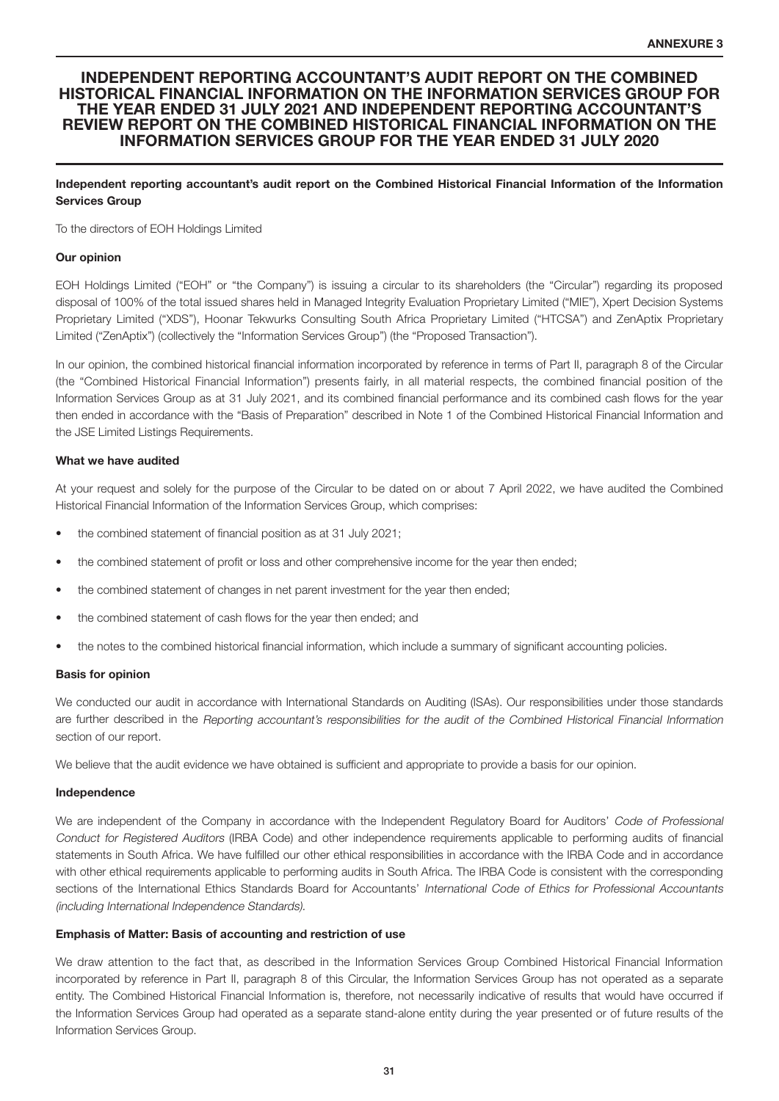#### INDEPENDENT REPORTING ACCOUNTANT'S AUDIT REPORT ON THE COMBINED HISTORICAL FINANCIAL INFORMATION ON THE INFORMATION SERVICES GROUP FOR THE YEAR ENDED 31 JULY 2021 AND INDEPENDENT REPORTING ACCOUNTANT'S REVIEW REPORT ON THE COMBINED HISTORICAL FINANCIAL INFORMATION ON THE INFORMATION SERVICES GROUP FOR THE YEAR ENDED 31 JULY 2020

#### Independent reporting accountant's audit report on the Combined Historical Financial Information of the Information Services Group

To the directors of EOH Holdings Limited

#### Our opinion

EOH Holdings Limited ("EOH" or "the Company") is issuing a circular to its shareholders (the "Circular") regarding its proposed disposal of 100% of the total issued shares held in Managed Integrity Evaluation Proprietary Limited ("MIE"), Xpert Decision Systems Proprietary Limited ("XDS"), Hoonar Tekwurks Consulting South Africa Proprietary Limited ("HTCSA") and ZenAptix Proprietary Limited ("ZenAptix") (collectively the "Information Services Group") (the "Proposed Transaction").

In our opinion, the combined historical financial information incorporated by reference in terms of Part II, paragraph 8 of the Circular (the "Combined Historical Financial Information") presents fairly, in all material respects, the combined financial position of the Information Services Group as at 31 July 2021, and its combined financial performance and its combined cash flows for the year then ended in accordance with the "Basis of Preparation" described in Note 1 of the Combined Historical Financial Information and the JSE Limited Listings Requirements.

#### What we have audited

At your request and solely for the purpose of the Circular to be dated on or about 7 April 2022, we have audited the Combined Historical Financial Information of the Information Services Group, which comprises:

- the combined statement of financial position as at 31 July 2021;
- the combined statement of profit or loss and other comprehensive income for the year then ended;
- the combined statement of changes in net parent investment for the year then ended;
- the combined statement of cash flows for the year then ended; and
- the notes to the combined historical financial information, which include a summary of significant accounting policies.

#### Basis for opinion

We conducted our audit in accordance with International Standards on Auditing (ISAs). Our responsibilities under those standards are further described in the Reporting accountant's responsibilities for the audit of the Combined Historical Financial Information section of our report.

We believe that the audit evidence we have obtained is sufficient and appropriate to provide a basis for our opinion.

#### Independence

We are independent of the Company in accordance with the Independent Regulatory Board for Auditors' Code of Professional Conduct for Registered Auditors (IRBA Code) and other independence requirements applicable to performing audits of financial statements in South Africa. We have fulfilled our other ethical responsibilities in accordance with the IRBA Code and in accordance with other ethical requirements applicable to performing audits in South Africa. The IRBA Code is consistent with the corresponding sections of the International Ethics Standards Board for Accountants' International Code of Ethics for Professional Accountants (including International Independence Standards).

#### Emphasis of Matter: Basis of accounting and restriction of use

We draw attention to the fact that, as described in the Information Services Group Combined Historical Financial Information incorporated by reference in Part II, paragraph 8 of this Circular, the Information Services Group has not operated as a separate entity. The Combined Historical Financial Information is, therefore, not necessarily indicative of results that would have occurred if the Information Services Group had operated as a separate stand-alone entity during the year presented or of future results of the Information Services Group.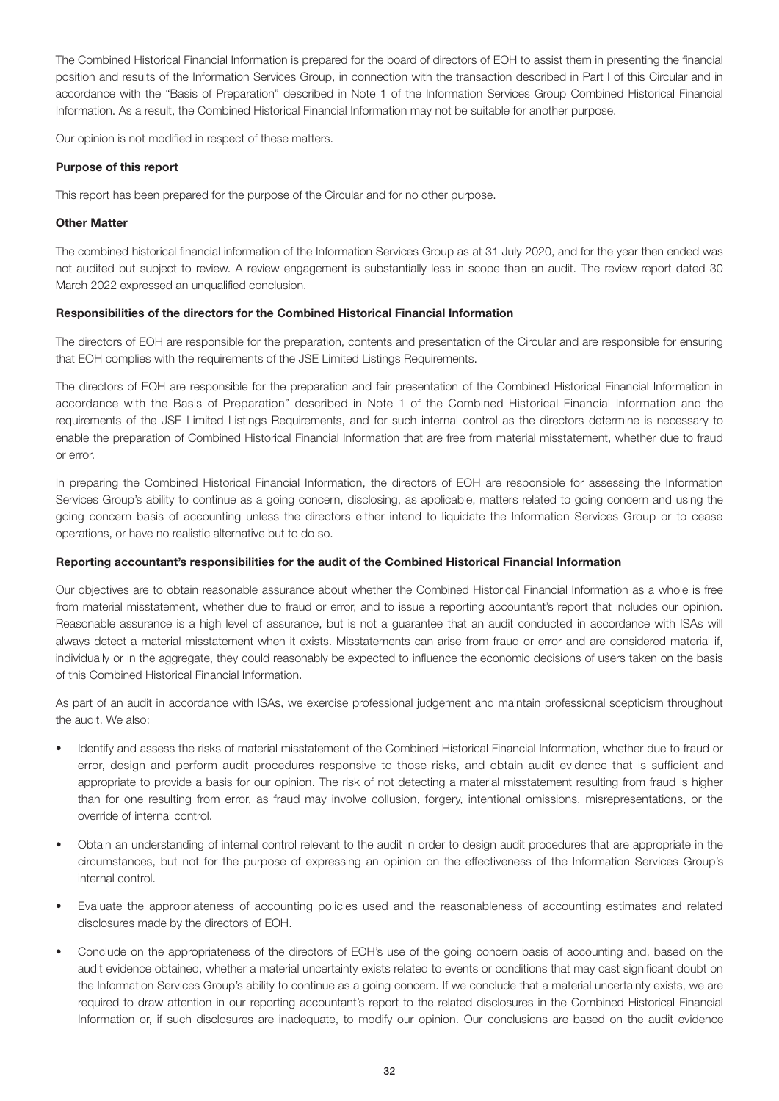The Combined Historical Financial Information is prepared for the board of directors of EOH to assist them in presenting the financial position and results of the Information Services Group, in connection with the transaction described in Part I of this Circular and in accordance with the "Basis of Preparation" described in Note 1 of the Information Services Group Combined Historical Financial Information. As a result, the Combined Historical Financial Information may not be suitable for another purpose.

Our opinion is not modified in respect of these matters.

#### Purpose of this report

This report has been prepared for the purpose of the Circular and for no other purpose.

#### Other Matter

The combined historical financial information of the Information Services Group as at 31 July 2020, and for the year then ended was not audited but subject to review. A review engagement is substantially less in scope than an audit. The review report dated 30 March 2022 expressed an unqualified conclusion.

#### Responsibilities of the directors for the Combined Historical Financial Information

The directors of EOH are responsible for the preparation, contents and presentation of the Circular and are responsible for ensuring that EOH complies with the requirements of the JSE Limited Listings Requirements.

The directors of EOH are responsible for the preparation and fair presentation of the Combined Historical Financial Information in accordance with the Basis of Preparation" described in Note 1 of the Combined Historical Financial Information and the requirements of the JSE Limited Listings Requirements, and for such internal control as the directors determine is necessary to enable the preparation of Combined Historical Financial Information that are free from material misstatement, whether due to fraud or error.

In preparing the Combined Historical Financial Information, the directors of EOH are responsible for assessing the Information Services Group's ability to continue as a going concern, disclosing, as applicable, matters related to going concern and using the going concern basis of accounting unless the directors either intend to liquidate the Information Services Group or to cease operations, or have no realistic alternative but to do so.

#### Reporting accountant's responsibilities for the audit of the Combined Historical Financial Information

Our objectives are to obtain reasonable assurance about whether the Combined Historical Financial Information as a whole is free from material misstatement, whether due to fraud or error, and to issue a reporting accountant's report that includes our opinion. Reasonable assurance is a high level of assurance, but is not a guarantee that an audit conducted in accordance with ISAs will always detect a material misstatement when it exists. Misstatements can arise from fraud or error and are considered material if, individually or in the aggregate, they could reasonably be expected to influence the economic decisions of users taken on the basis of this Combined Historical Financial Information.

As part of an audit in accordance with ISAs, we exercise professional judgement and maintain professional scepticism throughout the audit. We also:

- Identify and assess the risks of material misstatement of the Combined Historical Financial Information, whether due to fraud or error, design and perform audit procedures responsive to those risks, and obtain audit evidence that is sufficient and appropriate to provide a basis for our opinion. The risk of not detecting a material misstatement resulting from fraud is higher than for one resulting from error, as fraud may involve collusion, forgery, intentional omissions, misrepresentations, or the override of internal control.
- Obtain an understanding of internal control relevant to the audit in order to design audit procedures that are appropriate in the circumstances, but not for the purpose of expressing an opinion on the effectiveness of the Information Services Group's internal control.
- Evaluate the appropriateness of accounting policies used and the reasonableness of accounting estimates and related disclosures made by the directors of EOH.
- Conclude on the appropriateness of the directors of EOH's use of the going concern basis of accounting and, based on the audit evidence obtained, whether a material uncertainty exists related to events or conditions that may cast significant doubt on the Information Services Group's ability to continue as a going concern. If we conclude that a material uncertainty exists, we are required to draw attention in our reporting accountant's report to the related disclosures in the Combined Historical Financial Information or, if such disclosures are inadequate, to modify our opinion. Our conclusions are based on the audit evidence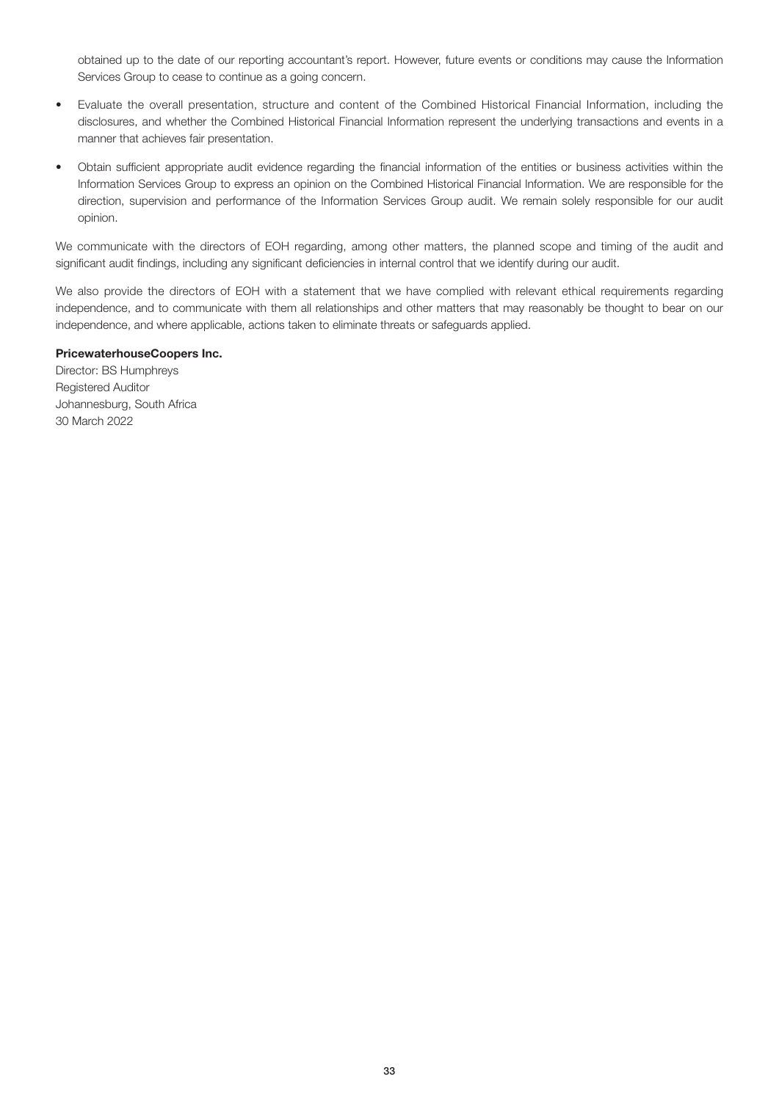obtained up to the date of our reporting accountant's report. However, future events or conditions may cause the Information Services Group to cease to continue as a going concern.

- Evaluate the overall presentation, structure and content of the Combined Historical Financial Information, including the disclosures, and whether the Combined Historical Financial Information represent the underlying transactions and events in a manner that achieves fair presentation.
- Obtain sufficient appropriate audit evidence regarding the financial information of the entities or business activities within the Information Services Group to express an opinion on the Combined Historical Financial Information. We are responsible for the direction, supervision and performance of the Information Services Group audit. We remain solely responsible for our audit opinion.

We communicate with the directors of EOH regarding, among other matters, the planned scope and timing of the audit and significant audit findings, including any significant deficiencies in internal control that we identify during our audit.

We also provide the directors of EOH with a statement that we have complied with relevant ethical requirements regarding independence, and to communicate with them all relationships and other matters that may reasonably be thought to bear on our independence, and where applicable, actions taken to eliminate threats or safeguards applied.

#### PricewaterhouseCoopers Inc.

Director: BS Humphreys Registered Auditor Johannesburg, South Africa 30 March 2022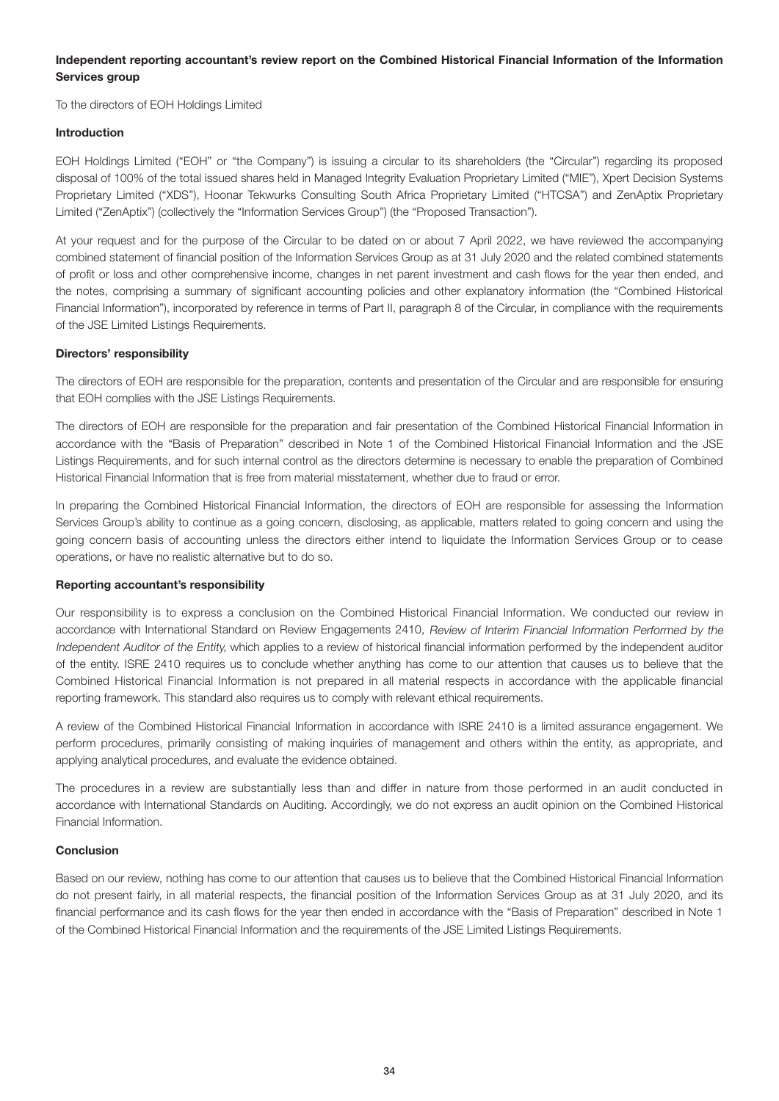#### Independent reporting accountant's review report on the Combined Historical Financial Information of the Information Services group

To the directors of EOH Holdings Limited

#### Introduction

EOH Holdings Limited ("EOH" or "the Company") is issuing a circular to its shareholders (the "Circular") regarding its proposed disposal of 100% of the total issued shares held in Managed Integrity Evaluation Proprietary Limited ("MIE"), Xpert Decision Systems Proprietary Limited ("XDS"), Hoonar Tekwurks Consulting South Africa Proprietary Limited ("HTCSA") and ZenAptix Proprietary Limited ("ZenAptix") (collectively the "Information Services Group") (the "Proposed Transaction").

At your request and for the purpose of the Circular to be dated on or about 7 April 2022, we have reviewed the accompanying combined statement of financial position of the Information Services Group as at 31 July 2020 and the related combined statements of profit or loss and other comprehensive income, changes in net parent investment and cash flows for the year then ended, and the notes, comprising a summary of significant accounting policies and other explanatory information (the "Combined Historical Financial Information"), incorporated by reference in terms of Part II, paragraph 8 of the Circular, in compliance with the requirements of the JSE Limited Listings Requirements.

#### Directors' responsibility

The directors of EOH are responsible for the preparation, contents and presentation of the Circular and are responsible for ensuring that EOH complies with the JSE Listings Requirements.

The directors of EOH are responsible for the preparation and fair presentation of the Combined Historical Financial Information in accordance with the "Basis of Preparation" described in Note 1 of the Combined Historical Financial Information and the JSE Listings Requirements, and for such internal control as the directors determine is necessary to enable the preparation of Combined Historical Financial Information that is free from material misstatement, whether due to fraud or error.

In preparing the Combined Historical Financial Information, the directors of EOH are responsible for assessing the Information Services Group's ability to continue as a going concern, disclosing, as applicable, matters related to going concern and using the going concern basis of accounting unless the directors either intend to liquidate the Information Services Group or to cease operations, or have no realistic alternative but to do so.

#### Reporting accountant's responsibility

Our responsibility is to express a conclusion on the Combined Historical Financial Information. We conducted our review in accordance with International Standard on Review Engagements 2410, Review of Interim Financial Information Performed by the Independent Auditor of the Entity, which applies to a review of historical financial information performed by the independent auditor of the entity. ISRE 2410 requires us to conclude whether anything has come to our attention that causes us to believe that the Combined Historical Financial Information is not prepared in all material respects in accordance with the applicable financial reporting framework. This standard also requires us to comply with relevant ethical requirements.

A review of the Combined Historical Financial Information in accordance with ISRE 2410 is a limited assurance engagement. We perform procedures, primarily consisting of making inquiries of management and others within the entity, as appropriate, and applying analytical procedures, and evaluate the evidence obtained.

The procedures in a review are substantially less than and differ in nature from those performed in an audit conducted in accordance with International Standards on Auditing. Accordingly, we do not express an audit opinion on the Combined Historical Financial Information.

#### Conclusion

Based on our review, nothing has come to our attention that causes us to believe that the Combined Historical Financial Information do not present fairly, in all material respects, the financial position of the Information Services Group as at 31 July 2020, and its financial performance and its cash flows for the year then ended in accordance with the "Basis of Preparation" described in Note 1 of the Combined Historical Financial Information and the requirements of the JSE Limited Listings Requirements.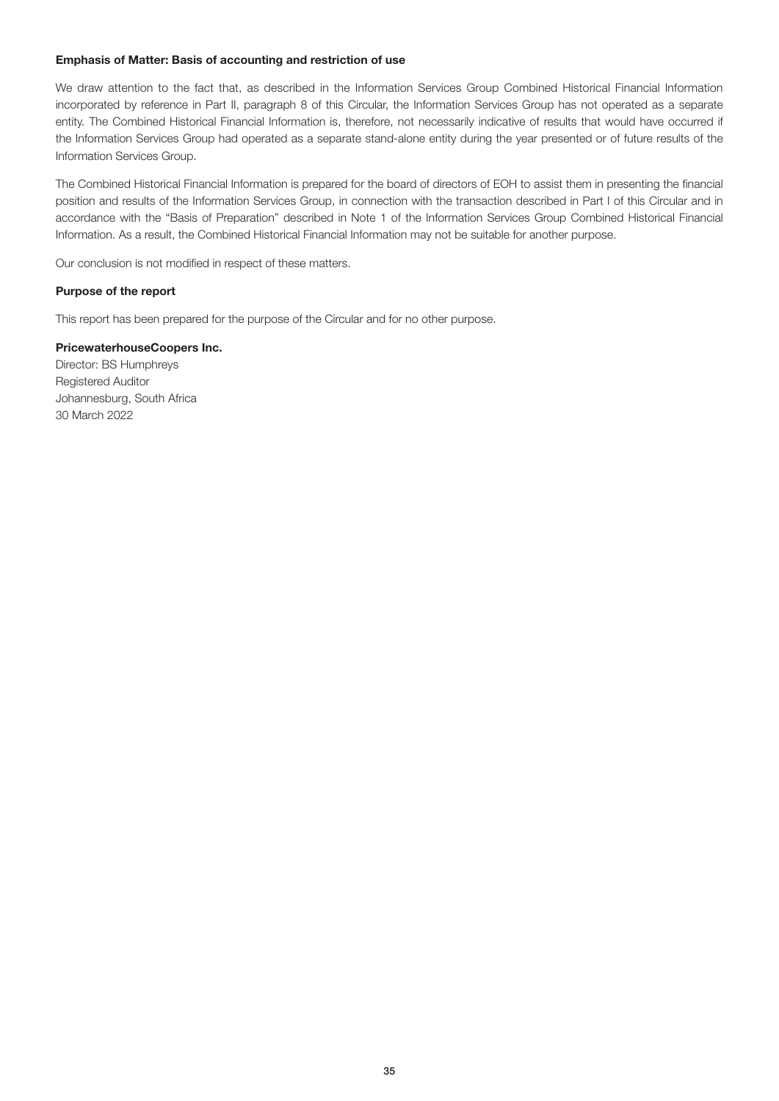#### Emphasis of Matter: Basis of accounting and restriction of use

We draw attention to the fact that, as described in the Information Services Group Combined Historical Financial Information incorporated by reference in Part II, paragraph 8 of this Circular, the Information Services Group has not operated as a separate entity. The Combined Historical Financial Information is, therefore, not necessarily indicative of results that would have occurred if the Information Services Group had operated as a separate stand-alone entity during the year presented or of future results of the Information Services Group.

The Combined Historical Financial Information is prepared for the board of directors of EOH to assist them in presenting the financial position and results of the Information Services Group, in connection with the transaction described in Part I of this Circular and in accordance with the "Basis of Preparation" described in Note 1 of the Information Services Group Combined Historical Financial Information. As a result, the Combined Historical Financial Information may not be suitable for another purpose.

Our conclusion is not modified in respect of these matters.

#### Purpose of the report

This report has been prepared for the purpose of the Circular and for no other purpose.

#### PricewaterhouseCoopers Inc.

Director: BS Humphreys Registered Auditor Johannesburg, South Africa 30 March 2022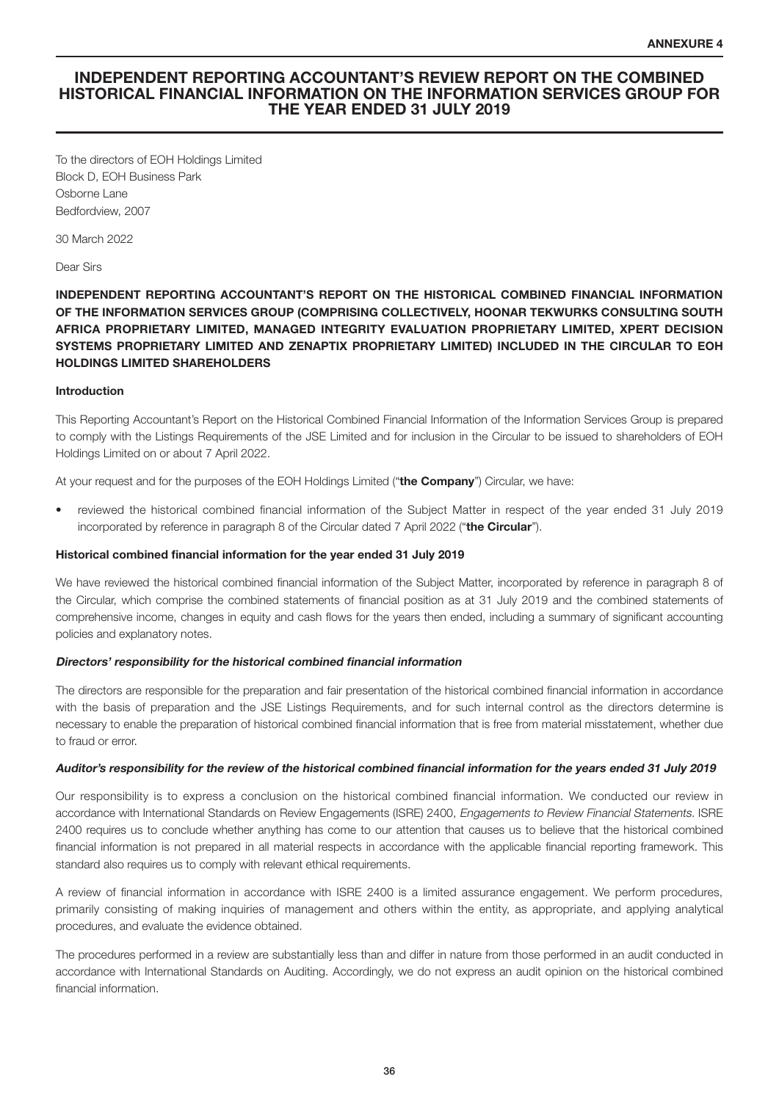#### INDEPENDENT REPORTING ACCOUNTANT'S REVIEW REPORT ON THE COMBINED HISTORICAL FINANCIAL INFORMATION ON THE INFORMATION SERVICES GROUP FOR THE YEAR ENDED 31 JULY 2019

To the directors of EOH Holdings Limited Block D, EOH Business Park Osborne Lane Bedfordview, 2007

30 March 2022

#### Dear Sirs

INDEPENDENT REPORTING ACCOUNTANT'S REPORT ON THE HISTORICAL COMBINED FINANCIAL INFORMATION OF THE INFORMATION SERVICES GROUP (COMPRISING COLLECTIVELY, HOONAR TEKWURKS CONSULTING SOUTH AFRICA PROPRIETARY LIMITED, MANAGED INTEGRITY EVALUATION PROPRIETARY LIMITED, XPERT DECISION SYSTEMS PROPRIETARY LIMITED AND ZENAPTIX PROPRIETARY LIMITED) INCLUDED IN THE CIRCULAR TO EOH HOLDINGS LIMITED SHAREHOLDERS

#### Introduction

This Reporting Accountant's Report on the Historical Combined Financial Information of the Information Services Group is prepared to comply with the Listings Requirements of the JSE Limited and for inclusion in the Circular to be issued to shareholders of EOH Holdings Limited on or about 7 April 2022.

At your request and for the purposes of the EOH Holdings Limited ("the Company") Circular, we have:

• reviewed the historical combined financial information of the Subject Matter in respect of the year ended 31 July 2019 incorporated by reference in paragraph 8 of the Circular dated 7 April 2022 ("the Circular").

#### Historical combined financial information for the year ended 31 July 2019

We have reviewed the historical combined financial information of the Subject Matter, incorporated by reference in paragraph 8 of the Circular, which comprise the combined statements of financial position as at 31 July 2019 and the combined statements of comprehensive income, changes in equity and cash flows for the years then ended, including a summary of significant accounting policies and explanatory notes.

#### Directors' responsibility for the historical combined financial information

The directors are responsible for the preparation and fair presentation of the historical combined financial information in accordance with the basis of preparation and the JSE Listings Requirements, and for such internal control as the directors determine is necessary to enable the preparation of historical combined financial information that is free from material misstatement, whether due to fraud or error.

#### Auditor's responsibility for the review of the historical combined financial information for the years ended 31 July 2019

Our responsibility is to express a conclusion on the historical combined financial information. We conducted our review in accordance with International Standards on Review Engagements (ISRE) 2400, Engagements to Review Financial Statements. ISRE 2400 requires us to conclude whether anything has come to our attention that causes us to believe that the historical combined financial information is not prepared in all material respects in accordance with the applicable financial reporting framework. This standard also requires us to comply with relevant ethical requirements.

A review of financial information in accordance with ISRE 2400 is a limited assurance engagement. We perform procedures, primarily consisting of making inquiries of management and others within the entity, as appropriate, and applying analytical procedures, and evaluate the evidence obtained.

The procedures performed in a review are substantially less than and differ in nature from those performed in an audit conducted in accordance with International Standards on Auditing. Accordingly, we do not express an audit opinion on the historical combined financial information.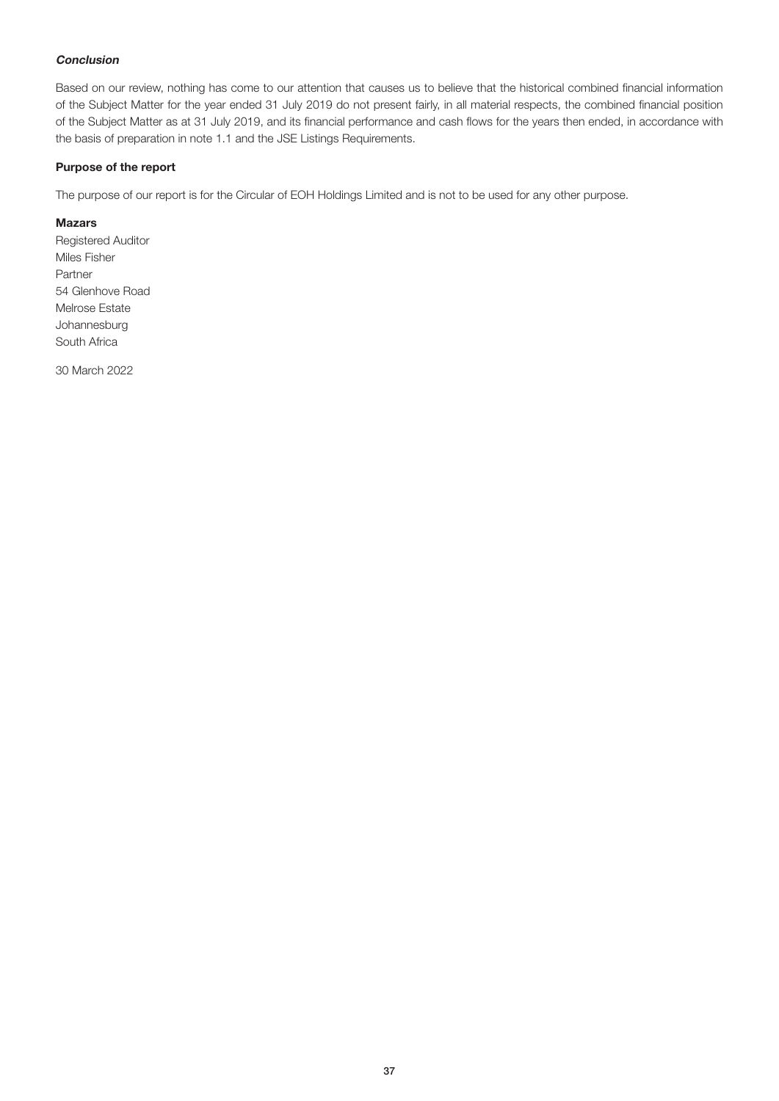#### Conclusion

Based on our review, nothing has come to our attention that causes us to believe that the historical combined financial information of the Subject Matter for the year ended 31 July 2019 do not present fairly, in all material respects, the combined financial position of the Subject Matter as at 31 July 2019, and its financial performance and cash flows for the years then ended, in accordance with the basis of preparation in note 1.1 and the JSE Listings Requirements.

#### Purpose of the report

The purpose of our report is for the Circular of EOH Holdings Limited and is not to be used for any other purpose.

#### Mazars

Registered Auditor Miles Fisher Partner 54 Glenhove Road Melrose Estate Johannesburg South Africa

30 March 2022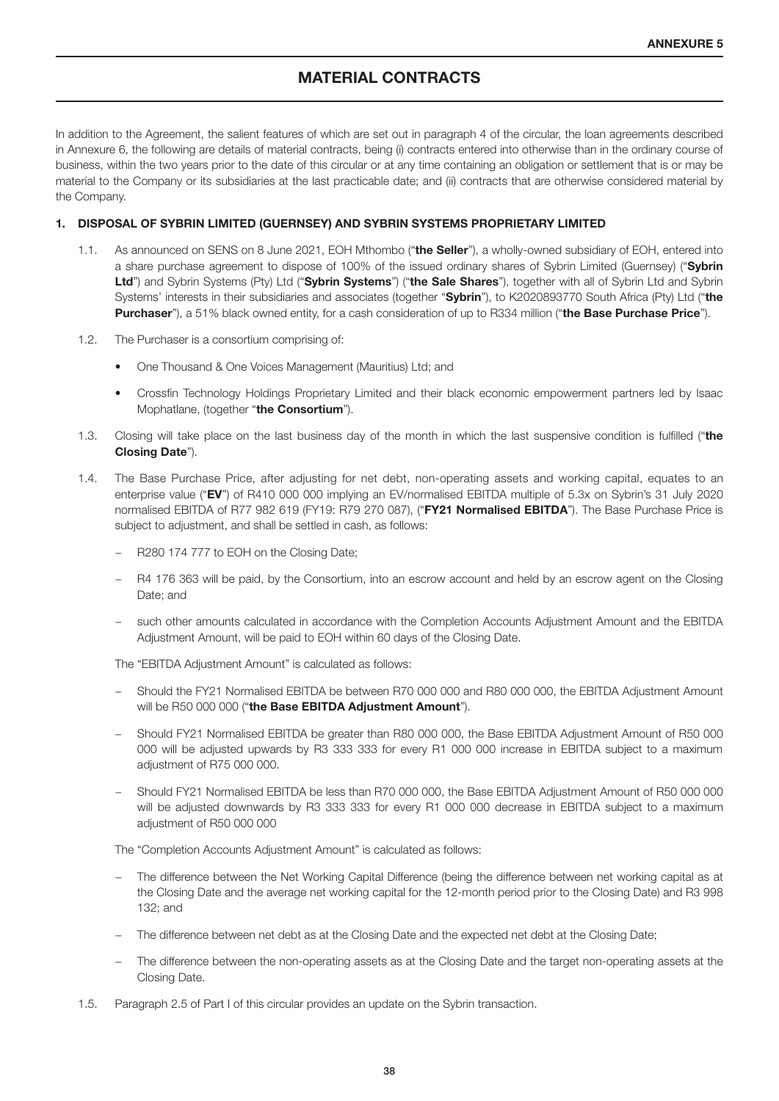## MATERIAL CONTRACTS

In addition to the Agreement, the salient features of which are set out in paragraph 4 of the circular, the loan agreements described in Annexure 6, the following are details of material contracts, being (i) contracts entered into otherwise than in the ordinary course of business, within the two years prior to the date of this circular or at any time containing an obligation or settlement that is or may be material to the Company or its subsidiaries at the last practicable date; and (ii) contracts that are otherwise considered material by the Company.

#### 1. DISPOSAL OF SYBRIN LIMITED (GUERNSEY) AND SYBRIN SYSTEMS PROPRIETARY LIMITED

- 1.1. As announced on SENS on 8 June 2021, EOH Mthombo ("the Seller"), a wholly-owned subsidiary of EOH, entered into a share purchase agreement to dispose of 100% of the issued ordinary shares of Sybrin Limited (Guernsey) ("Sybrin Ltd") and Sybrin Systems (Pty) Ltd ("Sybrin Systems") ("the Sale Shares"), together with all of Sybrin Ltd and Sybrin Systems' interests in their subsidiaries and associates (together "Sybrin"), to K2020893770 South Africa (Pty) Ltd ("the Purchaser"), a 51% black owned entity, for a cash consideration of up to R334 million ("the Base Purchase Price").
- 1.2. The Purchaser is a consortium comprising of:
	- One Thousand & One Voices Management (Mauritius) Ltd; and
	- Crossfin Technology Holdings Proprietary Limited and their black economic empowerment partners led by Isaac Mophatlane, (together "the Consortium").
- 1.3. Closing will take place on the last business day of the month in which the last suspensive condition is fulfilled ("the Closing Date").
- 1.4. The Base Purchase Price, after adjusting for net debt, non-operating assets and working capital, equates to an enterprise value ("EV") of R410 000 000 implying an EV/normalised EBITDA multiple of 5.3x on Sybrin's 31 July 2020 normalised EBITDA of R77 982 619 (FY19: R79 270 087), ("FY21 Normalised EBITDA"). The Base Purchase Price is subject to adjustment, and shall be settled in cash, as follows:
	- − R280 174 777 to EOH on the Closing Date;
	- − R4 176 363 will be paid, by the Consortium, into an escrow account and held by an escrow agent on the Closing Date; and
	- − such other amounts calculated in accordance with the Completion Accounts Adjustment Amount and the EBITDA Adjustment Amount, will be paid to EOH within 60 days of the Closing Date.

The "EBITDA Adjustment Amount" is calculated as follows:

- − Should the FY21 Normalised EBITDA be between R70 000 000 and R80 000 000, the EBITDA Adjustment Amount will be R50 000 000 ("the Base EBITDA Adjustment Amount").
- − Should FY21 Normalised EBITDA be greater than R80 000 000, the Base EBITDA Adjustment Amount of R50 000 000 will be adjusted upwards by R3 333 333 for every R1 000 000 increase in EBITDA subject to a maximum adjustment of R75 000 000.
- − Should FY21 Normalised EBITDA be less than R70 000 000, the Base EBITDA Adjustment Amount of R50 000 000 will be adjusted downwards by R3 333 333 for every R1 000 000 decrease in EBITDA subject to a maximum adjustment of R50 000 000

The "Completion Accounts Adjustment Amount" is calculated as follows:

- − The difference between the Net Working Capital Difference (being the difference between net working capital as at the Closing Date and the average net working capital for the 12-month period prior to the Closing Date) and R3 998 132; and
- The difference between net debt as at the Closing Date and the expected net debt at the Closing Date;
- − The difference between the non-operating assets as at the Closing Date and the target non-operating assets at the Closing Date.
- 1.5. Paragraph 2.5 of Part I of this circular provides an update on the Sybrin transaction.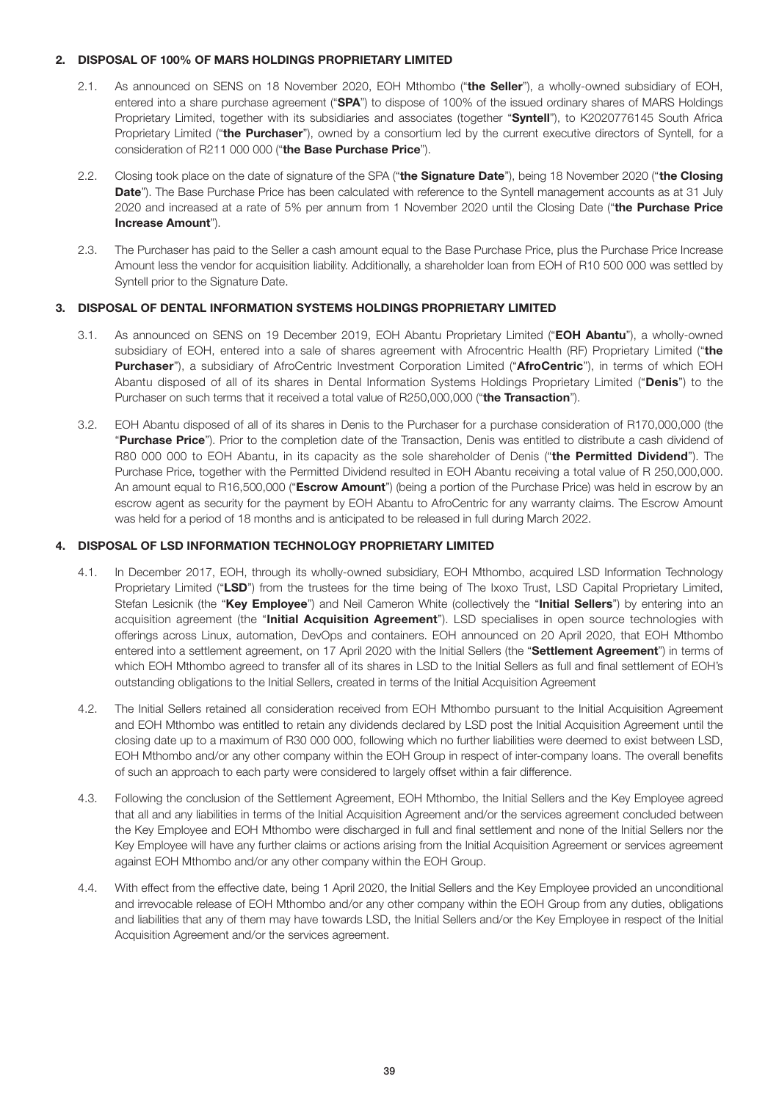#### 2. DISPOSAL OF 100% OF MARS HOLDINGS PROPRIETARY LIMITED

- 2.1. As announced on SENS on 18 November 2020, EOH Mthombo ("the Seller"), a wholly-owned subsidiary of EOH, entered into a share purchase agreement ("SPA") to dispose of 100% of the issued ordinary shares of MARS Holdings Proprietary Limited, together with its subsidiaries and associates (together "Syntell"), to K2020776145 South Africa Proprietary Limited ("the Purchaser"), owned by a consortium led by the current executive directors of Syntell, for a consideration of R211 000 000 ("the Base Purchase Price").
- 2.2. Closing took place on the date of signature of the SPA ("the Signature Date"), being 18 November 2020 ("the Closing Date"). The Base Purchase Price has been calculated with reference to the Syntell management accounts as at 31 July 2020 and increased at a rate of 5% per annum from 1 November 2020 until the Closing Date ("the Purchase Price Increase Amount").
- 2.3. The Purchaser has paid to the Seller a cash amount equal to the Base Purchase Price, plus the Purchase Price Increase Amount less the vendor for acquisition liability. Additionally, a shareholder loan from EOH of R10 500 000 was settled by Syntell prior to the Signature Date.

#### 3. DISPOSAL OF DENTAL INFORMATION SYSTEMS HOLDINGS PROPRIETARY LIMITED

- 3.1. As announced on SENS on 19 December 2019, EOH Abantu Proprietary Limited ("EOH Abantu"), a wholly-owned subsidiary of EOH, entered into a sale of shares agreement with Afrocentric Health (RF) Proprietary Limited ("the Purchaser"), a subsidiary of AfroCentric Investment Corporation Limited ("AfroCentric"), in terms of which EOH Abantu disposed of all of its shares in Dental Information Systems Holdings Proprietary Limited ("Denis") to the Purchaser on such terms that it received a total value of R250,000,000 ("the Transaction").
- 3.2. EOH Abantu disposed of all of its shares in Denis to the Purchaser for a purchase consideration of R170,000,000 (the "Purchase Price"). Prior to the completion date of the Transaction. Denis was entitled to distribute a cash dividend of R80 000 000 to EOH Abantu, in its capacity as the sole shareholder of Denis ("the Permitted Dividend"). The Purchase Price, together with the Permitted Dividend resulted in EOH Abantu receiving a total value of R 250,000,000. An amount equal to R16,500,000 ("Escrow Amount") (being a portion of the Purchase Price) was held in escrow by an escrow agent as security for the payment by EOH Abantu to AfroCentric for any warranty claims. The Escrow Amount was held for a period of 18 months and is anticipated to be released in full during March 2022.

#### 4. DISPOSAL OF LSD INFORMATION TECHNOLOGY PROPRIETARY LIMITED

- 4.1. In December 2017, EOH, through its wholly-owned subsidiary, EOH Mthombo, acquired LSD Information Technology Proprietary Limited ("LSD") from the trustees for the time being of The Ixoxo Trust, LSD Capital Proprietary Limited, Stefan Lesicnik (the "Key Employee") and Neil Cameron White (collectively the "Initial Sellers") by entering into an acquisition agreement (the "Initial Acquisition Agreement"). LSD specialises in open source technologies with offerings across Linux, automation, DevOps and containers. EOH announced on 20 April 2020, that EOH Mthombo entered into a settlement agreement, on 17 April 2020 with the Initial Sellers (the "Settlement Agreement") in terms of which EOH Mthombo agreed to transfer all of its shares in LSD to the Initial Sellers as full and final settlement of EOH's outstanding obligations to the Initial Sellers, created in terms of the Initial Acquisition Agreement
- 4.2. The Initial Sellers retained all consideration received from EOH Mthombo pursuant to the Initial Acquisition Agreement and EOH Mthombo was entitled to retain any dividends declared by LSD post the Initial Acquisition Agreement until the closing date up to a maximum of R30 000 000, following which no further liabilities were deemed to exist between LSD, EOH Mthombo and/or any other company within the EOH Group in respect of inter-company loans. The overall benefits of such an approach to each party were considered to largely offset within a fair difference.
- 4.3. Following the conclusion of the Settlement Agreement, EOH Mthombo, the Initial Sellers and the Key Employee agreed that all and any liabilities in terms of the Initial Acquisition Agreement and/or the services agreement concluded between the Key Employee and EOH Mthombo were discharged in full and final settlement and none of the Initial Sellers nor the Key Employee will have any further claims or actions arising from the Initial Acquisition Agreement or services agreement against EOH Mthombo and/or any other company within the EOH Group.
- 4.4. With effect from the effective date, being 1 April 2020, the Initial Sellers and the Key Employee provided an unconditional and irrevocable release of EOH Mthombo and/or any other company within the EOH Group from any duties, obligations and liabilities that any of them may have towards LSD, the Initial Sellers and/or the Key Employee in respect of the Initial Acquisition Agreement and/or the services agreement.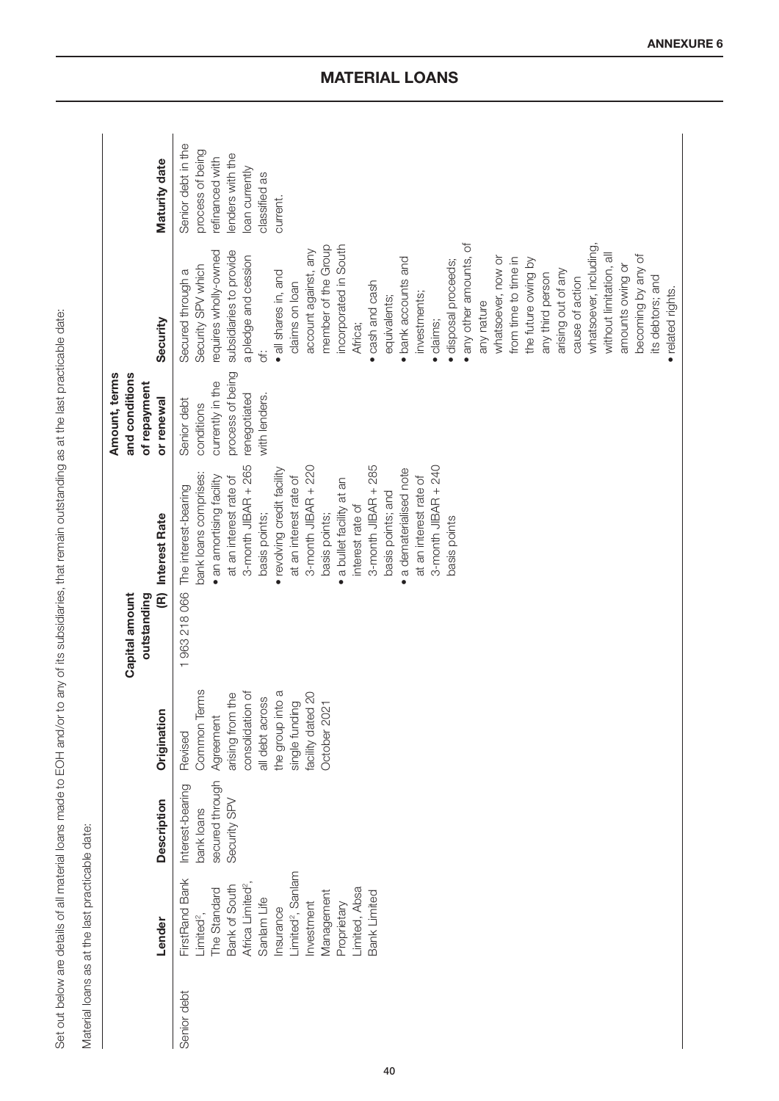|             | Material loans as at the last practicable date:                                                                                                                                                                                                            |                                                                   |                                                                                                                                                                                   |                                                                                                                                                                                                                                                                                                                                                                                                                                                         |                                                                                                    |                                                                                                                                                                                                                                                                                                                                                                                                                                                                                                                                                                                                                                                                                         |                                                                                                                             |
|-------------|------------------------------------------------------------------------------------------------------------------------------------------------------------------------------------------------------------------------------------------------------------|-------------------------------------------------------------------|-----------------------------------------------------------------------------------------------------------------------------------------------------------------------------------|---------------------------------------------------------------------------------------------------------------------------------------------------------------------------------------------------------------------------------------------------------------------------------------------------------------------------------------------------------------------------------------------------------------------------------------------------------|----------------------------------------------------------------------------------------------------|-----------------------------------------------------------------------------------------------------------------------------------------------------------------------------------------------------------------------------------------------------------------------------------------------------------------------------------------------------------------------------------------------------------------------------------------------------------------------------------------------------------------------------------------------------------------------------------------------------------------------------------------------------------------------------------------|-----------------------------------------------------------------------------------------------------------------------------|
|             | Lender                                                                                                                                                                                                                                                     | <b>Description</b>                                                | Origination                                                                                                                                                                       | <b>Interest Rate</b><br>E<br>Capital amount<br>outstanding                                                                                                                                                                                                                                                                                                                                                                                              | and conditions<br>Amount, terms<br>of repayment<br>or renewal                                      | Security                                                                                                                                                                                                                                                                                                                                                                                                                                                                                                                                                                                                                                                                                | Maturity date                                                                                                               |
| Senior debt | Limited <sup>2</sup> , Sanlam<br>FirstRand Bank<br>Africa Limited <sup>2</sup> ,<br>Bank of South<br>Limited, Absa<br>The Standard<br>Management<br><b>Bank Limited</b><br>Sanlam Life<br>Investment<br>Proprietary<br>Insurance<br>Limited <sup>2</sup> , | secured through<br>Interest-bearing<br>Security SPV<br>bank loans | consolidation of<br><b>Common Terms</b><br>the group into a<br>single funding<br>facility dated 20<br>arising from the<br>all debt across<br>October 2021<br>Agreement<br>Revised | 3-month JIBAR $+ 265$<br>$3$ -month JIBAR $+285$<br>3-month JIBAR $+ 240$<br>3-month JIBAR + 220<br>· revolving credit facility<br>a dematerialised note<br>bank loans comprises:<br>at an interest rate of<br>at an interest rate of<br>at an interest rate of<br>· an amortising facility<br>a bullet facility at an<br>The interest-bearing<br>basis points; and<br>interest rate of<br>basis points;<br>basis points;<br>basis points<br>1963218066 | process of being<br>currently in the<br>renegotiated<br>with lenders.<br>Senior debt<br>conditions | · any other amounts, of<br>member of the Group<br>whatsoever, including<br>incorporated in South<br>account against, any<br>requires wholly-owned<br>subsidiaries to provide<br>without limitation, all<br>a pledge and cession<br>becoming by any of<br>whatsoever, now or<br>from time to time in<br>· bank accounts and<br>the future owing by<br>· disposal proceeds;<br>Security SPV which<br>amounts owing or<br>arising out of any<br>Secured through a<br>· all shares in, and<br>any third person<br>its debtors; and<br>cause of action<br>· cash and cash<br>claims on loan<br>· related rights.<br>investments;<br>equivalents;<br>any nature<br>· claims;<br>Africa;<br>ťö | Senior debt in the<br>process of being<br>enders with the<br>refinanced with<br>loan currently<br>classified as<br>current. |
|             |                                                                                                                                                                                                                                                            |                                                                   |                                                                                                                                                                                   |                                                                                                                                                                                                                                                                                                                                                                                                                                                         |                                                                                                    |                                                                                                                                                                                                                                                                                                                                                                                                                                                                                                                                                                                                                                                                                         |                                                                                                                             |

Set out below are details of all material loans made to EOH and/or to any of its subsidiaries, that remain outstanding as at the last practicable date: Set out below are details of all material loans made to EOH and/or to any of its subsidiaries, that remain outstanding as at the last practicable date:

Material loans as at the last practicable date:

## MATERIAL LOANS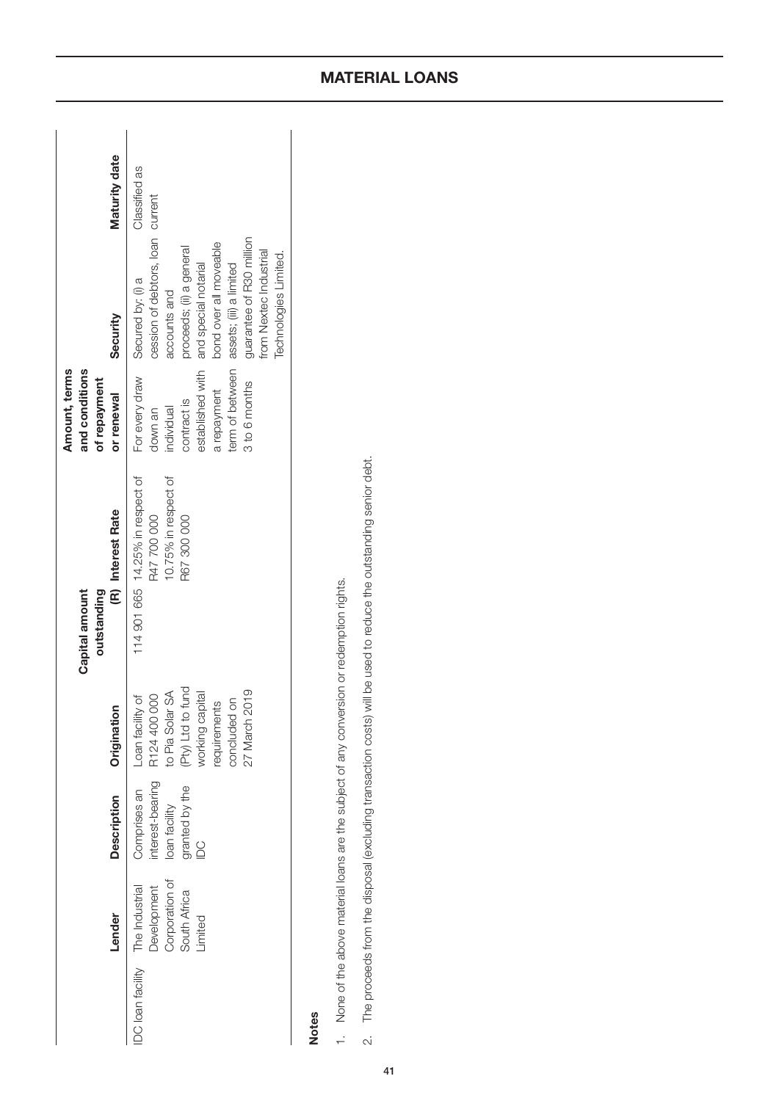|                                 | Lender                                                  | <b>Description</b>                                                       | Originatio                                                                                                                                   | (R) Interest Rate<br>Capital amount<br>outstanding                                     | Amount, terms<br>and conditions<br>of repayment<br>or renewal                                              | Security                                                                                                                                                                                                                                                                      | Maturity date |
|---------------------------------|---------------------------------------------------------|--------------------------------------------------------------------------|----------------------------------------------------------------------------------------------------------------------------------------------|----------------------------------------------------------------------------------------|------------------------------------------------------------------------------------------------------------|-------------------------------------------------------------------------------------------------------------------------------------------------------------------------------------------------------------------------------------------------------------------------------|---------------|
| DC loan facility The Industrial | Corporation of<br>Development<br>South Africa<br>imited | interest-bearing<br>Comprises an<br>granted by the<br>loan facility<br>8 | (Pty) Ltd to fund<br>27 March 2019<br>to Pia Solar SA<br>working capital<br>R124 400 000<br>Loan facility of<br>concluded on<br>requirements | 10.75% in respect of<br>114 901 665 14.25% in respect of<br>R47 700 000<br>R67 300 000 | established with<br>For every draw<br>3 to 6 months<br>a repayment<br>contract is<br>individual<br>down an | cession of debtors, loan current<br>guarantee of R30 million<br>bond over all moveable<br>proceeds; (ii) a general<br>from Nextec Industrial<br>Technologies Limited.<br>term of between assets; (iii) a limited<br>and special notarial<br>Secured by: (i) a<br>accounts and | Classified as |
|                                 |                                                         |                                                                          |                                                                                                                                              |                                                                                        |                                                                                                            |                                                                                                                                                                                                                                                                               |               |

# Notes

- 1. None of the above material loans are the subject of any conversion or redemption rights. 1. None of the above material loans are the subject of any conversion or redemption rights.
- The proceeds from the disposal (excluding transaction costs) will be used to reduce the outstanding senior debt. 2. The proceeds from the disposal (excluding transaction costs) will be used to reduce the outstanding senior debt. $\alpha$

## MATERIAL LOANS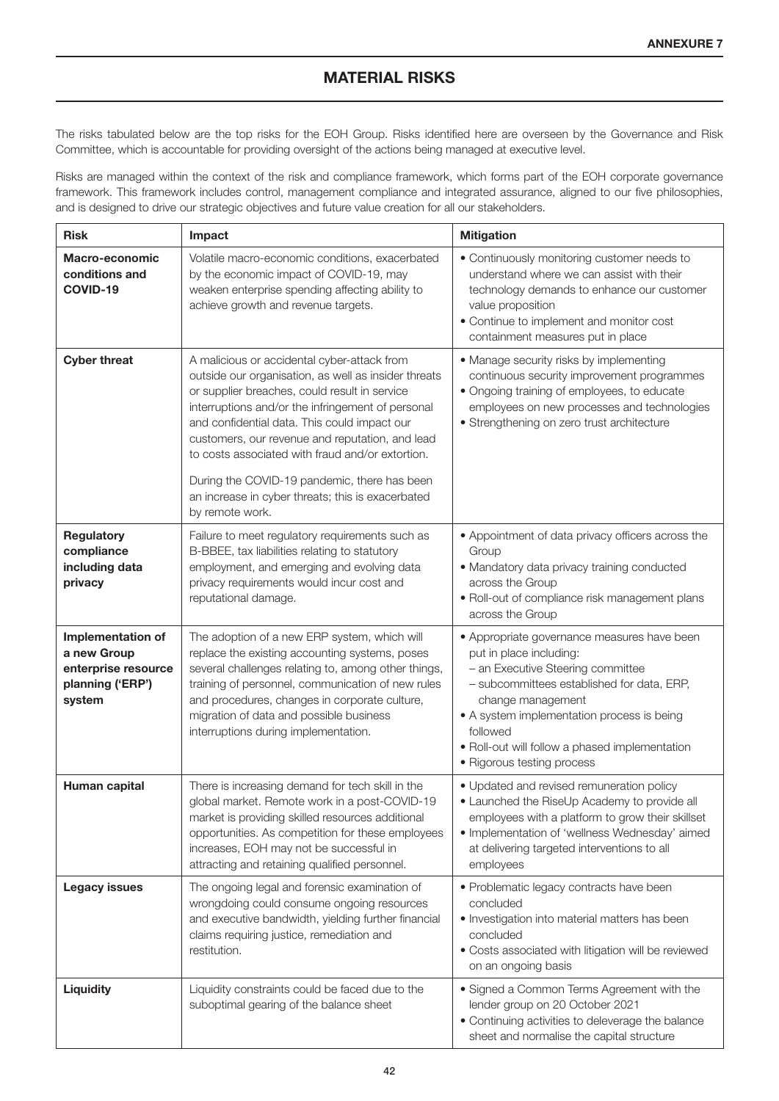## MATERIAL RISKS

The risks tabulated below are the top risks for the EOH Group. Risks identified here are overseen by the Governance and Risk Committee, which is accountable for providing oversight of the actions being managed at executive level.

Risks are managed within the context of the risk and compliance framework, which forms part of the EOH corporate governance framework. This framework includes control, management compliance and integrated assurance, aligned to our five philosophies, and is designed to drive our strategic objectives and future value creation for all our stakeholders.

| <b>Risk</b>                                                                           | Impact                                                                                                                                                                                                                                                                                                                                                                                                                                                                                   | <b>Mitigation</b>                                                                                                                                                                                                                                                                                                        |  |  |
|---------------------------------------------------------------------------------------|------------------------------------------------------------------------------------------------------------------------------------------------------------------------------------------------------------------------------------------------------------------------------------------------------------------------------------------------------------------------------------------------------------------------------------------------------------------------------------------|--------------------------------------------------------------------------------------------------------------------------------------------------------------------------------------------------------------------------------------------------------------------------------------------------------------------------|--|--|
| Macro-economic<br>conditions and<br>COVID-19                                          | Volatile macro-economic conditions, exacerbated<br>by the economic impact of COVID-19, may<br>weaken enterprise spending affecting ability to<br>achieve growth and revenue targets.                                                                                                                                                                                                                                                                                                     | • Continuously monitoring customer needs to<br>understand where we can assist with their<br>technology demands to enhance our customer<br>value proposition<br>• Continue to implement and monitor cost<br>containment measures put in place                                                                             |  |  |
| <b>Cyber threat</b>                                                                   | A malicious or accidental cyber-attack from<br>outside our organisation, as well as insider threats<br>or supplier breaches, could result in service<br>interruptions and/or the infringement of personal<br>and confidential data. This could impact our<br>customers, our revenue and reputation, and lead<br>to costs associated with fraud and/or extortion.<br>During the COVID-19 pandemic, there has been<br>an increase in cyber threats; this is exacerbated<br>by remote work. | • Manage security risks by implementing<br>continuous security improvement programmes<br>• Ongoing training of employees, to educate<br>employees on new processes and technologies<br>• Strengthening on zero trust architecture                                                                                        |  |  |
| Regulatory<br>compliance<br>including data<br>privacy                                 | Failure to meet regulatory requirements such as<br>B-BBEE, tax liabilities relating to statutory<br>employment, and emerging and evolving data<br>privacy requirements would incur cost and<br>reputational damage.                                                                                                                                                                                                                                                                      | • Appointment of data privacy officers across the<br>Group<br>• Mandatory data privacy training conducted<br>across the Group<br>• Roll-out of compliance risk management plans<br>across the Group                                                                                                                      |  |  |
| Implementation of<br>a new Group<br>enterprise resource<br>planning ('ERP')<br>system | The adoption of a new ERP system, which will<br>replace the existing accounting systems, poses<br>several challenges relating to, among other things,<br>training of personnel, communication of new rules<br>and procedures, changes in corporate culture,<br>migration of data and possible business<br>interruptions during implementation.                                                                                                                                           | • Appropriate governance measures have been<br>put in place including:<br>- an Executive Steering committee<br>- subcommittees established for data, ERP,<br>change management<br>• A system implementation process is being<br>followed<br>• Roll-out will follow a phased implementation<br>• Rigorous testing process |  |  |
| Human capital                                                                         | There is increasing demand for tech skill in the<br>global market. Remote work in a post-COVID-19<br>market is providing skilled resources additional<br>opportunities. As competition for these employees<br>increases, EOH may not be successful in<br>attracting and retaining qualified personnel.                                                                                                                                                                                   | • Updated and revised remuneration policy<br>• Launched the RiseUp Academy to provide all<br>employees with a platform to grow their skillset<br>· Implementation of 'wellness Wednesday' aimed<br>at delivering targeted interventions to all<br>employees                                                              |  |  |
| <b>Legacy issues</b>                                                                  | The ongoing legal and forensic examination of<br>wrongdoing could consume ongoing resources<br>and executive bandwidth, yielding further financial<br>claims requiring justice, remediation and<br>restitution.                                                                                                                                                                                                                                                                          | • Problematic legacy contracts have been<br>concluded<br>. Investigation into material matters has been<br>concluded<br>• Costs associated with litigation will be reviewed<br>on an ongoing basis                                                                                                                       |  |  |
| <b>Liquidity</b>                                                                      | Liquidity constraints could be faced due to the<br>suboptimal gearing of the balance sheet                                                                                                                                                                                                                                                                                                                                                                                               | • Signed a Common Terms Agreement with the<br>lender group on 20 October 2021<br>• Continuing activities to deleverage the balance<br>sheet and normalise the capital structure                                                                                                                                          |  |  |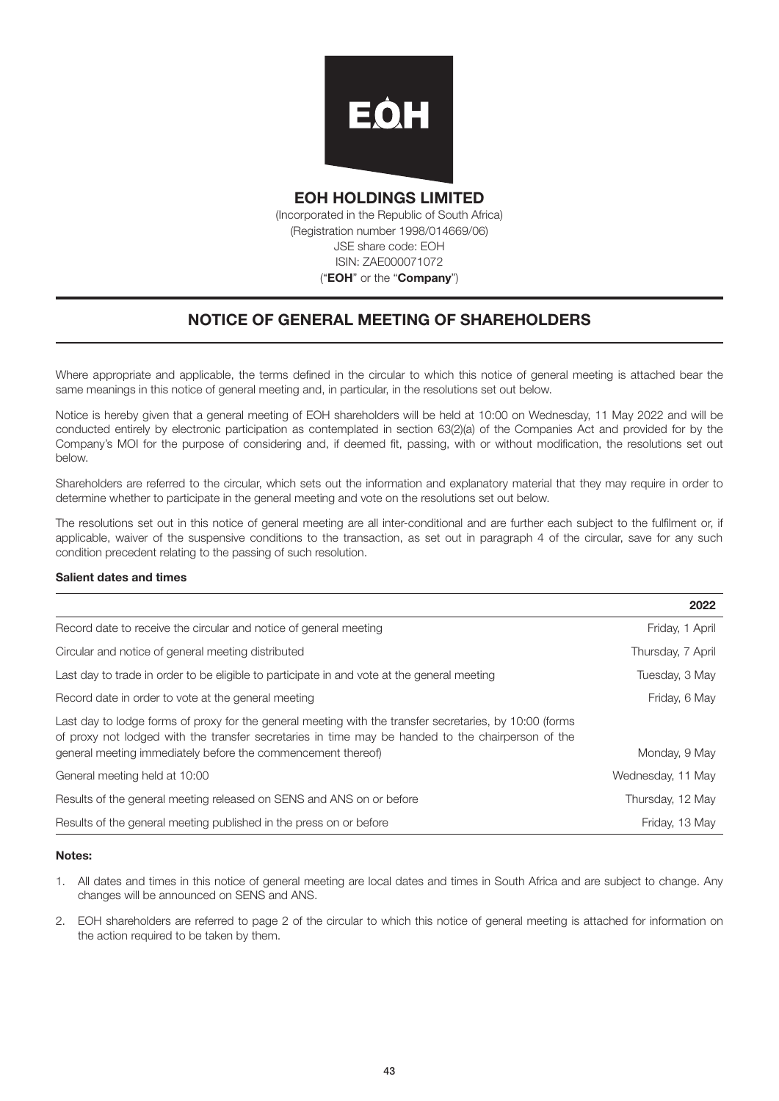

EOH HOLDINGS LIMITED (Incorporated in the Republic of South Africa) (Registration number 1998/014669/06) JSE share code: EOH ISIN: ZAE000071072 ("EOH" or the "Company")

## NOTICE OF GENERAL MEETING OF SHAREHOLDERS

Where appropriate and applicable, the terms defined in the circular to which this notice of general meeting is attached bear the same meanings in this notice of general meeting and, in particular, in the resolutions set out below.

Notice is hereby given that a general meeting of EOH shareholders will be held at 10:00 on Wednesday, 11 May 2022 and will be conducted entirely by electronic participation as contemplated in section 63(2)(a) of the Companies Act and provided for by the Company's MOI for the purpose of considering and, if deemed fit, passing, with or without modification, the resolutions set out below.

Shareholders are referred to the circular, which sets out the information and explanatory material that they may require in order to determine whether to participate in the general meeting and vote on the resolutions set out below.

The resolutions set out in this notice of general meeting are all inter-conditional and are further each subject to the fulfilment or, if applicable, waiver of the suspensive conditions to the transaction, as set out in paragraph 4 of the circular, save for any such condition precedent relating to the passing of such resolution.

#### Salient dates and times

|                                                                                                                                                                                                                                                                              | 2022              |
|------------------------------------------------------------------------------------------------------------------------------------------------------------------------------------------------------------------------------------------------------------------------------|-------------------|
| Record date to receive the circular and notice of general meeting                                                                                                                                                                                                            | Friday, 1 April   |
| Circular and notice of general meeting distributed                                                                                                                                                                                                                           | Thursday, 7 April |
| Last day to trade in order to be eligible to participate in and vote at the general meeting                                                                                                                                                                                  | Tuesday, 3 May    |
| Record date in order to vote at the general meeting                                                                                                                                                                                                                          | Friday, 6 May     |
| Last day to lodge forms of proxy for the general meeting with the transfer secretaries, by 10:00 (forms<br>of proxy not lodged with the transfer secretaries in time may be handed to the chairperson of the<br>general meeting immediately before the commencement thereof) | Monday, 9 May     |
| General meeting held at 10:00                                                                                                                                                                                                                                                | Wednesday, 11 May |
| Results of the general meeting released on SENS and ANS on or before                                                                                                                                                                                                         | Thursday, 12 May  |
| Results of the general meeting published in the press on or before                                                                                                                                                                                                           | Friday, 13 May    |

#### Notes:

- 1. All dates and times in this notice of general meeting are local dates and times in South Africa and are subject to change. Any changes will be announced on SENS and ANS.
- 2. EOH shareholders are referred to page 2 of the circular to which this notice of general meeting is attached for information on the action required to be taken by them.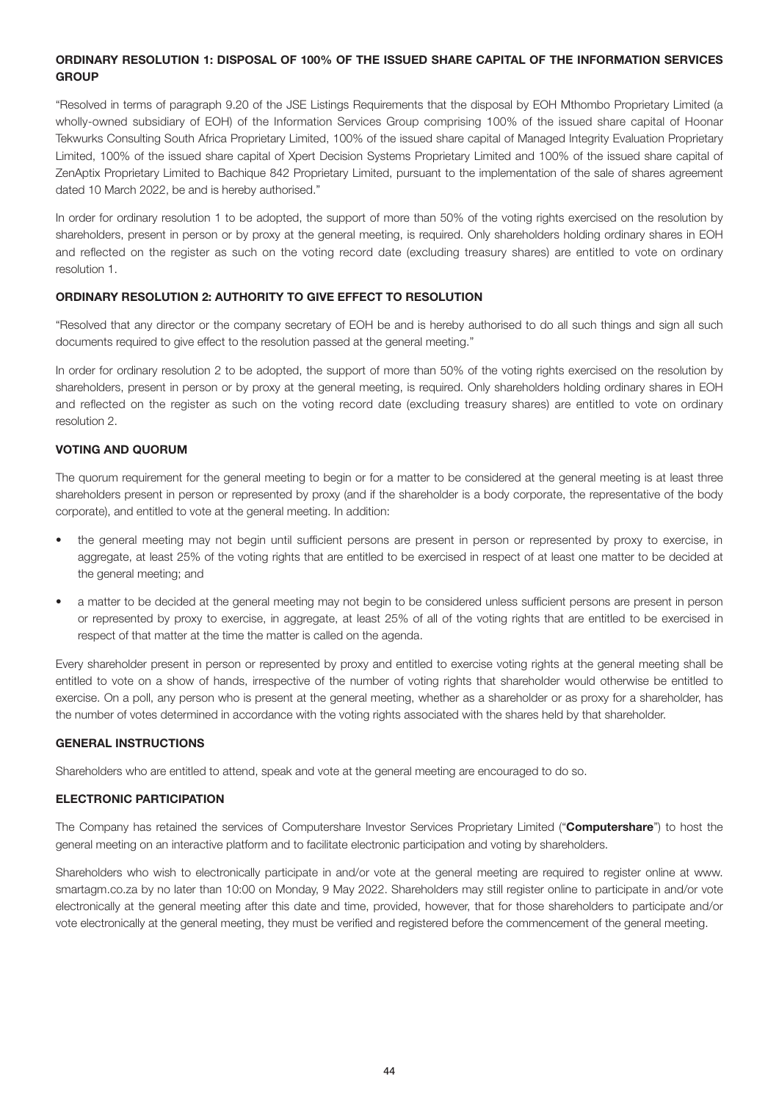#### ORDINARY RESOLUTION 1: DISPOSAL OF 100% OF THE ISSUED SHARE CAPITAL OF THE INFORMATION SERVICES **GROUP**

"Resolved in terms of paragraph 9.20 of the JSE Listings Requirements that the disposal by EOH Mthombo Proprietary Limited (a wholly-owned subsidiary of EOH) of the Information Services Group comprising 100% of the issued share capital of Hoonar Tekwurks Consulting South Africa Proprietary Limited, 100% of the issued share capital of Managed Integrity Evaluation Proprietary Limited, 100% of the issued share capital of Xpert Decision Systems Proprietary Limited and 100% of the issued share capital of ZenAptix Proprietary Limited to Bachique 842 Proprietary Limited, pursuant to the implementation of the sale of shares agreement dated 10 March 2022, be and is hereby authorised."

In order for ordinary resolution 1 to be adopted, the support of more than 50% of the voting rights exercised on the resolution by shareholders, present in person or by proxy at the general meeting, is required. Only shareholders holding ordinary shares in EOH and reflected on the register as such on the voting record date (excluding treasury shares) are entitled to vote on ordinary resolution 1.

#### ORDINARY RESOLUTION 2: AUTHORITY TO GIVE EFFECT TO RESOLUTION

"Resolved that any director or the company secretary of EOH be and is hereby authorised to do all such things and sign all such documents required to give effect to the resolution passed at the general meeting."

In order for ordinary resolution 2 to be adopted, the support of more than 50% of the voting rights exercised on the resolution by shareholders, present in person or by proxy at the general meeting, is required. Only shareholders holding ordinary shares in EOH and reflected on the register as such on the voting record date (excluding treasury shares) are entitled to vote on ordinary resolution 2.

#### VOTING AND QUORUM

The quorum requirement for the general meeting to begin or for a matter to be considered at the general meeting is at least three shareholders present in person or represented by proxy (and if the shareholder is a body corporate, the representative of the body corporate), and entitled to vote at the general meeting. In addition:

- the general meeting may not begin until sufficient persons are present in person or represented by proxy to exercise, in aggregate, at least 25% of the voting rights that are entitled to be exercised in respect of at least one matter to be decided at the general meeting; and
- a matter to be decided at the general meeting may not begin to be considered unless sufficient persons are present in person or represented by proxy to exercise, in aggregate, at least 25% of all of the voting rights that are entitled to be exercised in respect of that matter at the time the matter is called on the agenda.

Every shareholder present in person or represented by proxy and entitled to exercise voting rights at the general meeting shall be entitled to vote on a show of hands, irrespective of the number of voting rights that shareholder would otherwise be entitled to exercise. On a poll, any person who is present at the general meeting, whether as a shareholder or as proxy for a shareholder, has the number of votes determined in accordance with the voting rights associated with the shares held by that shareholder.

#### GENERAL INSTRUCTIONS

Shareholders who are entitled to attend, speak and vote at the general meeting are encouraged to do so.

#### ELECTRONIC PARTICIPATION

The Company has retained the services of Computershare Investor Services Proprietary Limited ("Computershare") to host the general meeting on an interactive platform and to facilitate electronic participation and voting by shareholders.

Shareholders who wish to electronically participate in and/or vote at the general meeting are required to register online at www. smartagm.co.za by no later than 10:00 on Monday, 9 May 2022. Shareholders may still register online to participate in and/or vote electronically at the general meeting after this date and time, provided, however, that for those shareholders to participate and/or vote electronically at the general meeting, they must be verified and registered before the commencement of the general meeting.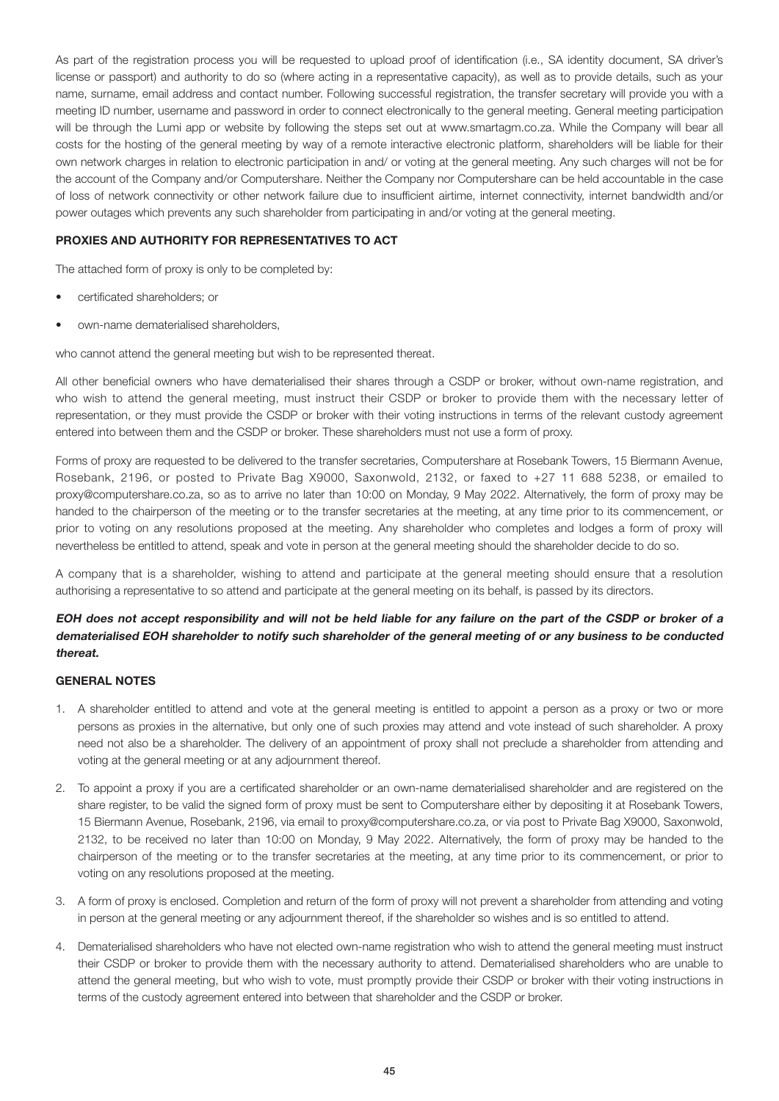As part of the registration process you will be requested to upload proof of identification (i.e., SA identity document, SA driver's license or passport) and authority to do so (where acting in a representative capacity), as well as to provide details, such as your name, surname, email address and contact number. Following successful registration, the transfer secretary will provide you with a meeting ID number, username and password in order to connect electronically to the general meeting. General meeting participation will be through the Lumi app or website by following the steps set out at www.smartagm.co.za. While the Company will bear all costs for the hosting of the general meeting by way of a remote interactive electronic platform, shareholders will be liable for their own network charges in relation to electronic participation in and/ or voting at the general meeting. Any such charges will not be for the account of the Company and/or Computershare. Neither the Company nor Computershare can be held accountable in the case of loss of network connectivity or other network failure due to insufficient airtime, internet connectivity, internet bandwidth and/or power outages which prevents any such shareholder from participating in and/or voting at the general meeting.

#### PROXIES AND AUTHORITY FOR REPRESENTATIVES TO ACT

The attached form of proxy is only to be completed by:

- certificated shareholders; or
- own-name dematerialised shareholders,

who cannot attend the general meeting but wish to be represented thereat.

All other beneficial owners who have dematerialised their shares through a CSDP or broker, without own-name registration, and who wish to attend the general meeting, must instruct their CSDP or broker to provide them with the necessary letter of representation, or they must provide the CSDP or broker with their voting instructions in terms of the relevant custody agreement entered into between them and the CSDP or broker. These shareholders must not use a form of proxy.

Forms of proxy are requested to be delivered to the transfer secretaries, Computershare at Rosebank Towers, 15 Biermann Avenue, Rosebank, 2196, or posted to Private Bag X9000, Saxonwold, 2132, or faxed to +27 11 688 5238, or emailed to proxy@computershare.co.za, so as to arrive no later than 10:00 on Monday, 9 May 2022. Alternatively, the form of proxy may be handed to the chairperson of the meeting or to the transfer secretaries at the meeting, at any time prior to its commencement, or prior to voting on any resolutions proposed at the meeting. Any shareholder who completes and lodges a form of proxy will nevertheless be entitled to attend, speak and vote in person at the general meeting should the shareholder decide to do so.

A company that is a shareholder, wishing to attend and participate at the general meeting should ensure that a resolution authorising a representative to so attend and participate at the general meeting on its behalf, is passed by its directors.

#### EOH does not accept responsibility and will not be held liable for any failure on the part of the CSDP or broker of a dematerialised EOH shareholder to notify such shareholder of the general meeting of or any business to be conducted thereat.

#### GENERAL NOTES

- 1. A shareholder entitled to attend and vote at the general meeting is entitled to appoint a person as a proxy or two or more persons as proxies in the alternative, but only one of such proxies may attend and vote instead of such shareholder. A proxy need not also be a shareholder. The delivery of an appointment of proxy shall not preclude a shareholder from attending and voting at the general meeting or at any adjournment thereof.
- 2. To appoint a proxy if you are a certificated shareholder or an own-name dematerialised shareholder and are registered on the share register, to be valid the signed form of proxy must be sent to Computershare either by depositing it at Rosebank Towers, 15 Biermann Avenue, Rosebank, 2196, via email to proxy@computershare.co.za, or via post to Private Bag X9000, Saxonwold, 2132, to be received no later than 10:00 on Monday, 9 May 2022. Alternatively, the form of proxy may be handed to the chairperson of the meeting or to the transfer secretaries at the meeting, at any time prior to its commencement, or prior to voting on any resolutions proposed at the meeting.
- 3. A form of proxy is enclosed. Completion and return of the form of proxy will not prevent a shareholder from attending and voting in person at the general meeting or any adjournment thereof, if the shareholder so wishes and is so entitled to attend.
- 4. Dematerialised shareholders who have not elected own-name registration who wish to attend the general meeting must instruct their CSDP or broker to provide them with the necessary authority to attend. Dematerialised shareholders who are unable to attend the general meeting, but who wish to vote, must promptly provide their CSDP or broker with their voting instructions in terms of the custody agreement entered into between that shareholder and the CSDP or broker.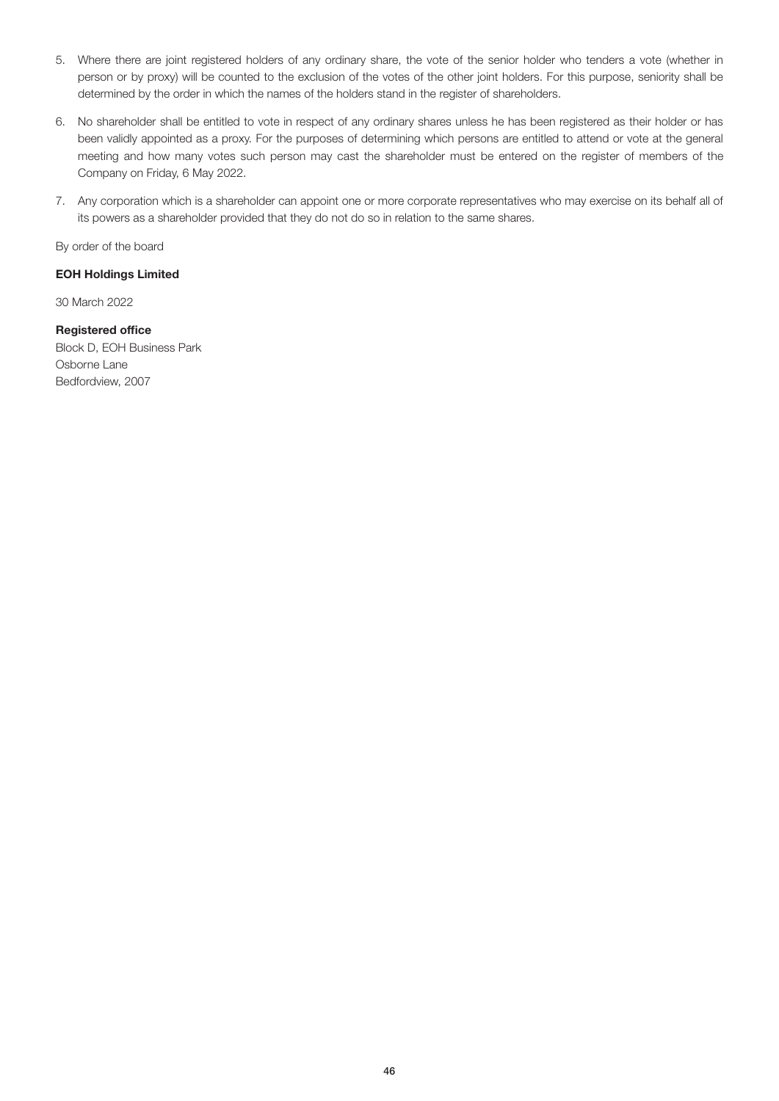- 5. Where there are joint registered holders of any ordinary share, the vote of the senior holder who tenders a vote (whether in person or by proxy) will be counted to the exclusion of the votes of the other joint holders. For this purpose, seniority shall be determined by the order in which the names of the holders stand in the register of shareholders.
- 6. No shareholder shall be entitled to vote in respect of any ordinary shares unless he has been registered as their holder or has been validly appointed as a proxy. For the purposes of determining which persons are entitled to attend or vote at the general meeting and how many votes such person may cast the shareholder must be entered on the register of members of the Company on Friday, 6 May 2022.
- 7. Any corporation which is a shareholder can appoint one or more corporate representatives who may exercise on its behalf all of its powers as a shareholder provided that they do not do so in relation to the same shares.

By order of the board

#### EOH Holdings Limited

30 March 2022

#### Registered office

Block D, EOH Business Park Osborne Lane Bedfordview, 2007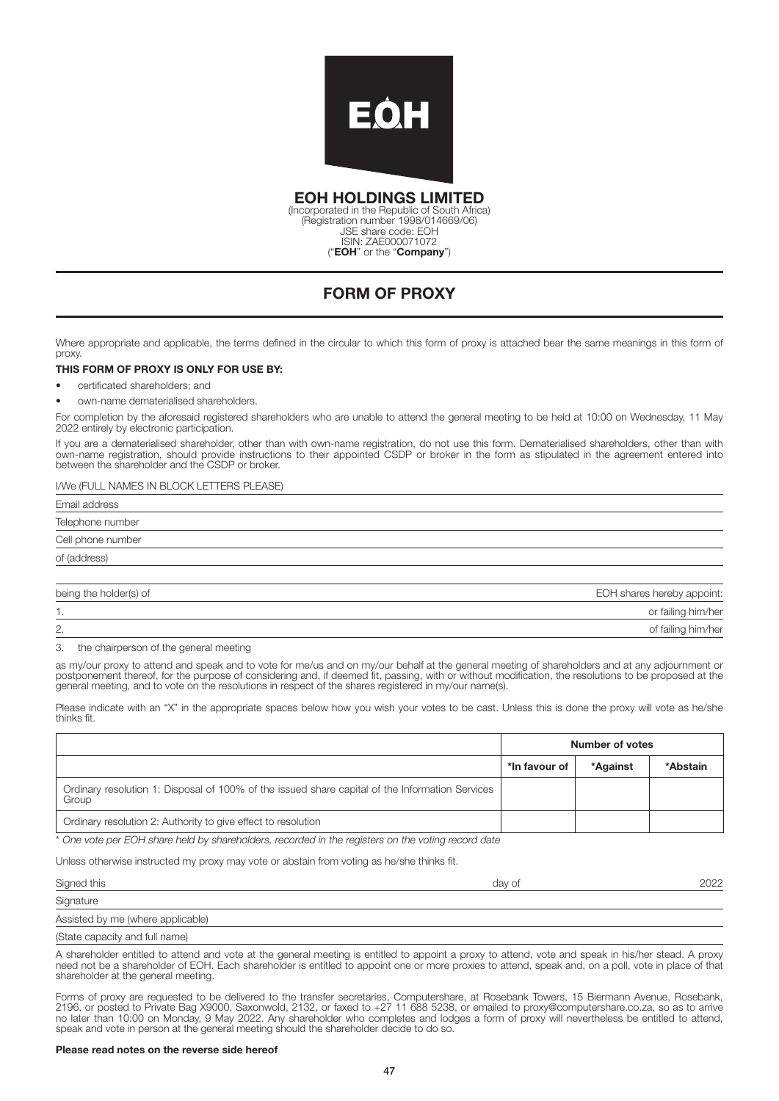

EOH HOLDINGS LIMITED

(Incorporated in the Republic of South Africa) (Registration number 1998/014669/06) JSE share code: EOH ISIN: ZAE000071072 ("EOH" or the "Company")

## FORM OF PROXY

Where appropriate and applicable, the terms defined in the circular to which this form of proxy is attached bear the same meanings in this form of proxy.

#### THIS FORM OF PROXY IS ONLY FOR USE BY:

- certificated shareholders; and
- own-name dematerialised shareholders.

For completion by the aforesaid registered shareholders who are unable to attend the general meeting to be held at 10:00 on Wednesday, 11 May 2022 entirely by electronic participation.

If you are a dematerialised shareholder, other than with own-name registration, do not use this form. Dematerialised shareholders, other than with own-name registration, should provide instructions to their appointed CSDP or broker in the form as stipulated in the agreement entered into between the shareholder and the CSDP or broker.

#### I/We (FULL NAMES IN BLOCK LETTERS PLEASE)

Email address Telephone number Cell phone number of (address) being the holder(s) of EOH shares hereby appoint:

|          | or failing him/her |
|----------|--------------------|
| <u>.</u> | of failing him/her |
| .        |                    |

3. the chairperson of the general meeting

as my/our proxy to attend and speak and to vote for me/us and on my/our behalf at the general meeting of shareholders and at any adjournment or postponement thereof, for the purpose of considering and, if deemed fit, passing, with or without modification, the resolutions to be proposed at the general meeting, and to vote on the resolutions in respect of the shares registered in my/our name(s).

Please indicate with an "X" in the appropriate spaces below how you wish your votes to be cast. Unless this is done the proxy will vote as he/she thinks fit.

|                                                                                                          | Number of votes |          |          |
|----------------------------------------------------------------------------------------------------------|-----------------|----------|----------|
|                                                                                                          | *In favour of   | *Against | *Abstain |
| Ordinary resolution 1: Disposal of 100% of the issued share capital of the Information Services<br>Group |                 |          |          |
| Ordinary resolution 2: Authority to give effect to resolution                                            |                 |          |          |

\* One vote per EOH share held by shareholders, recorded in the registers on the voting record date

Unless otherwise instructed my proxy may vote or abstain from voting as he/she thinks fit.

| Signed this                       | day of | 2022 |
|-----------------------------------|--------|------|
| Signature                         |        |      |
| Assisted by me (where applicable) |        |      |
| (State capacity and full name)    |        |      |

A shareholder entitled to attend and vote at the general meeting is entitled to appoint a proxy to attend, vote and speak in his/her stead. A proxy need not be a shareholder of EOH. Each shareholder is entitled to appoint one or more proxies to attend, speak and, on a poll, vote in place of that shareholder at the general meeting.

Forms of proxy are requested to be delivered to the transfer secretaries, Computershare, at Rosebank Towers, 15 Biermann Avenue, Rosebank, 2196, or posted to Private Bag X9000, Saxonwold, 2132, or faxed to +27 11 688 5238, or emailed to proxy@computershare.co.za, so as to arrive no later than 10:00 on Monday, 9 May 2022. Any shareholder who completes and lodges a form of proxy will nevertheless be entitled to attend, speak and vote in person at the general meeting should the shareholder decide to do so.

#### Please read notes on the reverse side hereof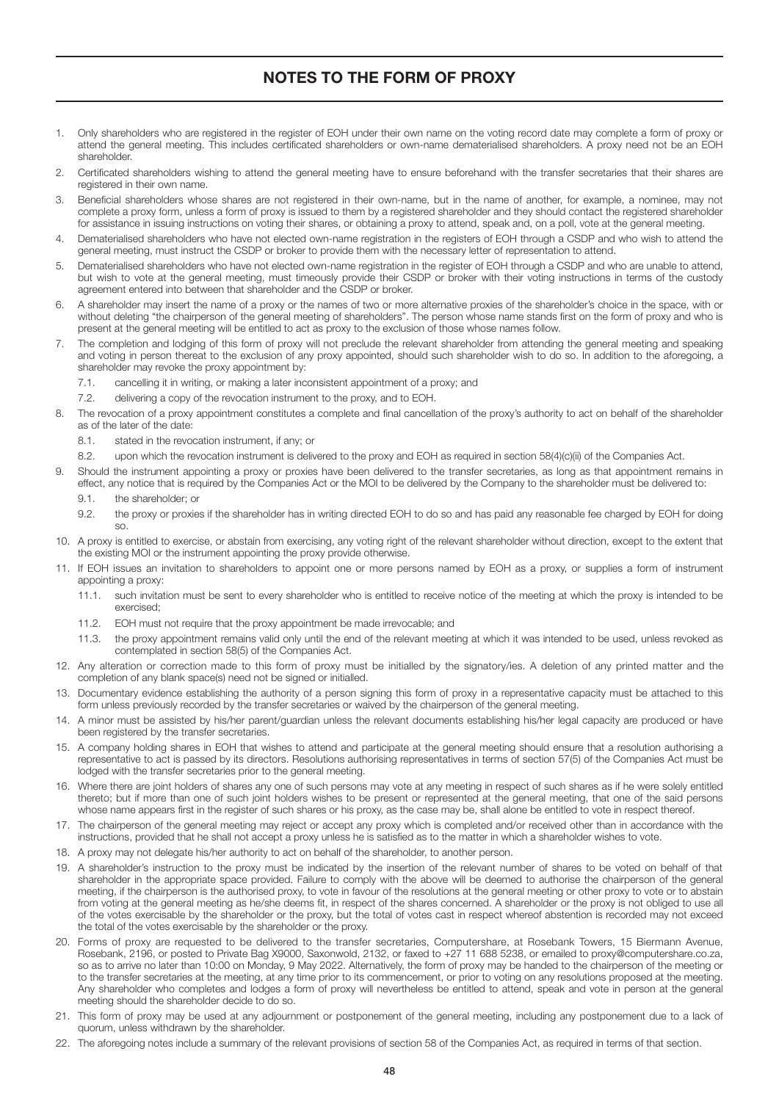## NOTES TO THE FORM OF PROXY

- 1. Only shareholders who are registered in the register of EOH under their own name on the voting record date may complete a form of proxy or attend the general meeting. This includes certificated shareholders or own-name dematerialised shareholders. A proxy need not be an EOH shareholder.
- 2. Certificated shareholders wishing to attend the general meeting have to ensure beforehand with the transfer secretaries that their shares are registered in their own name.
- 3. Beneficial shareholders whose shares are not registered in their own-name, but in the name of another, for example, a nominee, may not complete a proxy form, unless a form of proxy is issued to them by a registered shareholder and they should contact the registered shareholder for assistance in issuing instructions on voting their shares, or obtaining a proxy to attend, speak and, on a poll, vote at the general meeting.
- 4. Dematerialised shareholders who have not elected own-name registration in the registers of EOH through a CSDP and who wish to attend the general meeting, must instruct the CSDP or broker to provide them with the necessary letter of representation to attend.
- 5. Dematerialised shareholders who have not elected own-name registration in the register of EOH through a CSDP and who are unable to attend, but wish to vote at the general meeting, must timeously provide their CSDP or broker with their voting instructions in terms of the custody agreement entered into between that shareholder and the CSDP or broker.
- 6. A shareholder may insert the name of a proxy or the names of two or more alternative proxies of the shareholder's choice in the space, with or without deleting "the chairperson of the general meeting of shareholders". The person whose name stands first on the form of proxy and who is present at the general meeting will be entitled to act as proxy to the exclusion of those whose names follow.
- 7. The completion and lodging of this form of proxy will not preclude the relevant shareholder from attending the general meeting and speaking and voting in person thereat to the exclusion of any proxy appointed, should such shareholder wish to do so. In addition to the aforegoing, a shareholder may revoke the proxy appointment by:
	- 7.1. cancelling it in writing, or making a later inconsistent appointment of a proxy; and
	- 7.2. delivering a copy of the revocation instrument to the proxy, and to EOH.
- 8. The revocation of a proxy appointment constitutes a complete and final cancellation of the proxy's authority to act on behalf of the shareholder as of the later of the date:
	- 8.1. stated in the revocation instrument, if any; or
- 8.2. upon which the revocation instrument is delivered to the proxy and EOH as required in section 58(4)(c)(ii) of the Companies Act.
- 9. Should the instrument appointing a proxy or proxies have been delivered to the transfer secretaries, as long as that appointment remains in effect, any notice that is required by the Companies Act or the MOI to be delivered by the Company to the shareholder must be delivered to:
	- 9.1. the shareholder; or
	- 9.2. the proxy or proxies if the shareholder has in writing directed EOH to do so and has paid any reasonable fee charged by EOH for doing  $\mathbf{S}$
- 10. A proxy is entitled to exercise, or abstain from exercising, any voting right of the relevant shareholder without direction, except to the extent that the existing MOI or the instrument appointing the proxy provide otherwise.
- 11. If EOH issues an invitation to shareholders to appoint one or more persons named by EOH as a proxy, or supplies a form of instrument appointing a proxy:
	- 11.1. such invitation must be sent to every shareholder who is entitled to receive notice of the meeting at which the proxy is intended to be exercised;
	- 11.2. EOH must not require that the proxy appointment be made irrevocable; and
	- 11.3. the proxy appointment remains valid only until the end of the relevant meeting at which it was intended to be used, unless revoked as contemplated in section 58(5) of the Companies Act.
- 12. Any alteration or correction made to this form of proxy must be initialled by the signatory/ies. A deletion of any printed matter and the completion of any blank space(s) need not be signed or initialled.
- 13. Documentary evidence establishing the authority of a person signing this form of proxy in a representative capacity must be attached to this form unless previously recorded by the transfer secretaries or waived by the chairperson of the general meeting.
- 14. A minor must be assisted by his/her parent/guardian unless the relevant documents establishing his/her legal capacity are produced or have been registered by the transfer secretaries.
- 15. A company holding shares in EOH that wishes to attend and participate at the general meeting should ensure that a resolution authorising a representative to act is passed by its directors. Resolutions authorising representatives in terms of section 57(5) of the Companies Act must be lodged with the transfer secretaries prior to the general meeting.
- 16. Where there are joint holders of shares any one of such persons may vote at any meeting in respect of such shares as if he were solely entitled thereto; but if more than one of such joint holders wishes to be present or represented at the general meeting, that one of the said persons whose name appears first in the register of such shares or his proxy, as the case may be, shall alone be entitled to vote in respect thereof.
- 17. The chairperson of the general meeting may reject or accept any proxy which is completed and/or received other than in accordance with the instructions, provided that he shall not accept a proxy unless he is satisfied as to the matter in which a shareholder wishes to vote.
- 18. A proxy may not delegate his/her authority to act on behalf of the shareholder, to another person.
- 19. A shareholder's instruction to the proxy must be indicated by the insertion of the relevant number of shares to be voted on behalf of that shareholder in the appropriate space provided. Failure to comply with the above will be deemed to authorise the chairperson of the general meeting, if the chairperson is the authorised proxy, to vote in favour of the resolutions at the general meeting or other proxy to vote or to abstain from voting at the general meeting as he/she deems fit, in respect of the shares concerned. A shareholder or the proxy is not obliged to use all of the votes exercisable by the shareholder or the proxy, but the total of votes cast in respect whereof abstention is recorded may not exceed the total of the votes exercisable by the shareholder or the proxy.
- 20. Forms of proxy are requested to be delivered to the transfer secretaries, Computershare, at Rosebank Towers, 15 Biermann Avenue, Rosebank, 2196, or posted to Private Bag X9000, Saxonwold, 2132, or faxed to +27 11 688 5238, or emailed to proxy@computershare.co.za, so as to arrive no later than 10:00 on Monday, 9 May 2022. Alternatively, the form of proxy may be handed to the chairperson of the meeting or to the transfer secretaries at the meeting, at any time prior to its commencement, or prior to voting on any resolutions proposed at the meeting. Any shareholder who completes and lodges a form of proxy will nevertheless be entitled to attend, speak and vote in person at the general meeting should the shareholder decide to do so.
- 21. This form of proxy may be used at any adjournment or postponement of the general meeting, including any postponement due to a lack of quorum, unless withdrawn by the shareholder.
- 22. The aforegoing notes include a summary of the relevant provisions of section 58 of the Companies Act, as required in terms of that section.